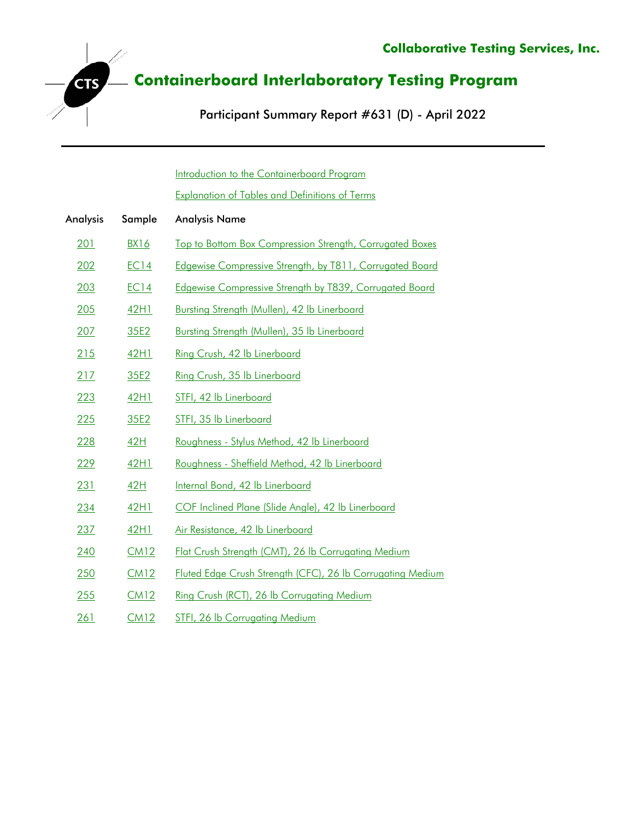Participant Summary Report #631 (D) - April 2022

[Introduction to the Containerboard Program](#page-1-0)

**CTS** 

[Explanation of Tables and Definitions of Terms](#page-2-0)

| Analysis    | Sample      | <b>Analysis Name</b>                                           |
|-------------|-------------|----------------------------------------------------------------|
| 201         | <b>BX16</b> | Top to Bottom Box Compression Strength, Corrugated Boxes       |
| 202         | EC14        | Edgewise Compressive Strength, by T811, Corrugated Board       |
| 203         | <b>EC14</b> | <b>Edgewise Compressive Strength by T839, Corrugated Board</b> |
| 205         | 42H1        | Bursting Strength (Mullen), 42 lb Linerboard                   |
| 207         | 35E2        | Bursting Strength (Mullen), 35 lb Linerboard                   |
| 215         | 42H1        | Ring Crush, 42 lb Linerboard                                   |
| 217         | 35E2        | Ring Crush, 35 lb Linerboard                                   |
| 223         | 42H1        | STFI, 42 lb Linerboard                                         |
| 225         | 35E2        | STFI, 35 lb Linerboard                                         |
| 228         | <u>42H</u>  | Roughness - Stylus Method, 42 lb Linerboard                    |
| 229         | 42H1        | Roughness - Sheffield Method, 42 lb Linerboard                 |
| 231         | <u>42H</u>  | Internal Bond, 42 lb Linerboard                                |
| 234         | 42H1        | COF Inclined Plane (Slide Angle), 42 lb Linerboard             |
| 237         | 42H1        | Air Resistance, 42 lb Linerboard                               |
| 240         | CM12        | Flat Crush Strength (CMT), 26 lb Corrugating Medium            |
| 250         | CM12        | Fluted Edge Crush Strength (CFC), 26 lb Corrugating Medium     |
| 255         | CM12        | Ring Crush (RCT), 26 lb Corrugating Medium                     |
| <u> 261</u> | <u>CM12</u> | STFI, 26 lb Corrugating Medium                                 |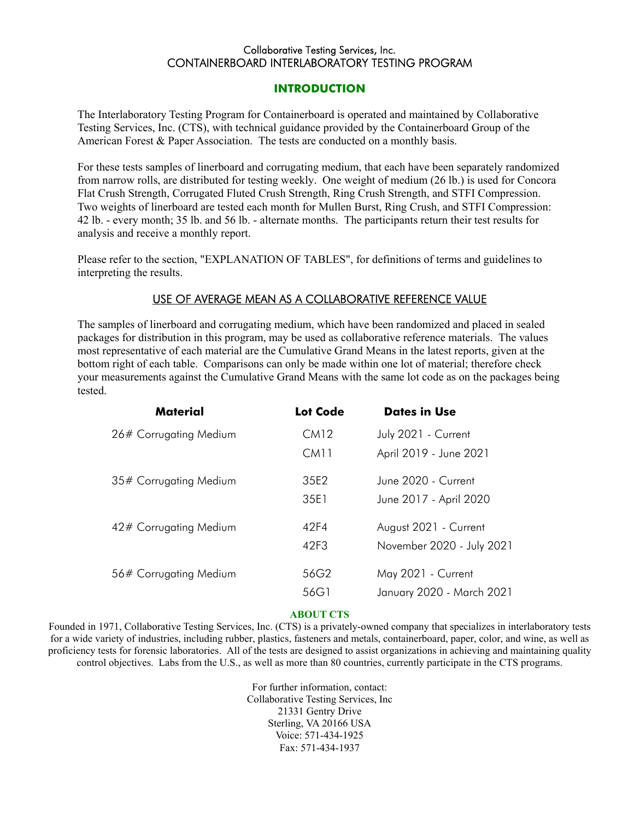#### Collaborative Testing Services, Inc. CONTAINERBOARD INTERLABORATORY TESTING PROGRAM

#### **INTRODUCTION**

<span id="page-1-0"></span>The Interlaboratory Testing Program for Containerboard is operated and maintained by Collaborative Testing Services, Inc. (CTS), with technical guidance provided by the Containerboard Group of the American Forest & Paper Association. The tests are conducted on a monthly basis.

For these tests samples of linerboard and corrugating medium, that each have been separately randomized from narrow rolls, are distributed for testing weekly. One weight of medium (26 lb.) is used for Concora Flat Crush Strength, Corrugated Fluted Crush Strength, Ring Crush Strength, and STFI Compression. Two weights of linerboard are tested each month for Mullen Burst, Ring Crush, and STFI Compression: 42 lb. - every month; 35 lb. and 56 lb. - alternate months. The participants return their test results for analysis and receive a monthly report.

Please refer to the section, "EXPLANATION OF TABLES", for definitions of terms and guidelines to interpreting the results.

#### USE OF AVERAGE MEAN AS A COLLABORATIVE REFERENCE VALUE

The samples of linerboard and corrugating medium, which have been randomized and placed in sealed packages for distribution in this program, may be used as collaborative reference materials. The values most representative of each material are the Cumulative Grand Means in the latest reports, given at the bottom right of each table. Comparisons can only be made within one lot of material; therefore check your measurements against the Cumulative Grand Means with the same lot code as on the packages being tested.

| Material               | Lot Code | <b>Dates in Use</b>       |
|------------------------|----------|---------------------------|
| 26# Corrugating Medium | CM12     | July 2021 - Current       |
|                        | CM11     | April 2019 - June 2021    |
| 35# Corrugating Medium | 35F2     | June 2020 - Current       |
|                        | 35F1     | June 2017 - April 2020    |
| 42# Corrugating Medium | 42F4     | August 2021 - Current     |
|                        | 42F3     | November 2020 - July 2021 |
| 56# Corrugating Medium | 56G2     | May 2021 - Current        |
|                        | 56G1     | January 2020 - March 2021 |

#### **ABOUT CTS**

Founded in 1971, Collaborative Testing Services, Inc. (CTS) is a privately-owned company that specializes in interlaboratory tests for a wide variety of industries, including rubber, plastics, fasteners and metals, containerboard, paper, color, and wine, as well as proficiency tests for forensic laboratories. All of the tests are designed to assist organizations in achieving and maintaining quality control objectives. Labs from the U.S., as well as more than 80 countries, currently participate in the CTS programs.

> For further information, contact: Collaborative Testing Services, Inc 21331 Gentry Drive Sterling, VA 20166 USA Voice: 571-434-1925 Fax: 571-434-1937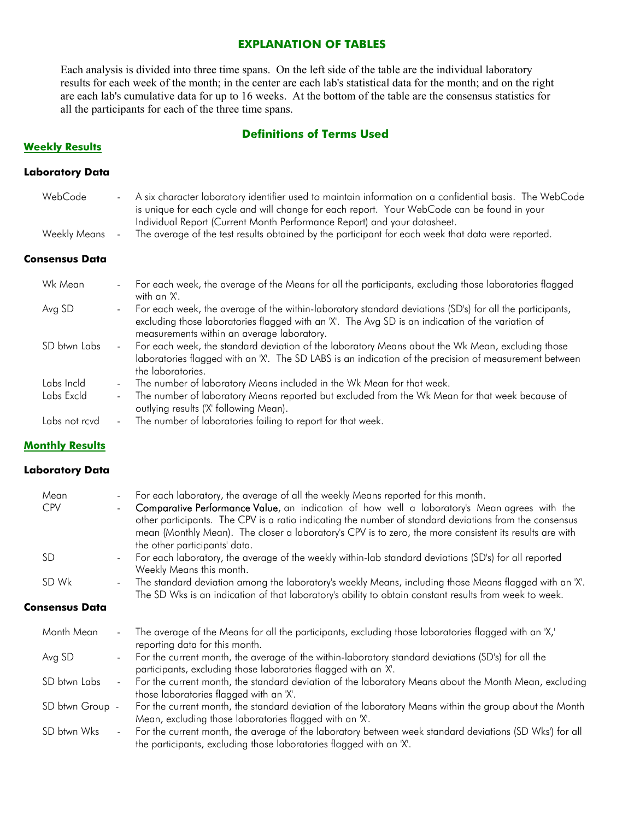#### **EXPLANATION OF TABLES**

<span id="page-2-0"></span>Each analysis is divided into three time spans. On the left side of the table are the individual laboratory results for each week of the month; in the center are each lab's statistical data for the month; and on the right are each lab's cumulative data for up to 16 weeks. At the bottom of the table are the consensus statistics for all the participants for each of the three time spans.

#### **Definitions of Terms Used**

#### **Weekly Results**

#### **Laboratory Data**

| WebCode             | A six character laboratory identifier used to maintain information on a confidential basis. The WebCode<br>$\blacksquare$<br>is unique for each cycle and will change for each report. Your WebCode can be found in your<br>Individual Report (Current Month Performance Report) and your datasheet. |
|---------------------|------------------------------------------------------------------------------------------------------------------------------------------------------------------------------------------------------------------------------------------------------------------------------------------------------|
| <b>Weekly Means</b> | The average of the test results obtained by the participant for each week that data were reported.<br>$\blacksquare$                                                                                                                                                                                 |
| Consensus Data      |                                                                                                                                                                                                                                                                                                      |
| Wk Mean             | For each week, the average of the Means for all the participants, excluding those laboratories flagged<br>$\overline{\phantom{a}}$<br>with an 'X'.                                                                                                                                                   |
| Avg SD              | For each week, the average of the within-laboratory standard deviations (SD's) for all the participants,<br>$\overline{\phantom{a}}$<br>excluding those laboratories flagged with an 'X'. The Avg SD is an indication of the variation of<br>measurements within an average laboratory.              |
| SD btwn Labs        | For each week, the standard deviation of the laboratory Means about the Wk Mean, excluding those<br>$\sim$<br>laboratories flagged with an 'X'. The SD LABS is an indication of the precision of measurement between<br>the laboratories.                                                            |

- Labs Incld The number of laboratory Means included in the Wk Mean for that week.
- Labs Excld The number of laboratory Means reported but excluded from the Wk Mean for that week because of outlying results ('X' following Mean).
- Labs not rcvd The number of laboratories failing to report for that week.

#### **Monthly Results**

#### **Laboratory Data**

| Mean            | $\overline{\phantom{a}}$    | For each laboratory, the average of all the weekly Means reported for this month.                                                                                                                                                                                                                                                                  |
|-----------------|-----------------------------|----------------------------------------------------------------------------------------------------------------------------------------------------------------------------------------------------------------------------------------------------------------------------------------------------------------------------------------------------|
| <b>CPV</b>      |                             | Comparative Performance Value, an indication of how well a laboratory's Mean agrees with the<br>other participants. The CPV is a ratio indicating the number of standard deviations from the consensus<br>mean (Monthly Mean). The closer a laboratory's CPV is to zero, the more consistent its results are with<br>the other participants' data. |
| SD              | $\blacksquare$              | For each laboratory, the average of the weekly within-lab standard deviations (SD's) for all reported<br>Weekly Means this month.                                                                                                                                                                                                                  |
| SD Wk           | $\blacksquare$              | The standard deviation among the laboratory's weekly Means, including those Means flagged with an 'X'.<br>The SD Wks is an indication of that laboratory's ability to obtain constant results from week to week.                                                                                                                                   |
| Consensus Data  |                             |                                                                                                                                                                                                                                                                                                                                                    |
| Month Mean      | $\blacksquare$              | The average of the Means for all the participants, excluding those laboratories flagged with an 'X,'<br>reporting data for this month.                                                                                                                                                                                                             |
| Avg SD          | $\blacksquare$              | For the current month, the average of the within-laboratory standard deviations (SD's) for all the<br>participants, excluding those laboratories flagged with an 'X'.                                                                                                                                                                              |
| SD btwn Labs    | $\mathcal{L}_{\mathcal{A}}$ | For the current month, the standard deviation of the laboratory Means about the Month Mean, excluding<br>those laboratories flagged with an 'X'.                                                                                                                                                                                                   |
| SD btwn Group - |                             | For the current month, the standard deviation of the laboratory Means within the group about the Month<br>Mean, excluding those laboratories flagged with an 'X'.                                                                                                                                                                                  |
| SD btwn Wks     | $\blacksquare$              | For the current month, the average of the laboratory between week standard deviations (SD Wks') for all<br>the participants, excluding those laboratories flagged with an 'X'.                                                                                                                                                                     |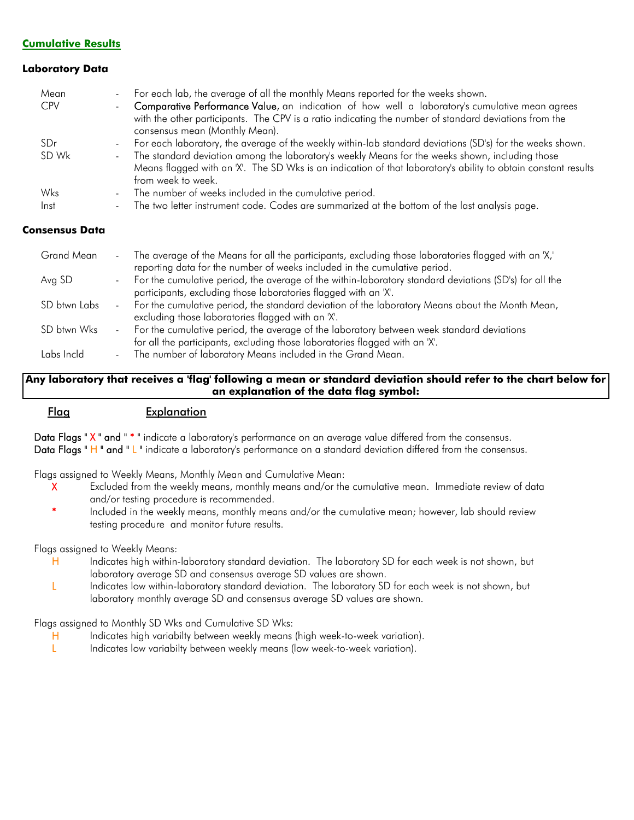#### **Cumulative Results**

#### **Laboratory Data**

| Mean            | For each lab, the average of all the monthly Means reported for the weeks shown.<br>$\sim$                          |
|-----------------|---------------------------------------------------------------------------------------------------------------------|
| <b>CPV</b>      | Comparative Performance Value, an indication of how well a laboratory's cumulative mean agrees                      |
|                 | with the other participants. The CPV is a ratio indicating the number of standard deviations from the               |
|                 | consensus mean (Monthly Mean).                                                                                      |
| SD <sub>r</sub> | For each laboratory, the average of the weekly within-lab standard deviations (SD's) for the weeks shown.<br>$\sim$ |
| SD Wk           | The standard deviation among the laboratory's weekly Means for the weeks shown, including those<br>$\sim$           |
|                 | Means flagged with an 'X'. The SD Wks is an indication of that laboratory's ability to obtain constant results      |
|                 | from week to week.                                                                                                  |
| Wks             | The number of weeks included in the cumulative period.                                                              |
| Inst            | The two letter instrument code. Codes are summarized at the bottom of the last analysis page.                       |

#### **Consensus Data**

| Grand Mean   | The average of the Means for all the participants, excluding those laboratories flagged with an 'X,'<br>$\sim 10$ |
|--------------|-------------------------------------------------------------------------------------------------------------------|
|              | reporting data for the number of weeks included in the cumulative period.                                         |
| Avg SD       | For the cumulative period, the average of the within-laboratory standard deviations (SD's) for all the<br>$\sim$  |
|              | participants, excluding those laboratories flagged with an 'X'.                                                   |
| SD btwn Labs | For the cumulative period, the standard deviation of the laboratory Means about the Month Mean,<br>$\blacksquare$ |
|              | excluding those laboratories flagged with an 'X'.                                                                 |
| SD btwn Wks  | For the cumulative period, the average of the laboratory between week standard deviations<br>$\sim$ $-$           |
|              | for all the participants, excluding those laboratories flagged with an 'X'.                                       |
| Labs Incld   | The number of laboratory Means included in the Grand Mean.                                                        |

#### **Any laboratory that receives a 'flag' following a mean or standard deviation should refer to the chart below for an explanation of the data flag symbol:**

#### Flag Explanation

Data Flags " X " and " \* " indicate a laboratory's performance on an average value differed from the consensus.

Data Flags " H " and " L " indicate a laboratory's performance on a standard deviation differed from the consensus.

Flags assigned to Weekly Means, Monthly Mean and Cumulative Mean:

- X Excluded from the weekly means, monthly means and/or the cumulative mean. Immediate review of data and/or testing procedure is recommended.
- \* Included in the weekly means, monthly means and/or the cumulative mean; however, lab should review testing procedure and monitor future results.

Flags assigned to Weekly Means:

- H Indicates high within-laboratory standard deviation. The laboratory SD for each week is not shown, but laboratory average SD and consensus average SD values are shown.
- L Indicates low within-laboratory standard deviation. The laboratory SD for each week is not shown, but laboratory monthly average SD and consensus average SD values are shown.

Flags assigned to Monthly SD Wks and Cumulative SD Wks:

- H Indicates high variabilty between weekly means (high week-to-week variation).
- L Indicates low variabilty between weekly means (low week-to-week variation).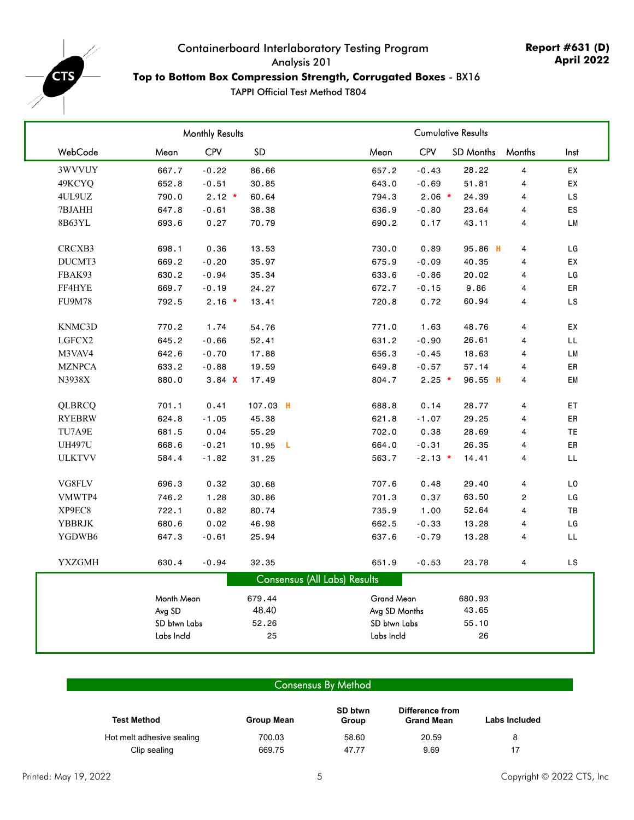<span id="page-4-0"></span>

## Containerboard Interlaboratory Testing Program Analysis 201 **Top to Bottom Box Compression Strength, Corrugated Boxes** - BX16

TAPPI Official Test Method T804

| CPV<br>WebCode<br><b>SD</b><br><b>CPV</b><br>SD Months<br>Mean<br>Mean<br>Months<br>Inst<br>3WVVUY<br>667.7<br>$-0.22$<br>86.66<br>657.2<br>$-0.43$<br>28.22<br>$\overline{\mathbf{4}}$<br>EX<br>49KCYQ<br>$-0.51$<br>51.81<br>EX<br>652.8<br>30.85<br>643.0<br>$-0.69$<br>4<br>$2.12 *$<br>4UL9UZ<br>790.0<br>60.64<br>794.3<br>$2.06$ *<br>24.39<br>LS<br>4<br>7BJAHH<br>647.8<br>636.9<br>${\sf ES}$<br>$-0.61$<br>38.38<br>$-0.80$<br>23.64<br>4<br>8B63YL<br>0.27<br>690.2<br>${\sf LM}$<br>693.6<br>70.79<br>0.17<br>43.11<br>4<br>CRCXB3<br>0.36<br>95.86 H<br>LG<br>698.1<br>13.53<br>730.0<br>0.89<br>4<br>DUCMT3<br>669.2<br>$-0.20$<br>35.97<br>675.9<br>$-0.09$<br>40.35<br>EX<br>4<br>FBAK93<br>630.2<br>$-0.94$<br>633.6<br>$-0.86$<br>20.02<br>LG<br>35.34<br>4<br>FF4HYE<br>669.7<br>$-0.19$<br>$-0.15$<br>9.86<br>ER<br>24.27<br>672.7<br>4<br><b>FU9M78</b><br>792.5<br>$2.16$ *<br>LS<br>13.41<br>720.8<br>0.72<br>60.94<br>4<br>KNMC3D<br>EX<br>770.2<br>1.74<br>54.76<br>771.0<br>1.63<br>48.76<br>4<br>LGFCX2<br>645.2<br>LL<br>$-0.66$<br>631.2<br>$-0.90$<br>26.61<br>4<br>52.41<br>M3VAV4<br>642.6<br>$-0.70$<br>656.3<br>18.63<br>LM<br>17.88<br>$-0.45$<br>4<br><b>MZNPCA</b><br>633.2<br>$-0.88$<br>ER<br>19.59<br>649.8<br>$-0.57$<br>57.14<br>4<br>N3938X<br>880.0<br>3.84 X<br>804.7<br>$2.25$ *<br>96.55 H<br>EM<br>17.49<br>4<br>QLBRCQ<br>701.1<br>0.41<br>107.03 H<br>688.8<br>0.14<br>28.77<br>$\overline{\mathbf{4}}$<br>ET<br>${\sf ER}$<br><b>RYEBRW</b><br>624.8<br>$-1.05$<br>45.38<br>621.8<br>$-1.07$<br>29.25<br>4<br>TU7A9E<br>681.5<br>0.04<br>702.0<br>28.69<br>TE<br>55.29<br>0.38<br>4<br><b>UH497U</b><br>668.6<br>$-0.21$<br>10.95<br>664.0<br>$-0.31$<br>26.35<br>4<br>ER<br>L.<br><b>ULKTVV</b><br>584.4<br>$-1.82$<br>563.7<br>$-2.13$ *<br>4<br>LL<br>31.25<br>14.41<br>VG8FLV<br>$\mathsf{L0}$<br>696.3<br>0.32<br>30.68<br>707.6<br>0.48<br>29.40<br>$\overline{\mathbf{4}}$<br>VMWTP4<br>746.2<br>1.28<br>30.86<br>701.3<br>0.37<br>63.50<br>$\overline{\mathbf{c}}$<br>LG<br>XP9EC8<br>722.1<br>0.82<br>735.9<br>52.64<br>$\mathsf{T}\mathsf{B}$<br>80.74<br>1.00<br>4<br>YBBRJK<br>680.6<br>0.02<br>46.98<br>662.5<br>$-0.33$<br>13.28<br>LG<br>4<br>YGDWB6<br>$-0.61$<br>647.3<br>637.6<br>$-0.79$<br>13.28<br>LL<br>25.94<br>4<br><b>YXZGMH</b><br>LS<br>630.4<br>$-0.94$<br>32.35<br>651.9<br>$-0.53$<br>23.78<br>4<br><b>Consensus (All Labs) Results</b><br>Month Mean<br>Grand Mean<br>679.44<br>680.93<br>Avg SD<br>48.40<br>Avg SD Months<br>43.65<br>SD btwn Labs<br>SD btwn Labs<br>52.26<br>55.10<br>Labs Incld<br>Labs Incld<br>25<br>26 |  | Monthly Results |  |  | <b>Cumulative Results</b> |  |
|------------------------------------------------------------------------------------------------------------------------------------------------------------------------------------------------------------------------------------------------------------------------------------------------------------------------------------------------------------------------------------------------------------------------------------------------------------------------------------------------------------------------------------------------------------------------------------------------------------------------------------------------------------------------------------------------------------------------------------------------------------------------------------------------------------------------------------------------------------------------------------------------------------------------------------------------------------------------------------------------------------------------------------------------------------------------------------------------------------------------------------------------------------------------------------------------------------------------------------------------------------------------------------------------------------------------------------------------------------------------------------------------------------------------------------------------------------------------------------------------------------------------------------------------------------------------------------------------------------------------------------------------------------------------------------------------------------------------------------------------------------------------------------------------------------------------------------------------------------------------------------------------------------------------------------------------------------------------------------------------------------------------------------------------------------------------------------------------------------------------------------------------------------------------------------------------------------------------------------------------------------------------------------------------------------------------------------------------------------------------------------------------------------------------------------------------------------------------------------------------------------------------------------------------------------------------------------------------------------------|--|-----------------|--|--|---------------------------|--|
|                                                                                                                                                                                                                                                                                                                                                                                                                                                                                                                                                                                                                                                                                                                                                                                                                                                                                                                                                                                                                                                                                                                                                                                                                                                                                                                                                                                                                                                                                                                                                                                                                                                                                                                                                                                                                                                                                                                                                                                                                                                                                                                                                                                                                                                                                                                                                                                                                                                                                                                                                                                                                  |  |                 |  |  |                           |  |
|                                                                                                                                                                                                                                                                                                                                                                                                                                                                                                                                                                                                                                                                                                                                                                                                                                                                                                                                                                                                                                                                                                                                                                                                                                                                                                                                                                                                                                                                                                                                                                                                                                                                                                                                                                                                                                                                                                                                                                                                                                                                                                                                                                                                                                                                                                                                                                                                                                                                                                                                                                                                                  |  |                 |  |  |                           |  |
|                                                                                                                                                                                                                                                                                                                                                                                                                                                                                                                                                                                                                                                                                                                                                                                                                                                                                                                                                                                                                                                                                                                                                                                                                                                                                                                                                                                                                                                                                                                                                                                                                                                                                                                                                                                                                                                                                                                                                                                                                                                                                                                                                                                                                                                                                                                                                                                                                                                                                                                                                                                                                  |  |                 |  |  |                           |  |
|                                                                                                                                                                                                                                                                                                                                                                                                                                                                                                                                                                                                                                                                                                                                                                                                                                                                                                                                                                                                                                                                                                                                                                                                                                                                                                                                                                                                                                                                                                                                                                                                                                                                                                                                                                                                                                                                                                                                                                                                                                                                                                                                                                                                                                                                                                                                                                                                                                                                                                                                                                                                                  |  |                 |  |  |                           |  |
|                                                                                                                                                                                                                                                                                                                                                                                                                                                                                                                                                                                                                                                                                                                                                                                                                                                                                                                                                                                                                                                                                                                                                                                                                                                                                                                                                                                                                                                                                                                                                                                                                                                                                                                                                                                                                                                                                                                                                                                                                                                                                                                                                                                                                                                                                                                                                                                                                                                                                                                                                                                                                  |  |                 |  |  |                           |  |
|                                                                                                                                                                                                                                                                                                                                                                                                                                                                                                                                                                                                                                                                                                                                                                                                                                                                                                                                                                                                                                                                                                                                                                                                                                                                                                                                                                                                                                                                                                                                                                                                                                                                                                                                                                                                                                                                                                                                                                                                                                                                                                                                                                                                                                                                                                                                                                                                                                                                                                                                                                                                                  |  |                 |  |  |                           |  |
|                                                                                                                                                                                                                                                                                                                                                                                                                                                                                                                                                                                                                                                                                                                                                                                                                                                                                                                                                                                                                                                                                                                                                                                                                                                                                                                                                                                                                                                                                                                                                                                                                                                                                                                                                                                                                                                                                                                                                                                                                                                                                                                                                                                                                                                                                                                                                                                                                                                                                                                                                                                                                  |  |                 |  |  |                           |  |
|                                                                                                                                                                                                                                                                                                                                                                                                                                                                                                                                                                                                                                                                                                                                                                                                                                                                                                                                                                                                                                                                                                                                                                                                                                                                                                                                                                                                                                                                                                                                                                                                                                                                                                                                                                                                                                                                                                                                                                                                                                                                                                                                                                                                                                                                                                                                                                                                                                                                                                                                                                                                                  |  |                 |  |  |                           |  |
|                                                                                                                                                                                                                                                                                                                                                                                                                                                                                                                                                                                                                                                                                                                                                                                                                                                                                                                                                                                                                                                                                                                                                                                                                                                                                                                                                                                                                                                                                                                                                                                                                                                                                                                                                                                                                                                                                                                                                                                                                                                                                                                                                                                                                                                                                                                                                                                                                                                                                                                                                                                                                  |  |                 |  |  |                           |  |
|                                                                                                                                                                                                                                                                                                                                                                                                                                                                                                                                                                                                                                                                                                                                                                                                                                                                                                                                                                                                                                                                                                                                                                                                                                                                                                                                                                                                                                                                                                                                                                                                                                                                                                                                                                                                                                                                                                                                                                                                                                                                                                                                                                                                                                                                                                                                                                                                                                                                                                                                                                                                                  |  |                 |  |  |                           |  |
|                                                                                                                                                                                                                                                                                                                                                                                                                                                                                                                                                                                                                                                                                                                                                                                                                                                                                                                                                                                                                                                                                                                                                                                                                                                                                                                                                                                                                                                                                                                                                                                                                                                                                                                                                                                                                                                                                                                                                                                                                                                                                                                                                                                                                                                                                                                                                                                                                                                                                                                                                                                                                  |  |                 |  |  |                           |  |
|                                                                                                                                                                                                                                                                                                                                                                                                                                                                                                                                                                                                                                                                                                                                                                                                                                                                                                                                                                                                                                                                                                                                                                                                                                                                                                                                                                                                                                                                                                                                                                                                                                                                                                                                                                                                                                                                                                                                                                                                                                                                                                                                                                                                                                                                                                                                                                                                                                                                                                                                                                                                                  |  |                 |  |  |                           |  |
|                                                                                                                                                                                                                                                                                                                                                                                                                                                                                                                                                                                                                                                                                                                                                                                                                                                                                                                                                                                                                                                                                                                                                                                                                                                                                                                                                                                                                                                                                                                                                                                                                                                                                                                                                                                                                                                                                                                                                                                                                                                                                                                                                                                                                                                                                                                                                                                                                                                                                                                                                                                                                  |  |                 |  |  |                           |  |
|                                                                                                                                                                                                                                                                                                                                                                                                                                                                                                                                                                                                                                                                                                                                                                                                                                                                                                                                                                                                                                                                                                                                                                                                                                                                                                                                                                                                                                                                                                                                                                                                                                                                                                                                                                                                                                                                                                                                                                                                                                                                                                                                                                                                                                                                                                                                                                                                                                                                                                                                                                                                                  |  |                 |  |  |                           |  |
|                                                                                                                                                                                                                                                                                                                                                                                                                                                                                                                                                                                                                                                                                                                                                                                                                                                                                                                                                                                                                                                                                                                                                                                                                                                                                                                                                                                                                                                                                                                                                                                                                                                                                                                                                                                                                                                                                                                                                                                                                                                                                                                                                                                                                                                                                                                                                                                                                                                                                                                                                                                                                  |  |                 |  |  |                           |  |
|                                                                                                                                                                                                                                                                                                                                                                                                                                                                                                                                                                                                                                                                                                                                                                                                                                                                                                                                                                                                                                                                                                                                                                                                                                                                                                                                                                                                                                                                                                                                                                                                                                                                                                                                                                                                                                                                                                                                                                                                                                                                                                                                                                                                                                                                                                                                                                                                                                                                                                                                                                                                                  |  |                 |  |  |                           |  |
|                                                                                                                                                                                                                                                                                                                                                                                                                                                                                                                                                                                                                                                                                                                                                                                                                                                                                                                                                                                                                                                                                                                                                                                                                                                                                                                                                                                                                                                                                                                                                                                                                                                                                                                                                                                                                                                                                                                                                                                                                                                                                                                                                                                                                                                                                                                                                                                                                                                                                                                                                                                                                  |  |                 |  |  |                           |  |
|                                                                                                                                                                                                                                                                                                                                                                                                                                                                                                                                                                                                                                                                                                                                                                                                                                                                                                                                                                                                                                                                                                                                                                                                                                                                                                                                                                                                                                                                                                                                                                                                                                                                                                                                                                                                                                                                                                                                                                                                                                                                                                                                                                                                                                                                                                                                                                                                                                                                                                                                                                                                                  |  |                 |  |  |                           |  |
|                                                                                                                                                                                                                                                                                                                                                                                                                                                                                                                                                                                                                                                                                                                                                                                                                                                                                                                                                                                                                                                                                                                                                                                                                                                                                                                                                                                                                                                                                                                                                                                                                                                                                                                                                                                                                                                                                                                                                                                                                                                                                                                                                                                                                                                                                                                                                                                                                                                                                                                                                                                                                  |  |                 |  |  |                           |  |
|                                                                                                                                                                                                                                                                                                                                                                                                                                                                                                                                                                                                                                                                                                                                                                                                                                                                                                                                                                                                                                                                                                                                                                                                                                                                                                                                                                                                                                                                                                                                                                                                                                                                                                                                                                                                                                                                                                                                                                                                                                                                                                                                                                                                                                                                                                                                                                                                                                                                                                                                                                                                                  |  |                 |  |  |                           |  |
|                                                                                                                                                                                                                                                                                                                                                                                                                                                                                                                                                                                                                                                                                                                                                                                                                                                                                                                                                                                                                                                                                                                                                                                                                                                                                                                                                                                                                                                                                                                                                                                                                                                                                                                                                                                                                                                                                                                                                                                                                                                                                                                                                                                                                                                                                                                                                                                                                                                                                                                                                                                                                  |  |                 |  |  |                           |  |
|                                                                                                                                                                                                                                                                                                                                                                                                                                                                                                                                                                                                                                                                                                                                                                                                                                                                                                                                                                                                                                                                                                                                                                                                                                                                                                                                                                                                                                                                                                                                                                                                                                                                                                                                                                                                                                                                                                                                                                                                                                                                                                                                                                                                                                                                                                                                                                                                                                                                                                                                                                                                                  |  |                 |  |  |                           |  |
|                                                                                                                                                                                                                                                                                                                                                                                                                                                                                                                                                                                                                                                                                                                                                                                                                                                                                                                                                                                                                                                                                                                                                                                                                                                                                                                                                                                                                                                                                                                                                                                                                                                                                                                                                                                                                                                                                                                                                                                                                                                                                                                                                                                                                                                                                                                                                                                                                                                                                                                                                                                                                  |  |                 |  |  |                           |  |
|                                                                                                                                                                                                                                                                                                                                                                                                                                                                                                                                                                                                                                                                                                                                                                                                                                                                                                                                                                                                                                                                                                                                                                                                                                                                                                                                                                                                                                                                                                                                                                                                                                                                                                                                                                                                                                                                                                                                                                                                                                                                                                                                                                                                                                                                                                                                                                                                                                                                                                                                                                                                                  |  |                 |  |  |                           |  |
|                                                                                                                                                                                                                                                                                                                                                                                                                                                                                                                                                                                                                                                                                                                                                                                                                                                                                                                                                                                                                                                                                                                                                                                                                                                                                                                                                                                                                                                                                                                                                                                                                                                                                                                                                                                                                                                                                                                                                                                                                                                                                                                                                                                                                                                                                                                                                                                                                                                                                                                                                                                                                  |  |                 |  |  |                           |  |
|                                                                                                                                                                                                                                                                                                                                                                                                                                                                                                                                                                                                                                                                                                                                                                                                                                                                                                                                                                                                                                                                                                                                                                                                                                                                                                                                                                                                                                                                                                                                                                                                                                                                                                                                                                                                                                                                                                                                                                                                                                                                                                                                                                                                                                                                                                                                                                                                                                                                                                                                                                                                                  |  |                 |  |  |                           |  |
|                                                                                                                                                                                                                                                                                                                                                                                                                                                                                                                                                                                                                                                                                                                                                                                                                                                                                                                                                                                                                                                                                                                                                                                                                                                                                                                                                                                                                                                                                                                                                                                                                                                                                                                                                                                                                                                                                                                                                                                                                                                                                                                                                                                                                                                                                                                                                                                                                                                                                                                                                                                                                  |  |                 |  |  |                           |  |
|                                                                                                                                                                                                                                                                                                                                                                                                                                                                                                                                                                                                                                                                                                                                                                                                                                                                                                                                                                                                                                                                                                                                                                                                                                                                                                                                                                                                                                                                                                                                                                                                                                                                                                                                                                                                                                                                                                                                                                                                                                                                                                                                                                                                                                                                                                                                                                                                                                                                                                                                                                                                                  |  |                 |  |  |                           |  |
|                                                                                                                                                                                                                                                                                                                                                                                                                                                                                                                                                                                                                                                                                                                                                                                                                                                                                                                                                                                                                                                                                                                                                                                                                                                                                                                                                                                                                                                                                                                                                                                                                                                                                                                                                                                                                                                                                                                                                                                                                                                                                                                                                                                                                                                                                                                                                                                                                                                                                                                                                                                                                  |  |                 |  |  |                           |  |
|                                                                                                                                                                                                                                                                                                                                                                                                                                                                                                                                                                                                                                                                                                                                                                                                                                                                                                                                                                                                                                                                                                                                                                                                                                                                                                                                                                                                                                                                                                                                                                                                                                                                                                                                                                                                                                                                                                                                                                                                                                                                                                                                                                                                                                                                                                                                                                                                                                                                                                                                                                                                                  |  |                 |  |  |                           |  |
|                                                                                                                                                                                                                                                                                                                                                                                                                                                                                                                                                                                                                                                                                                                                                                                                                                                                                                                                                                                                                                                                                                                                                                                                                                                                                                                                                                                                                                                                                                                                                                                                                                                                                                                                                                                                                                                                                                                                                                                                                                                                                                                                                                                                                                                                                                                                                                                                                                                                                                                                                                                                                  |  |                 |  |  |                           |  |
|                                                                                                                                                                                                                                                                                                                                                                                                                                                                                                                                                                                                                                                                                                                                                                                                                                                                                                                                                                                                                                                                                                                                                                                                                                                                                                                                                                                                                                                                                                                                                                                                                                                                                                                                                                                                                                                                                                                                                                                                                                                                                                                                                                                                                                                                                                                                                                                                                                                                                                                                                                                                                  |  |                 |  |  |                           |  |

### Consensus By Method

| <b>Test Method</b>        | Group Mean | SD btwn<br>Group | Difference from<br><b>Grand Mean</b> | Labs Included |  |
|---------------------------|------------|------------------|--------------------------------------|---------------|--|
| Hot melt adhesive sealing | 700.03     | 58.60            | 20.59                                | 8             |  |
| Clip sealing              | 669.75     | 47.77            | 9.69                                 | 17            |  |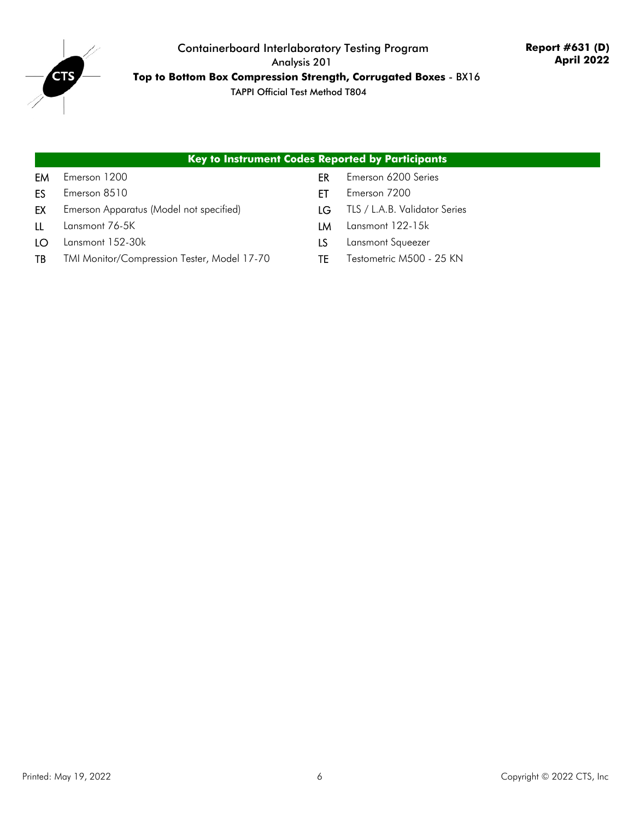

#### **Key to Instrument Codes Reported by Participants**

- 
- ES Emerson 8510 ET Emerson 7200
- EX Emerson Apparatus (Model not specified) LG TLS / L.A.B. Validator Series
- 
- LO Lansmont 152-30k LS Lansmont Squeezer
- TB TMI Monitor/Compression Tester, Model 17-70 TE Testometric M500 25 KN
- EM Emerson 1200 CHE EM Emerson 6200 Series
	-
	-
- LL Lansmont 76-5K LM Lansmont 122-15k
	-
	-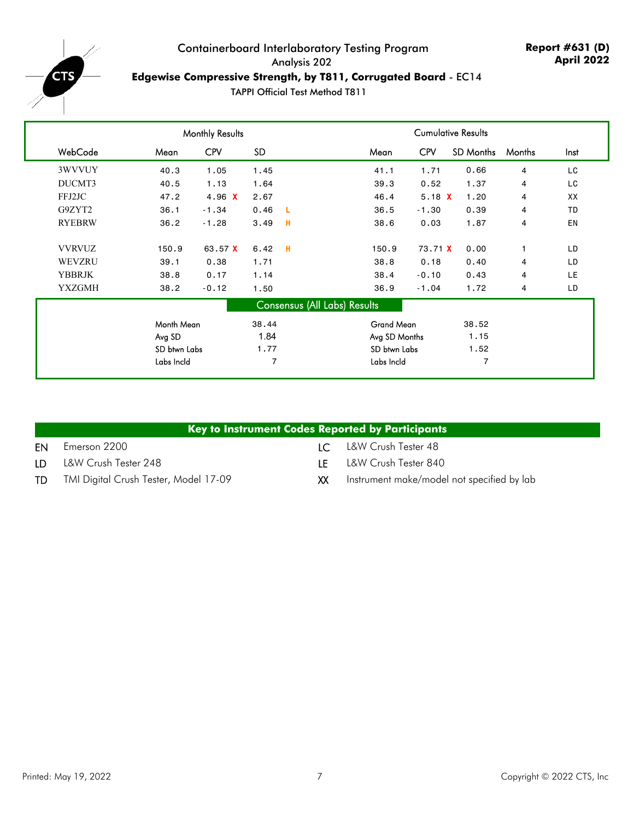<span id="page-6-0"></span>

## Containerboard Interlaboratory Testing Program Analysis 202 **Edgewise Compressive Strength, by T811, Corrugated Board** - EC14

|               |              | <b>Monthly Results</b> |       |    |                                     |            | <b>Cumulative Results</b> |        |           |
|---------------|--------------|------------------------|-------|----|-------------------------------------|------------|---------------------------|--------|-----------|
| WebCode       | Mean         | <b>CPV</b>             | SD.   |    | Mean                                | <b>CPV</b> | <b>SD Months</b>          | Months | Inst      |
| 3WVVUY        | 40.3         | 1.05                   | 1.45  |    | 41.1                                | 1.71       | 0.66                      | 4      | LC        |
| DUCMT3        | 40.5         | 1.13                   | 1.64  |    | 39.3                                | 0.52       | 1.37                      | 4      | LC        |
| FFJ2JC        | 47.2         | 4.96 $X$               | 2.67  |    | 46.4                                | 5.18 $X$   | 1.20                      | 4      | XX        |
| G9ZYT2        | 36.1         | $-1.34$                | 0.46  | -L | 36.5                                | $-1.30$    | 0.39                      | 4      | <b>TD</b> |
| <b>RYEBRW</b> | 36.2         | $-1.28$                | 3.49  | н  | 38.6                                | 0.03       | 1.87                      | 4      | EN        |
| <b>VVRVUZ</b> | 150.9        | 63.57 X                | 6.42  | -H | 150.9                               | 73.71 X    | 0.00                      | 1      | LD        |
| WEVZRU        | 39.1         | 0.38                   | 1.71  |    | 38.8                                | 0.18       | 0.40                      | 4      | LD        |
| <b>YBBRJK</b> | 38.8         | 0.17                   | 1.14  |    | 38.4                                | $-0.10$    | 0.43                      | 4      | <b>LE</b> |
| <b>YXZGMH</b> | 38.2         | $-0.12$                | 1.50  |    | 36.9                                | $-1.04$    | 1.72                      | 4      | LD        |
|               |              |                        |       |    | <b>Consensus (All Labs) Results</b> |            |                           |        |           |
|               | Month Mean   |                        | 38.44 |    | <b>Grand Mean</b>                   |            | 38.52                     |        |           |
|               | Avg SD       |                        | 1.84  |    | Avg SD Months                       |            | 1.15                      |        |           |
|               | SD btwn Labs |                        | 1.77  |    | SD btwn Labs                        |            | 1.52                      |        |           |
|               | Labs Incld   |                        | 7     |    | Labs Incld                          |            | 7                         |        |           |

|     | Key to Instrument Codes Reported by Participants |                 |                                            |
|-----|--------------------------------------------------|-----------------|--------------------------------------------|
| EN  | Emerson 2200                                     | $\mathsf{IC}^-$ | L&W Crush Tester 48                        |
| LD. | L&W Crush Tester 248                             | ΙF              | L&W Crush Tester 840                       |
| TD  | TMI Digital Crush Tester, Model 17-09            | хх              | Instrument make/model not specified by lab |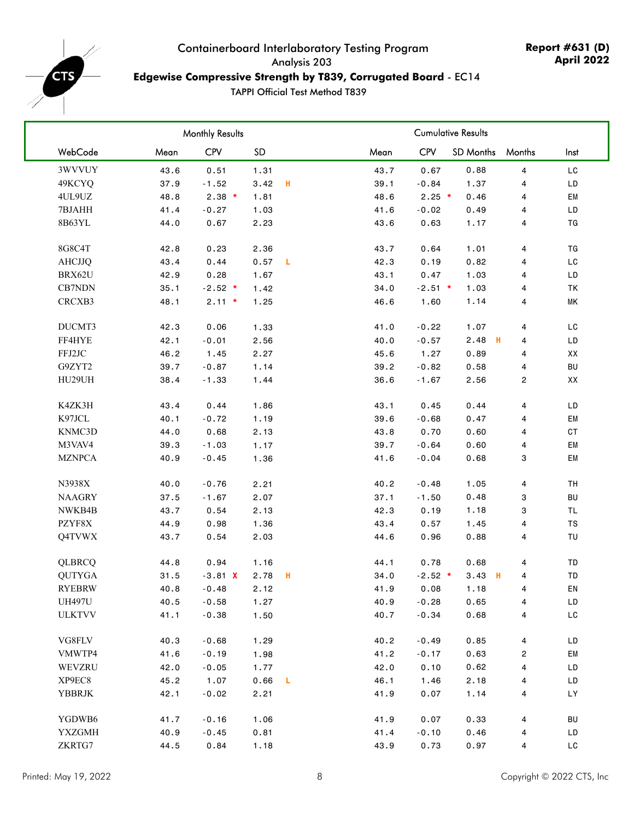<span id="page-7-0"></span>

## Containerboard Interlaboratory Testing Program Analysis 203 **Edgewise Compressive Strength by T839, Corrugated Board** - EC14

|               |      | <b>Monthly Results</b> |      |   |      |            | <b>Cumulative Results</b> |                         |            |
|---------------|------|------------------------|------|---|------|------------|---------------------------|-------------------------|------------|
| WebCode       | Mean | CPV                    | SD   |   | Mean | <b>CPV</b> | <b>SD Months</b>          | Months                  | Inst       |
| 3WVVUY        | 43.6 | 0.51                   | 1.31 |   | 43.7 | 0.67       | 0.88                      | 4                       | LC         |
| 49KCYQ        | 37.9 | $-1.52$                | 3.42 | н | 39.1 | $-0.84$    | 1.37                      | 4                       | LD         |
| 4UL9UZ        | 48.8 | $2.38$ *               | 1.81 |   | 48.6 | $2.25$ *   | 0.46                      | 4                       | EM         |
| 7BJAHH        | 41.4 | $-0.27$                | 1.03 |   | 41.6 | $-0.02$    | 0.49                      | 4                       | LD         |
| 8B63YL        | 44.0 | 0.67                   | 2.23 |   | 43.6 | 0.63       | 1.17                      | $\overline{\mathbf{4}}$ | TG         |
| 8G8C4T        | 42.8 | 0.23                   | 2.36 |   | 43.7 | 0.64       | 1.01                      | 4                       | TG         |
| <b>AHCJJQ</b> | 43.4 | 0.44                   | 0.57 | L | 42.3 | 0.19       | 0.82                      | 4                       | LC         |
| BRX62U        | 42.9 | 0.28                   | 1.67 |   | 43.1 | 0.47       | 1.03                      | 4                       | LD         |
| CB7NDN        | 35.1 | $-2.52$ *              | 1.42 |   | 34.0 | $-2.51$ *  | 1.03                      | 4                       | TK         |
| CRCXB3        | 48.1 | $2.11 *$               | 1.25 |   | 46.6 | 1.60       | 1.14                      | 4                       | МK         |
| DUCMT3        | 42.3 | 0.06                   | 1.33 |   | 41.0 | $-0.22$    | 1.07                      | 4                       | LC         |
| FF4HYE        | 42.1 | $-0.01$                | 2.56 |   | 40.0 | $-0.57$    | 2.48<br>н                 | 4                       | LD         |
| FFJ2JC        | 46.2 | 1.45                   | 2.27 |   | 45.6 | 1.27       | 0.89                      | 4                       | XX         |
| G9ZYT2        | 39.7 | $-0.87$                | 1.14 |   | 39.2 | $-0.82$    | 0.58                      | 4                       | BU         |
| HU29UH        | 38.4 | $-1.33$                | 1.44 |   | 36.6 | $-1.67$    | 2.56                      | $\overline{c}$          | XX         |
| K4ZK3H        | 43.4 | 0.44                   | 1.86 |   | 43.1 | 0.45       | 0.44                      | 4                       | LD         |
| K97JCL        | 40.1 | $-0.72$                | 1.19 |   | 39.6 | $-0.68$    | 0.47                      | 4                       | EM         |
| KNMC3D        | 44.0 | 0.68                   | 2.13 |   | 43.8 | 0.70       | 0.60                      | 4                       | CT         |
| M3VAV4        | 39.3 | $-1.03$                | 1.17 |   | 39.7 | $-0.64$    | 0.60                      | 4                       | EM         |
| <b>MZNPCA</b> | 40.9 | $-0.45$                | 1.36 |   | 41.6 | $-0.04$    | 0.68                      | 3                       | EM         |
| N3938X        | 40.0 | $-0.76$                | 2.21 |   | 40.2 | $-0.48$    | 1.05                      | $\overline{\mathbf{4}}$ | TH         |
| <b>NAAGRY</b> | 37.5 | $-1.67$                | 2.07 |   | 37.1 | $-1.50$    | 0.48                      | 3                       | BU         |
| NWKB4B        | 43.7 | 0.54                   | 2.13 |   | 42.3 | 0.19       | 1.18                      | 3                       | <b>TL</b>  |
| PZYF8X        | 44.9 | 0.98                   | 1.36 |   | 43.4 | 0.57       | 1.45                      | 4                       | ${\tt TS}$ |
| Q4TVWX        | 43.7 | 0.54                   | 2.03 |   | 44.6 | 0.96       | 0.88                      | 4                       | TU         |
| QLBRCQ        | 44.8 | 0.94                   | 1.16 |   | 44.1 | 0.78       | 0.68                      | 4                       | TD         |
| <b>QUTYGA</b> | 31.5 | $-3.81$ X              | 2.78 | н | 34.0 | $-2.52$ *  | $3.43$ H                  | 4                       | TD         |
| <b>RYEBRW</b> | 40.8 | $-0.48$                | 2.12 |   | 41.9 | 0.08       | 1.18                      | 4                       | EN         |
| <b>UH497U</b> | 40.5 | $-0.58$                | 1.27 |   | 40.9 | $-0.28$    | 0.65                      | 4                       | LD         |
| <b>ULKTVV</b> | 41.1 | $-0.38$                | 1.50 |   | 40.7 | $-0.34$    | 0.68                      | 4                       | LC         |
| VG8FLV        | 40.3 | $-0.68$                | 1.29 |   | 40.2 | $-0.49$    | 0.85                      | 4                       | LD         |
| VMWTP4        | 41.6 | $-0.19$                | 1.98 |   | 41.2 | $-0.17$    | 0.63                      | $\overline{c}$          | EM         |
| WEVZRU        | 42.0 | $-0.05$                | 1.77 |   | 42.0 | 0.10       | 0.62                      | 4                       | LD         |
| XP9EC8        | 45.2 | 1.07                   | 0.66 | L | 46.1 | 1.46       | 2.18                      | 4                       | LD         |
| <b>YBBRJK</b> | 42.1 | $-0.02$                | 2.21 |   | 41.9 | 0.07       | 1.14                      | 4                       | LY         |
| YGDWB6        | 41.7 | $-0.16$                | 1.06 |   | 41.9 | 0.07       | 0.33                      | 4                       | BU         |
| <b>YXZGMH</b> | 40.9 | $-0.45$                | 0.81 |   | 41.4 | $-0.10$    | 0.46                      | 4                       | LD         |
| ZKRTG7        | 44.5 | 0.84                   | 1.18 |   | 43.9 | 0.73       | 0.97                      | 4                       | LC         |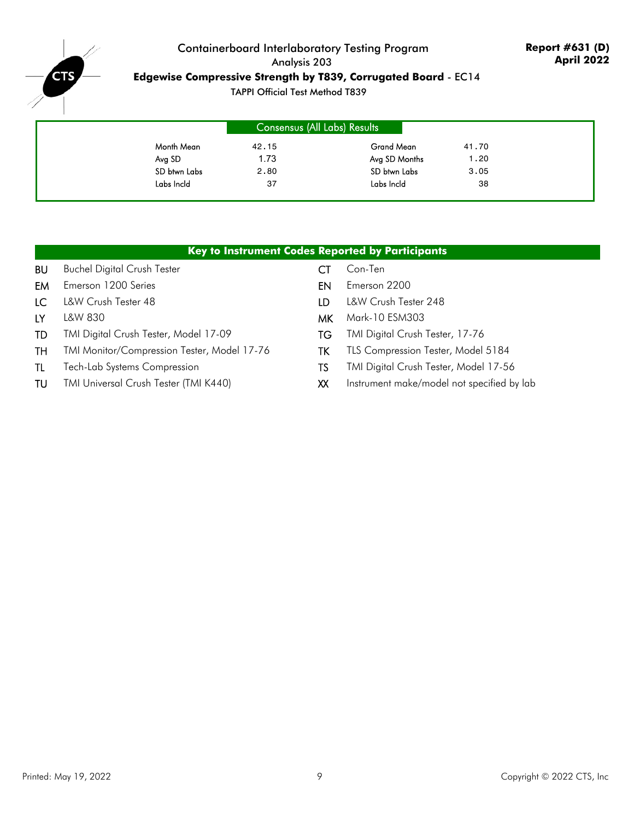

## Containerboard Interlaboratory Testing Program Analysis 203 **Edgewise Compressive Strength by T839, Corrugated Board** - EC14

|              | Consensus (All Labs) Results |               |       |
|--------------|------------------------------|---------------|-------|
| Month Mean   | 42.15                        | Grand Mean    | 41.70 |
| Avg SD       | 1.73                         | Avg SD Months | 1.20  |
| SD btwn Labs | 2.80                         | SD btwn Labs  | 3.05  |
| Labs Incld   | 37                           | Labs Incld    | 38    |

|     |                                              |     | Key to Instrument Codes Reported by Participants |
|-----|----------------------------------------------|-----|--------------------------------------------------|
| BU  | <b>Buchel Digital Crush Tester</b>           | CТ  | Con-Ten                                          |
| EM  | Emerson 1200 Series                          | EN  | Emerson 2200                                     |
| LC  | L&W Crush Tester 48                          | LD. | L&W Crush Tester 248                             |
| LY. | L&W 830                                      | МK  | Mark-10 ESM303                                   |
| TD  | TMI Digital Crush Tester, Model 17-09        | TG  | TMI Digital Crush Tester, 17-76                  |
| TH  | TMI Monitor/Compression Tester, Model 17-76  | ТK  | TLS Compression Tester, Model 5184               |
| -TL | <b>Tech-Lab Systems Compression</b>          | TS  | TMI Digital Crush Tester, Model 17-56            |
| TU  | <b>TMI Universal Crush Tester (TMI K440)</b> | XX  | Instrument make/model not specified by lab       |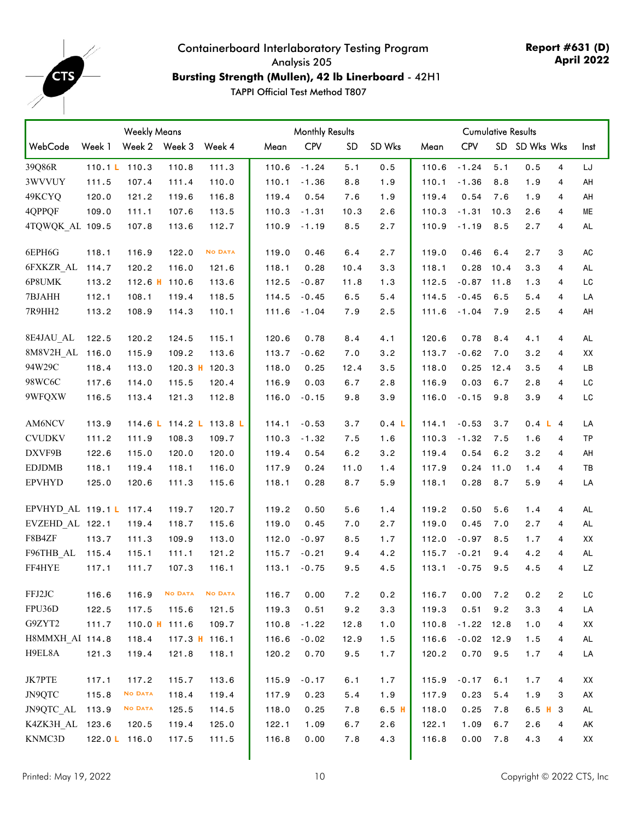<span id="page-9-0"></span> $-e$ <sub>rs</sub>

## Containerboard Interlaboratory Testing Program Analysis 205 **Bursting Strength (Mullen), 42 lb Linerboard** - 42H1

|                         |                 | <b>Weekly Means</b> |                 |                |       |            | <b>Monthly Results</b> |         | <b>Cumulative Results</b> |              |      |               |                         |           |
|-------------------------|-----------------|---------------------|-----------------|----------------|-------|------------|------------------------|---------|---------------------------|--------------|------|---------------|-------------------------|-----------|
| WebCode                 | Week 1          |                     | Week 2 Week 3   | Week 4         | Mean  | <b>CPV</b> | <b>SD</b>              | SD Wks  | Mean                      | <b>CPV</b>   |      | SD SD Wks Wks |                         | Inst      |
| 39Q86R                  | 110.1 $L$ 110.3 |                     | 110.8           | 111.3          | 110.6 | $-1.24$    | 5.1                    | 0.5     | 110.6                     | $-1.24$      | 5.1  | 0.5           | 4                       | LJ        |
| 3WVVUY                  | 111.5           | 107.4               | 111.4           | 110.0          | 110.1 | $-1.36$    | 8.8                    | 1.9     | 110.1                     | $-1.36$      | 8.8  | 1.9           | 4                       | AH        |
| 49KCYQ                  | 120.0           | 121.2               | 119.6           | 116.8          | 119.4 | 0.54       | 7.6                    | 1.9     | 119.4                     | 0.54         | 7.6  | 1.9           | 4                       | AH        |
| 4QPPQF                  | 109.0           | 111.1               | 107.6           | 113.5          | 110.3 | $-1.31$    | 10.3                   | 2.6     | 110.3                     | $-1.31$      | 10.3 | 2.6           | 4                       | МE        |
| 4TQWQK AL 109.5         |                 | 107.8               | 113.6           | 112.7          | 110.9 | $-1.19$    | 8.5                    | 2.7     | 110.9                     | $-1.19$      | 8.5  | 2.7           | 4                       | <b>AL</b> |
| 6EPH6G                  | 118.1           | 116.9               | 122.0           | <b>NO DATA</b> | 119.0 | 0.46       | 6.4                    | 2.7     | 119.0                     | 0.46         | 6.4  | 2.7           | 3                       | AC        |
| 6FXKZR AL               | 114.7           | 120.2               | 116.0           | 121.6          | 118.1 | 0.28       | 10.4                   | 3.3     | 118.1                     | 0.28         | 10.4 | 3.3           | 4                       | AL        |
| 6P8UMK                  | 113.2           |                     | 112.6 H 110.6   | 113.6          | 112.5 | $-0.87$    | 11.8                   | 1.3     | 112.5                     | $-0.87$      | 11.8 | 1.3           | 4                       | LC        |
| 7BJAHH                  | 112.1           | 108.1               | 119.4           | 118.5          | 114.5 | $-0.45$    | 6.5                    | 5.4     | 114.5                     | $-0.45$      | 6.5  | 5.4           | 4                       | LA        |
| 7R9HH2                  | 113.2           | 108.9               | 114.3           | 110.1          | 111.6 | $-1.04$    | 7.9                    | 2.5     | 111.6                     | $-1.04$      | 7.9  | 2.5           | 4                       | AH        |
| 8E4JAU AL               | 122.5           | 120.2               | 124.5           | 115.1          | 120.6 | 0.78       | 8.4                    | 4.1     | 120.6                     | 0.78         | 8.4  | 4.1           | 4                       | AL        |
| 8M8V2H AL 116.0         |                 | 115.9               | 109.2           | 113.6          | 113.7 | $-0.62$    | 7.0                    | 3.2     | 113.7                     | $-0.62$      | 7.0  | 3.2           | 4                       | XX        |
| 94W29C                  | 118.4           | 113.0               | $120.3$ H       | 120.3          | 118.0 | 0.25       | 12.4                   | 3.5     | 118.0                     | 0.25         | 12.4 | 3.5           | 4                       | LB        |
| 98WC6C                  | 117.6           | 114.0               | 115.5           | 120.4          | 116.9 | 0.03       | 6.7                    | 2.8     | 116.9                     | 0.03         | 6.7  | 2.8           | 4                       | LC        |
| 9WFQXW                  | 116.5           | 113.4               | 121.3           | 112.8          | 116.0 | $-0.15$    | 9.8                    | 3.9     | 116.0                     | $-0.15$      | 9.8  | 3.9           | 4                       | LC        |
| AM6NCV                  | 113.9           |                     | 114.6 L 114.2 L | 113.8L         | 114.1 | $-0.53$    | 3.7                    | 0.4 L   | 114.1                     | $-0.53$      | 3.7  | 0.4 L 4       |                         | LA        |
| <b>CVUDKV</b>           | 111.2           | 111.9               | 108.3           | 109.7          | 110.3 | $-1.32$    | 7.5                    | 1.6     | 110.3                     | $-1.32$      | 7.5  | 1.6           | 4                       | TP        |
| DXVF9B                  | 122.6           | 115.0               | 120.0           | 120.0          | 119.4 | 0.54       | 6.2                    | 3.2     | 119.4                     | 0.54         | 6.2  | 3.2           | 4                       | AH        |
| <b>EDJDMB</b>           | 118.1           | 119.4               | 118.1           | 116.0          | 117.9 | 0.24       | 11.0                   | 1.4     | 117.9                     | 0.24         | 11.0 | 1.4           | 4                       | TB        |
| <b>EPVHYD</b>           | 125.0           | 120.6               | 111.3           | 115.6          | 118.1 | 0.28       | 8.7                    | 5.9     | 118.1                     | 0.28         | 8.7  | 5.9           | $\overline{4}$          | LA        |
| EPVHYD AL 119.1 L 117.4 |                 |                     | 119.7           | 120.7          | 119.2 | 0.50       | 5.6                    | 1.4     | 119.2                     | 0.50         | 5.6  | 1.4           | 4                       | <b>AL</b> |
| EVZEHD AL 122.1         |                 | 119.4               | 118.7           | 115.6          | 119.0 | 0.45       | 7.0                    | 2.7     | 119.0                     | 0.45         | 7.0  | 2.7           | 4                       | AL        |
| F8B4ZF                  | 113.7           | 111.3               | 109.9           | 113.0          | 112.0 | $-0.97$    | 8.5                    | 1.7     | 112.0                     | $-0.97$      | 8.5  | 1.7           | 4                       | XX        |
| F96THB_AL               | 115.4           | 115.1               | 111.1           | 121.2          | 115.7 | $-0.21$    | 9.4                    | 4.2     | 115.7                     | $-0.21$      | 9.4  | 4.2           | 4                       | <b>AL</b> |
| FF4HYE                  | 117.1           | 111.7               | 107.3           | 116.1          | 113.1 | $-0.75$    | 9.5                    | 4.5     | 113.1                     | $-0.75$      | 9.5  | 4.5           | 4                       | LZ        |
| FFJ2JC                  | 116.6           | 116.9               | <b>NO DATA</b>  | <b>NO DATA</b> | 116.7 | 0.00       | 7.2                    | $0.2\,$ | 116.7                     | 0.00         | 7.2  | 0.2           | $\overline{\mathbf{c}}$ | LC        |
| FPU36D                  | 122.5           | 117.5               | 115.6           | 121.5          | 119.3 | 0.51       | 9.2                    | 3.3     | 119.3                     | 0.51         | 9.2  | 3.3           | 4                       | LA        |
| G9ZYT2                  | 111.7           |                     | 110.0 $H$ 111.6 | 109.7          | 110.8 | $-1.22$    | 12.8                   | 1.0     | 110.8                     | $-1.22$ 12.8 |      | 1.0           | 4                       | XX        |
| H8MMXH AI 114.8         |                 | 118.4               |                 | 117.3 H 116.1  | 116.6 | $-0.02$    | 12.9                   | 1.5     | 116.6                     | $-0.02$ 12.9 |      | 1.5           | 4                       | AL        |
| H9EL8A                  | 121.3           | 119.4               | 121.8           | 118.1          | 120.2 | 0.70       | 9.5                    | 1.7     | 120.2                     | 0.70         | 9.5  | 1.7           | 4                       | LA        |
| JK7PTE                  | 117.1           | 117.2               | 115.7           | 113.6          | 115.9 | $-0.17$    | 6.1                    | 1.7     | 115.9                     | $-0.17$      | 6.1  | 1.7           | 4                       | XX        |
| JN9QTC                  | 115.8           | <b>NO DATA</b>      | 118.4           | 119.4          | 117.9 | 0.23       | 5.4                    | 1.9     | 117.9                     | 0.23         | 5.4  | 1.9           | 3                       | AX        |
| JN9QTC AL               | 113.9           | <b>NO DATA</b>      | 125.5           | 114.5          | 118.0 | 0.25       | 7.8                    | 6.5H    | 118.0                     | 0.25         | 7.8  | $6.5$ H $3$   |                         | <b>AL</b> |
| K4ZK3H AL 123.6         |                 | 120.5               | 119.4           | 125.0          | 122.1 | 1.09       | 6.7                    | 2.6     | 122.1                     | 1.09         | 6.7  | 2.6           | 4                       | AK        |
| KNMC3D                  | 122.0 L 116.0   |                     | 117.5           | 111.5          | 116.8 | 0.00       | 7.8                    | 4.3     | 116.8                     | 0.00         | 7.8  | 4.3           | 4                       | XX        |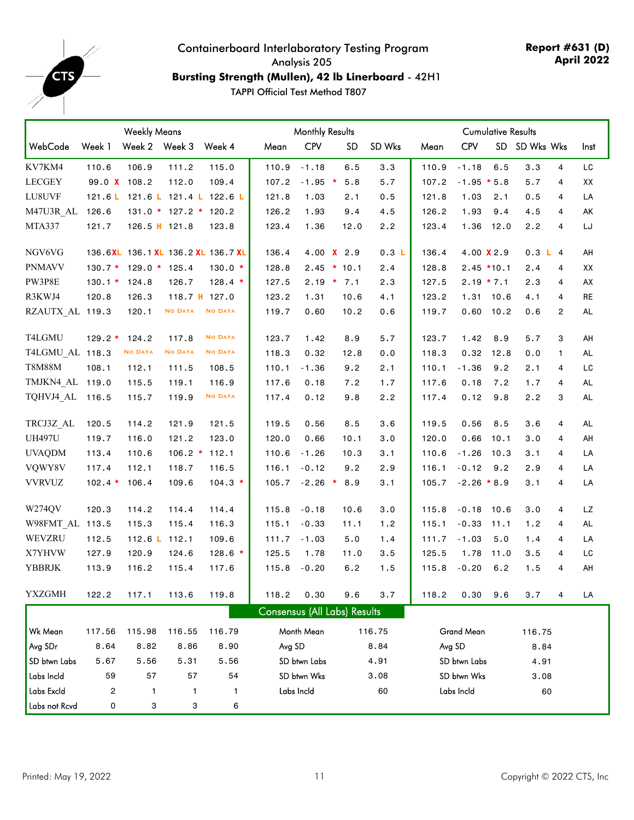

## Containerboard Interlaboratory Testing Program Analysis 205 **Bursting Strength (Mullen), 42 lb Linerboard** - 42H1

|                 | <b>Weekly Means</b> |                         |                | <b>Monthly Results</b>             |                              |              |               | <b>Cumulative Results</b> |       |                   |              |               |                |           |
|-----------------|---------------------|-------------------------|----------------|------------------------------------|------------------------------|--------------|---------------|---------------------------|-------|-------------------|--------------|---------------|----------------|-----------|
| WebCode         | Week 1              | Week 2 Week 3           |                | Week 4                             | Mean                         | <b>CPV</b>   | <b>SD</b>     | SD Wks                    | Mean  | <b>CPV</b>        |              | SD SD Wks Wks |                | Inst      |
| KV7KM4          | 110.6               | 106.9                   | 111.2          | 115.0                              | 110.9                        | $-1.18$      | 6.5           | 3.3                       | 110.9 | $-1.18$           | 6.5          | 3.3           | $\overline{4}$ | LC        |
| <b>LECGEY</b>   | 99.0 X 108.2        |                         | 112.0          | 109.4                              | 107.2                        |              | $-1.95$ * 5.8 | 5.7                       | 107.2 | $-1.95 * 5.8$     |              | 5.7           | 4              | XX        |
| LU8UVF          |                     |                         |                | 121.6 L 121.6 L 121.4 L 122.6 L    | 121.8                        | 1.03         | 2.1           | 0.5                       | 121.8 | 1.03              | 2.1          | 0.5           | 4              | LA        |
| M47U3R AL       | 126.6               | $131.0 * 127.2 * 120.2$ |                |                                    | 126.2                        | 1.93         | 9.4           | 4.5                       | 126.2 | 1.93              | 9.4          | 4.5           | 4              | AK        |
| MTA337          | 121.7               | 126.5 H 121.8           |                | 123.8                              | 123.4                        | 1.36         | 12.0          | 2.2                       | 123.4 | 1.36              | 12.0         | 2.2           | 4              | LJ        |
| NGV6VG          |                     |                         |                | 136.6XL 136.1 XL 136.2 XL 136.7 XL | 136.4                        |              | 4.00 X 2.9    | 0.3 L                     | 136.4 |                   | 4.00 X 2.9   | 0.3 L 4       |                | AH        |
| <b>PNMAVV</b>   |                     | $130.7 * 129.0 * 125.4$ |                | $130.0*$                           | 128.8                        |              | $2.45$ * 10.1 | 2.4                       | 128.8 |                   | $2.45$ *10.1 | 2.4           | 4              | XX        |
| PW3P8E          | $130.1 * 124.8$     |                         | 126.7          | $128.4*$                           | 127.5                        |              | $2.19 * 7.1$  | 2.3                       | 127.5 |                   | $2.19 * 7.1$ | 2.3           | 4              | AX        |
| R3KWJ4          | 120.8               | 126.3                   | 118.7 H 127.0  |                                    | 123.2                        | 1.31         | 10.6          | 4.1                       | 123.2 | 1.31              | 10.6         | 4.1           | 4              | RE        |
| RZAUTX AL 119.3 |                     | 120.1                   | <b>NO DATA</b> | <b>NO DATA</b>                     | 119.7                        | 0.60         | 10.2          | 0.6                       | 119.7 |                   | $0.60$ 10.2  | 0.6           | $\overline{c}$ | <b>AL</b> |
| T4LGMU          | $129.2*$            | 124.2                   | 117.8          | <b>NO DATA</b>                     | 123.7                        | 1.42         | 8.9           | 5.7                       | 123.7 | 1.42              | 8.9          | 5.7           | 3              | AH        |
| T4LGMU AL 118.3 |                     | <b>NO DATA</b>          | <b>NO DATA</b> | <b>NO DATA</b>                     | 118.3                        | 0.32         | 12.8          | 0.0                       | 118.3 | 0.32              | 12.8         | 0.0           | 1              | AL        |
| <b>T8M88M</b>   | 108.1               | 112.1                   | 111.5          | 108.5                              | 110.1                        | $-1.36$      | 9.2           | 2.1                       | 110.1 | $-1.36$           | 9.2          | 2.1           | 4              | LC        |
| TMJKN4 AL 119.0 |                     | 115.5                   | 119.1          | 116.9                              | 117.6                        | 0.18         | 7.2           | 1.7                       | 117.6 | 0.18              | 7.2          | 1.7           | 4              | <b>AL</b> |
| TQHVJ4 AL       | 116.5               | 115.7                   | 119.9          | <b>NO DATA</b>                     | 117.4                        | 0.12         | 9.8           | 2.2                       | 117.4 | 0.12              | 9.8          | 2.2           | 3              | AL        |
| TRCJ3Z AL       | 120.5               | 114.2                   | 121.9          | 121.5                              | 119.5                        | 0.56         | 8.5           | 3.6                       | 119.5 | 0.56              | 8.5          | 3.6           | 4              | <b>AL</b> |
| <b>UH497U</b>   | 119.7               | 116.0                   | 121.2          | 123.0                              | 120.0                        | 0.66         | 10.1          | 3.0                       | 120.0 | 0.66              | 10.1         | 3.0           | 4              | AH        |
| <b>UVAQDM</b>   | 113.4               | 110.6                   | $106.2 *$      | 112.1                              | 110.6                        | $-1.26$      | 10.3          | 3.1                       | 110.6 | $-1.26$           | 10.3         | 3.1           | 4              | LA        |
| VQWY8V          | 117.4               | 112.1                   | 118.7          | 116.5                              | 116.1                        | $-0.12$      | 9.2           | 2.9                       | 116.1 | $-0.12$           | 9.2          | 2.9           | 4              | LA        |
| <b>VVRVUZ</b>   | $102.4*$            | 106.4                   | 109.6          | $104.3*$                           | 105.7                        | $-2.26$ *    | 8.9           | 3.1                       | 105.7 | $-2.26 * 8.9$     |              | 3.1           | 4              | LA        |
| W274QV          | 120.3               | 114.2                   | 114.4          | 114.4                              | 115.8                        | $-0.18$      | 10.6          | 3.0                       | 115.8 | $-0.18$           | 10.6         | 3.0           | 4              | <b>LZ</b> |
| W98FMT AL 113.5 |                     | 115.3                   | 115.4          | 116.3                              | 115.1                        | $-0.33$      | 11.1          | 1.2                       | 115.1 | $-0.33$           | 11.1         | 1.2           | 4              | <b>AL</b> |
| WEVZRU          | 112.5               | 112.6 L 112.1           |                | 109.6                              | 111.7                        | $-1.03$      | 5.0           | 1.4                       | 111.7 | $-1.03$           | 5.0          | 1.4           | 4              | LA        |
| X7YHVW          | 127.9               | 120.9                   | 124.6          | $128.6*$                           | 125.5                        | 1.78         | 11.0          | 3.5                       | 125.5 | 1.78              | 11.0         | 3.5           | 4              | LC        |
| YBBRJK          | 113.9               | 116.2                   | 115.4          | 117.6                              | 115.8                        | $-0.20$      | 6.2           | 1.5                       | 115.8 | $-0.20$           | 6.2          | 1.5           | 4              | AH        |
| YXZGMH          | 122.2               | 117.1                   | 113.6          | 119.8                              | 118.2                        | 0.30         | 9.6           | 3.7                       | 118.2 |                   | $0.30$ $9.6$ | 3.7           | 4              | LA        |
|                 |                     |                         |                |                                    | Consensus (All Labs) Results |              |               |                           |       |                   |              |               |                |           |
| Wk Mean         | 117.56              | 115.98                  | 116.55         | 116.79                             |                              | Month Mean   |               | 116.75                    |       | <b>Grand Mean</b> |              | 116.75        |                |           |
| Avg SDr         | 8.64                | 8.82                    | 8.86           | 8.90                               | Avg SD                       |              |               | 8.84                      |       | Avg SD            |              | 8.84          |                |           |
| SD btwn Labs    | 5.67                | 5.56                    | 5.31           | 5.56                               |                              | SD btwn Labs |               | 4.91                      |       | SD btwn Labs      |              | 4.91          |                |           |
| Labs Incld      | 59                  | 57                      | 57             | 54                                 |                              | SD btwn Wks  |               | 3.08                      |       | SD btwn Wks       |              | 3.08          |                |           |
| Labs Excld      | 2                   | $\mathbf{1}$            | 1              | 1                                  |                              | Labs Incld   |               | 60                        |       | Labs Incld        |              | 60            |                |           |
| Labs not Rcvd   | 0                   | 3                       | 3              | 6                                  |                              |              |               |                           |       |                   |              |               |                |           |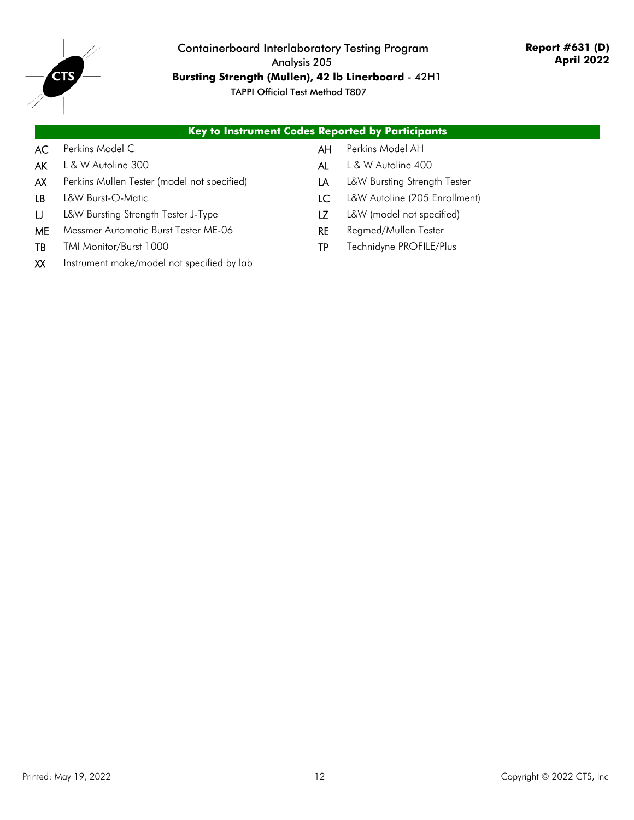

## Containerboard Interlaboratory Testing Program Analysis 205 **Bursting Strength (Mullen), 42 lb Linerboard** - 42H1

|      | <b>Key to Instrument Codes Reported by Participants</b> |     |                               |
|------|---------------------------------------------------------|-----|-------------------------------|
| AC . | Perkins Model C                                         | AH. | Perkins Model AH              |
| AK   | L & W Autoline 300                                      | AL  | L & W Autoline 400            |
| AX   | Perkins Mullen Tester (model not specified)             | LA. | L&W Bursting Strength Tester  |
| IB.  | L&W Burst-O-Matic                                       | LC. | L&W Autoline (205 Enrollment) |
| IJ.  | L&W Bursting Strength Tester J-Type                     |     | L&W (model not specified)     |

- ME Messmer Automatic Burst Tester ME-06 RE Regmed/Mullen Tester
- 
- XX Instrument make/model not specified by lab
- 
- TB TMI Monitor/Burst 1000 TP Technidyne PROFILE/Plus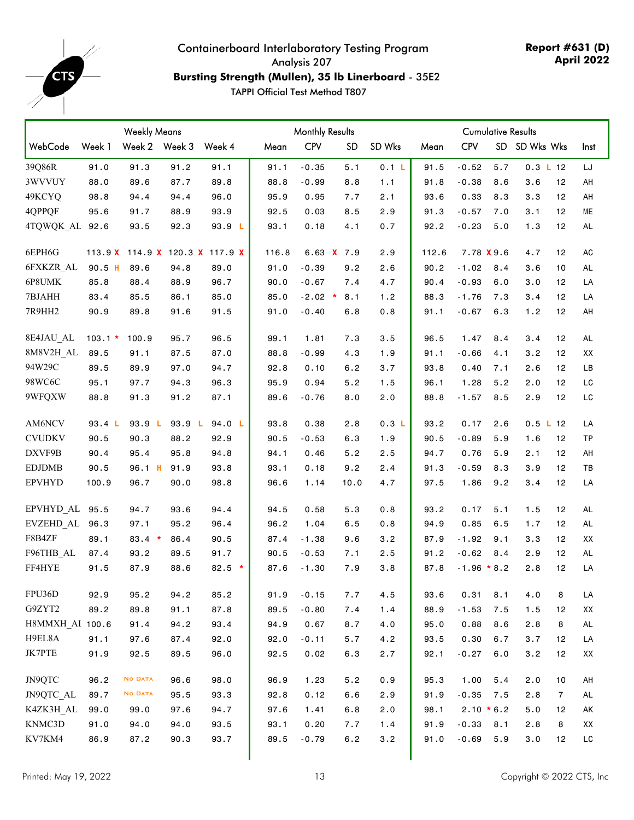<span id="page-12-0"></span>

## Containerboard Interlaboratory Testing Program Analysis 207 **Bursting Strength (Mullen), 35 lb Linerboard** - 35E2

|                           | <b>Weekly Means</b> |                |               |                         | <b>Monthly Results</b> |            |              |        | <b>Cumulative Results</b> |               |     |               |                |           |
|---------------------------|---------------------|----------------|---------------|-------------------------|------------------------|------------|--------------|--------|---------------------------|---------------|-----|---------------|----------------|-----------|
| WebCode                   | Week 1              |                | Week 2 Week 3 | Week 4                  | Mean                   | <b>CPV</b> | <b>SD</b>    | SD Wks | Mean                      | <b>CPV</b>    |     | SD SD Wks Wks |                | Inst      |
| 39Q86R                    | 91.0                | 91.3           | 91.2          | 91.1                    | 91.1                   | $-0.35$    | 5.1          | 0.1 L  | 91.5                      | $-0.52$       | 5.7 | $0.3$ L 12    |                | LJ        |
| 3WVVUY                    | 88.0                | 89.6           | 87.7          | 89.8                    | 88.8                   | $-0.99$    | 8.8          | 1.1    | 91.8                      | $-0.38$       | 8.6 | 3.6           | 12             | AH        |
| 49KCYQ                    | 98.8                | 94.4           | 94.4          | 96.0                    | 95.9                   | 0.95       | 7.7          | 2.1    | 93.6                      | 0.33          | 8.3 | 3.3           | 12             | AH        |
| 4QPPQF                    | 95.6                | 91.7           | 88.9          | 93.9                    | 92.5                   | 0.03       | 8.5          | 2.9    | 91.3                      | $-0.57$       | 7.0 | 3.1           | 12             | MЕ        |
| 4TQWQK AL                 | 92.6                | 93.5           | 92.3          | 93.9 L                  | 93.1                   | 0.18       | 4.1          | 0.7    | 92.2                      | $-0.23$       | 5.0 | 1.3           | 12             | AL        |
| 6EPH6G                    | 113.9 X             |                |               | 114.9 X 120.3 X 117.9 X | 116.8                  |            | 6.63 $X$ 7.9 | 2.9    | 112.6                     | 7.78 X 9.6    |     | 4.7           | 12             | AC        |
| 6FXKZR AL                 | $90.5$ H            | 89.6           | 94.8          | 89.0                    | 91.0                   | $-0.39$    | 9.2          | 2.6    | 90.2                      | $-1.02$       | 8.4 | 3.6           | 10             | <b>AL</b> |
| 6P8UMK                    | 85.8                | 88.4           | 88.9          | 96.7                    | 90.0                   | $-0.67$    | 7.4          | 4.7    | 90.4                      | $-0.93$       | 6.0 | 3.0           | 12             | LA        |
| 7BJAHH                    | 83.4                | 85.5           | 86.1          | 85.0                    | 85.0                   | $-2.02$ *  | 8.1          | 1.2    | 88.3                      | $-1.76$       | 7.3 | 3.4           | 12             | LA        |
| 7R9HH2                    | 90.9                | 89.8           | 91.6          | 91.5                    | 91.0                   | $-0.40$    | 6.8          | 0.8    | 91.1                      | $-0.67$       | 6.3 | 1.2           | 12             | AH        |
| 8E4JAU AL                 | $103.1*$            | 100.9          | 95.7          | 96.5                    | 99.1                   | 1.81       | 7.3          | 3.5    | 96.5                      | 1.47          | 8.4 | 3.4           | 12             | <b>AL</b> |
| 8M8V2H AL                 | 89.5                | 91.1           | 87.5          | 87.0                    | 88.8                   | $-0.99$    | 4.3          | 1.9    | 91.1                      | $-0.66$       | 4.1 | 3.2           | 12             | XX        |
| 94W29C                    | 89.5                | 89.9           | 97.0          | 94.7                    | 92.8                   | 0.10       | 6.2          | 3.7    | 93.8                      | 0.40          | 7.1 | 2.6           | 12             | LB        |
| 98WC6C                    | 95.1                | 97.7           | 94.3          | 96.3                    | 95.9                   | 0.94       | 5.2          | 1.5    | 96.1                      | 1.28          | 5.2 | 2.0           | 12             | LC        |
| 9WFQXW                    | 88.8                | 91.3           | 91.2          | 87.1                    | 89.6                   | $-0.76$    | 8.0          | 2.0    | 88.8                      | $-1.57$       | 8.5 | 2.9           | 12             | LC        |
| AM6NCV                    | 93.4 L              | 93.9 L         | 93.9 L        | 94.0 L                  | 93.8                   | 0.38       | 2.8          | 0.3 L  | 93.2                      | 0.17          | 2.6 | 0.5 L 12      |                | LA        |
| <b>CVUDKV</b>             | 90.5                | 90.3           | 88.2          | 92.9                    | 90.5                   | $-0.53$    | 6.3          | 1.9    | 90.5                      | $-0.89$       | 5.9 | 1.6           | 12             | TP        |
| DXVF9B                    | 90.4                | 95.4           | 95.8          | 94.8                    | 94.1                   | 0.46       | 5.2          | 2.5    | 94.7                      | 0.76          | 5.9 | 2.1           | 12             | AH        |
| <b>EDJDMB</b>             | 90.5                | 96.1 H         | 91.9          | 93.8                    | 93.1                   | 0.18       | 9.2          | 2.4    | 91.3                      | $-0.59$       | 8.3 | 3.9           | 12             | TВ        |
| <b>EPVHYD</b>             | 100.9               | 96.7           | 90.0          | 98.8                    | 96.6                   | 1.14       | 10.0         | 4.7    | 97.5                      | 1.86          | 9.2 | 3.4           | 12             | LA        |
| EPVHYD <sub>AL</sub> 95.5 |                     | 94.7           | 93.6          | 94.4                    | 94.5                   | 0.58       | 5.3          | 0.8    | 93.2                      | 0.17          | 5.1 | 1.5           | 12             | <b>AL</b> |
| EVZEHD AL                 | 96.3                | 97.1           | 95.2          | 96.4                    | 96.2                   | 1.04       | 6.5          | 0.8    | 94.9                      | 0.85          | 6.5 | 1.7           | 12             | <b>AL</b> |
| F8B4ZF                    | 89.1                | $83.4*$        | 86.4          | 90.5                    | 87.4                   | $-1.38$    | 9.6          | 3.2    | 87.9                      | $-1.92$       | 9.1 | 3.3           | 12             | XX        |
| F96THB_AL                 | 87.4                | 93.2           | 89.5          | 91.7                    | 90.5                   | $-0.53$    | 7.1          | 2.5    | 91.2                      | $-0.62$       | 8.4 | 2.9           | 12             | <b>AL</b> |
| FF4HYE                    | 91.5                | 87.9           | 88.6          | $82.5$ *                | 87.6                   | $-1.30$    | 7.9          | 3.8    | 87.8                      | $-1.96 * 8.2$ |     | 2.8           | 12             | LA        |
| FPU36D                    | 92.9                | 95.2           | 94.2          | 85.2                    | 91.9                   | $-0.15$    | 7.7          | 4.5    | 93.6                      | 0.31          | 8.1 | 4.0           | 8              | LA        |
| G9ZYT2                    | 89.2                | 89.8           | 91.1          | 87.8                    | 89.5                   | $-0.80$    | 7.4          | 1.4    | 88.9                      | $-1.53$       | 7.5 | 1.5           | 12             | XX        |
| H8MMXH AI 100.6           |                     | 91.4           | 94.2          | 93.4                    | 94.9                   | 0.67       | 8.7          | 4.0    | 95.0                      | 0.88          | 8.6 | 2.8           | 8              | AL        |
| H9EL8A                    | 91.1                | 97.6           | 87.4          | 92.0                    | 92.0                   | $-0.11$    | 5.7          | 4.2    | 93.5                      | 0.30          | 6.7 | 3.7           | 12             | LA        |
| JK7PTE                    | 91.9                | 92.5           | 89.5          | 96.0                    | 92.5                   | 0.02       | 6.3          | 2.7    | 92.1                      | $-0.27$       | 6.0 | 3.2           | 12             | XX        |
| JN9QTC                    | 96.2                | <b>NO DATA</b> | 96.6          | 98.0                    | 96.9                   | 1.23       | 5.2          | 0.9    | 95.3                      | 1.00          | 5.4 | 2.0           | 10             | AH        |
| JN9QTC AL                 | 89.7                | <b>NO DATA</b> | 95.5          | 93.3                    | 92.8                   | 0.12       | 6.6          | 2.9    | 91.9                      | $-0.35$       | 7.5 | 2.8           | $\overline{7}$ | AL        |
| K4ZK3H AL                 | 99.0                | 99.0           | 97.6          | 94.7                    | 97.6                   | 1.41       | 6.8          | 2.0    | 98.1                      | $2.10 * 6.2$  |     | 5.0           | 12             | АK        |
| KNMC3D                    | 91.0                | 94.0           | 94.0          | 93.5                    | 93.1                   | 0.20       | 7.7          | 1.4    | 91.9                      | $-0.33$       | 8.1 | 2.8           | 8              | XX        |
| KV7KM4                    | 86.9                | 87.2           | 90.3          | 93.7                    | 89.5                   | $-0.79$    | 6.2          | 3.2    | 91.0                      | $-0.69$       | 5.9 | 3.0           | 12             | LC        |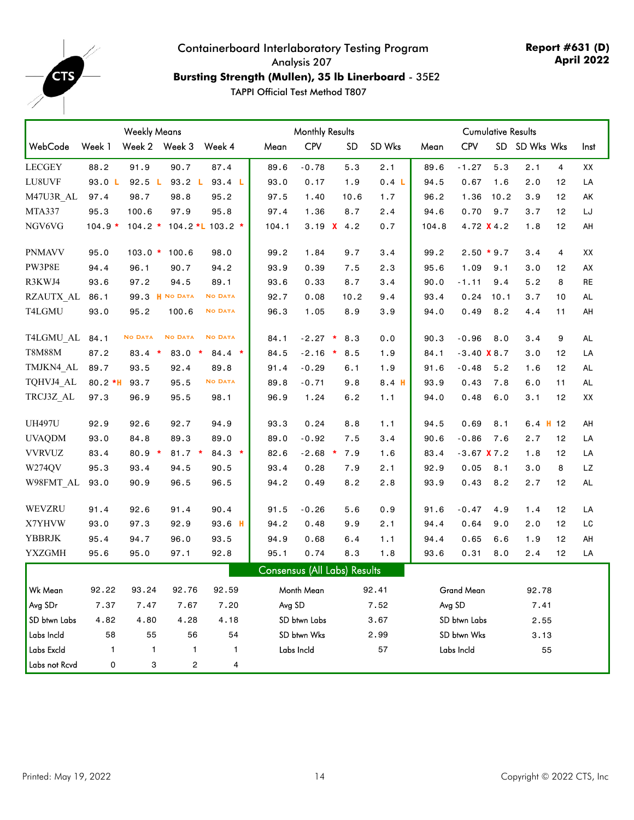

## Containerboard Interlaboratory Testing Program Analysis 207 **Bursting Strength (Mullen), 35 lb Linerboard** - 35E2

|                | <b>Monthly Results</b> |                |                 |                  | <b>Cumulative Results</b> |              |                                     |                  |       |               |      |               |    |           |
|----------------|------------------------|----------------|-----------------|------------------|---------------------------|--------------|-------------------------------------|------------------|-------|---------------|------|---------------|----|-----------|
| WebCode        | Week 1                 | Week 2 Week 3  |                 | Week 4           | Mean                      | <b>CPV</b>   | <b>SD</b>                           | SD Wks           | Mean  | <b>CPV</b>    |      | SD SD Wks Wks |    | Inst      |
| <b>LECGEY</b>  | 88.2                   | 91.9           | 90.7            | 87.4             | 89.6                      | $-0.78$      | 5.3                                 | 2.1              | 89.6  | $-1.27$       | 5.3  | 2.1           | 4  | XX        |
| LU8UVF         | 93.0 L                 | 92.5 L         | 93.2 L          | 93.4 L           | 93.0                      | 0.17         | 1.9                                 | 0.4 L            | 94.5  | 0.67          | 1.6  | 2.0           | 12 | LA        |
| M47U3R AL      | 97.4                   | 98.7           | 98.8            | 95.2             | 97.5                      | 1.40         | 10.6                                | 1.7              | 96.2  | 1.36          | 10.2 | 3.9           | 12 | AK        |
| MTA337         | 95.3                   | 100.6          | 97.9            | 95.8             | 97.4                      | 1.36         | 8.7                                 | 2.4              | 94.6  | 0.70          | 9.7  | 3.7           | 12 | LJ        |
| NGV6VG         | $104.9*$               | $104.2 *$      |                 | 104.2 *L 103.2 * | 104.1                     |              | 3.19 $X$ 4.2                        | 0.7              | 104.8 | 4.72 X 4.2    |      | 1.8           | 12 | AH        |
| <b>PNMAVV</b>  | 95.0                   | $103.0*$       | 100.6           | 98.0             | 99.2                      | 1.84         | 9.7                                 | 3.4              | 99.2  | $2.50 * 9.7$  |      | 3.4           | 4  | XX        |
| PW3P8E         | 94.4                   | 96.1           | 90.7            | 94.2             | 93.9                      | 0.39         | 7.5                                 | 2.3              | 95.6  | 1.09          | 9.1  | 3.0           | 12 | AX        |
| R3KWJ4         | 93.6                   | 97.2           | 94.5            | 89.1             | 93.6                      | 0.33         | 8.7                                 | 3.4              | 90.0  | $-1.11$       | 9.4  | 5.2           | 8  | RE        |
| RZAUTX AL      | 86.1                   |                | 99.3 Н № DATA   | <b>NO DATA</b>   | 92.7                      | 0.08         | 10.2                                | 9.4              | 93.4  | 0.24          | 10.1 | 3.7           | 10 | <b>AL</b> |
| T4LGMU         | 93.0                   | 95.2           | 100.6           | <b>NO DATA</b>   | 96.3                      | 1.05         | 8.9                                 | 3.9              | 94.0  | 0.49          | 8.2  | 4.4           | 11 | AH        |
| T4LGMU AL 84.1 |                        | <b>NO DATA</b> | <b>NO DATA</b>  | <b>NO DATA</b>   | 84.1                      | $-2.27$ *    | 8.3                                 | 0.0              | 90.3  | $-0.96$       | 8.0  | 3.4           | 9  | <b>AL</b> |
| <b>T8M88M</b>  | 87.2                   | $83.4*$        | 83.0<br>$\star$ | $84.4 *$         | 84.5                      | $-2.16$ *    | 8.5                                 | 1.9              | 84.1  | $-3.40$ X 8.7 |      | 3.0           | 12 | LA        |
| TMJKN4 AL      | 89.7                   | 93.5           | 92.4            | 89.8             | 91.4                      | $-0.29$      | 6.1                                 | 1.9              | 91.6  | $-0.48$       | 5.2  | 1.6           | 12 | AL        |
| TQHVJ4 AL      | $80.2*H$               | 93.7           | 95.5            | <b>NO DATA</b>   | 89.8                      | $-0.71$      | 9.8                                 | 8.4 <sub>H</sub> | 93.9  | 0.43          | 7.8  | 6.0           | 11 | <b>AL</b> |
| TRCJ3Z AL      | 97.3                   | 96.9           | 95.5            | 98.1             | 96.9                      | 1.24         | 6.2                                 | 1.1              | 94.0  | 0.48          | 6.0  | 3.1           | 12 | XX        |
| <b>UH497U</b>  | 92.9                   | 92.6           | 92.7            | 94.9             | 93.3                      | 0.24         | 8.8                                 | 1.1              | 94.5  | 0.69          | 8.1  | $6.4$ H 12    |    | AH        |
| <b>UVAQDM</b>  | 93.0                   | 84.8           | 89.3            | 89.0             | 89.0                      | $-0.92$      | 7.5                                 | 3.4              | 90.6  | $-0.86$       | 7.6  | 2.7           | 12 | LA        |
| <b>VVRVUZ</b>  | 83.4                   | $80.9 *$       | $81.7*$         | $84.3*$          | 82.6                      | $-2.68$ *    | 7.9                                 | 1.6              | 83.4  | $-3.67$ X 7.2 |      | 1.8           | 12 | LA        |
| W274QV         | 95.3                   | 93.4           | 94.5            | 90.5             | 93.4                      | 0.28         | 7.9                                 | 2.1              | 92.9  | 0.05          | 8.1  | 3.0           | 8  | LZ        |
| W98FMT AL      | 93.0                   | 90.9           | 96.5            | 96.5             | 94.2                      | 0.49         | 8.2                                 | 2.8              | 93.9  | 0.43          | 8.2  | 2.7           | 12 | AL        |
| WEVZRU         | 91.4                   | 92.6           | 91.4            | 90.4             | 91.5                      | $-0.26$      | 5.6                                 | 0.9              | 91.6  | $-0.47$       | 4.9  | 1.4           | 12 | LA        |
| X7YHVW         | 93.0                   | 97.3           | 92.9            | $93.6$ H         | 94.2                      | 0.48         | 9.9                                 | 2.1              | 94.4  | 0.64          | 9.0  | 2.0           | 12 | LC        |
| <b>YBBRJK</b>  | 95.4                   | 94.7           | 96.0            | 93.5             | 94.9                      | 0.68         | 6.4                                 | 1.1              | 94.4  | 0.65          | 6.6  | 1.9           | 12 | AH        |
| <b>YXZGMH</b>  | 95.6                   | 95.0           | 97.1            | 92.8             | 95.1                      | 0.74         | 8.3                                 | 1.8              | 93.6  | 0.31          | 8.0  | 2.4           | 12 | LA        |
|                |                        |                |                 |                  |                           |              | <b>Consensus (All Labs) Results</b> |                  |       |               |      |               |    |           |
| Wk Mean        | 92.22                  | 93.24          | 92.76           | 92.59            |                           | Month Mean   |                                     | 92.41            |       | Grand Mean    |      | 92.78         |    |           |
| Avg SDr        | 7.37                   | 7.47           | 7.67            | 7.20             | Avg SD                    |              |                                     | 7.52             |       | Avg SD        |      | 7.41          |    |           |
| SD btwn Labs   | 4.82                   | 4.80           | 4.28            | 4.18             |                           | SD btwn Labs |                                     | 3.67             |       | SD btwn Labs  |      | 2.55          |    |           |
| Labs Incld     | 58                     | 55             | 56              | 54               |                           | SD btwn Wks  |                                     | 2.99             |       | SD btwn Wks   |      | 3.13          |    |           |
| Labs Excld     | 1                      | 1              | $\mathbf{1}$    | 1                |                           | Labs Incld   |                                     | 57               |       | Labs Incld    |      | 55            |    |           |
| Labs not Rcvd  | 0                      | 3              | 2               | 4                |                           |              |                                     |                  |       |               |      |               |    |           |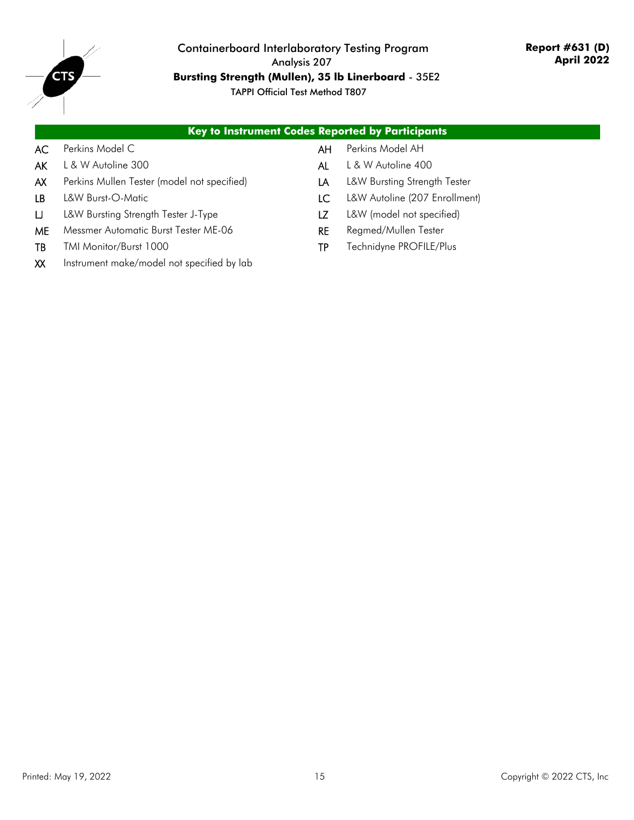

## Containerboard Interlaboratory Testing Program Analysis 207 **Bursting Strength (Mullen), 35 lb Linerboard** - 35E2

|      | Key to Instrument Codes Reported by Participants |     |                               |
|------|--------------------------------------------------|-----|-------------------------------|
| AC . | Perkins Model C                                  | AH  | Perkins Model AH              |
| AKI  | L & W Autoline 300                               | AL  | L & W Autoline 400            |
| AX . | Perkins Mullen Tester (model not specified)      | LA  | L&W Bursting Strength Tester  |
| LB.  | L&W Burst-O-Matic                                | LC. | L&W Autoline (207 Enrollment) |
| IJ.  | L&W Bursting Strength Tester J-Type              |     | L&W (model not specified)     |
|      |                                                  |     |                               |

- ME Messmer Automatic Burst Tester ME-06 RE Regmed/Mullen Tester
- 
- XX Instrument make/model not specified by lab
- 
- TB TMI Monitor/Burst 1000 TP Technidyne PROFILE/Plus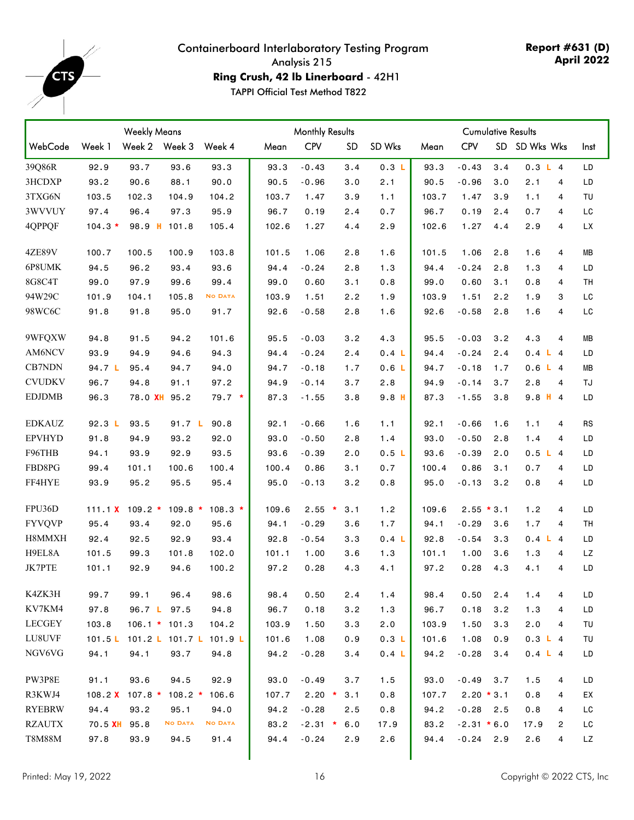<span id="page-15-0"></span>

#### Containerboard Interlaboratory Testing Program Analysis 215 **Ring Crush, 42 lb Linerboard** - 42H1

**Report #631 (D) April 2022**

|               | <b>Weekly Means</b> |                          |                 |                         | <b>Monthly Results</b> |            |           |                  | <b>Cumulative Results</b> |               |     |               |           |
|---------------|---------------------|--------------------------|-----------------|-------------------------|------------------------|------------|-----------|------------------|---------------------------|---------------|-----|---------------|-----------|
| WebCode       | Week 1              |                          | Week 2 Week 3   | Week 4                  | Mean                   | <b>CPV</b> | <b>SD</b> | SD Wks           | Mean                      | <b>CPV</b>    |     | SD SD Wks Wks | Inst      |
| 39Q86R        | 92.9                | 93.7                     | 93.6            | 93.3                    | 93.3                   | $-0.43$    | 3.4       | 0.3 L            | 93.3                      | $-0.43$       | 3.4 | 0.3 L 4       | LD        |
| 3HCDXP        | 93.2                | 90.6                     | 88.1            | 90.0                    | 90.5                   | $-0.96$    | 3.0       | 2.1              | 90.5                      | $-0.96$       | 3.0 | 2.1<br>4      | LD        |
| 3TXG6N        | 103.5               | 102.3                    | 104.9           | 104.2                   | 103.7                  | 1.47       | 3.9       | 1.1              | 103.7                     | 1.47          | 3.9 | 1.1<br>4      | TU        |
| 3WVVUY        | 97.4                | 96.4                     | 97.3            | 95.9                    | 96.7                   | 0.19       | 2.4       | 0.7              | 96.7                      | 0.19          | 2.4 | 0.7<br>4      | LC        |
| 4QPPQF        | $104.3*$            |                          | 98.9 H 101.8    | 105.4                   | 102.6                  | 1.27       | 4.4       | 2.9              | 102.6                     | 1.27          | 4.4 | 2.9<br>4      | <b>LX</b> |
| <b>4ZE89V</b> | 100.7               | 100.5                    | 100.9           | 103.8                   | 101.5                  | 1.06       | 2.8       | 1.6              | 101.5                     | 1.06          | 2.8 | 1.6<br>4      | MВ        |
| 6P8UMK        | 94.5                | 96.2                     | 93.4            | 93.6                    | 94.4                   | $-0.24$    | 2.8       | 1.3              | 94.4                      | $-0.24$       | 2.8 | 1.3<br>4      | LD        |
| 8G8C4T        | 99.0                | 97.9                     | 99.6            | 99.4                    | 99.0                   | 0.60       | 3.1       | 0.8              | 99.0                      | 0.60          | 3.1 | 0.8<br>4      | TН        |
| 94W29C        | 101.9               | 104.1                    | 105.8           | <b>NO DATA</b>          | 103.9                  | 1.51       | 2.2       | 1.9              | 103.9                     | 1.51          | 2.2 | 1.9<br>3      | LC        |
| 98WC6C        | 91.8                | 91.8                     | 95.0            | 91.7                    | 92.6                   | $-0.58$    | 2.8       | 1.6              | 92.6                      | $-0.58$       | 2.8 | 1.6<br>4      | LC        |
| 9WFQXW        | 94.8                | 91.5                     | 94.2            | 101.6                   | 95.5                   | $-0.03$    | 3.2       | 4.3              | 95.5                      | $-0.03$       | 3.2 | 4.3<br>4      | MВ        |
| AM6NCV        | 93.9                | 94.9                     | 94.6            | 94.3                    | 94.4                   | $-0.24$    | 2.4       | 0.4 <sub>L</sub> | 94.4                      | $-0.24$       | 2.4 | 0.4 L 4       | LD        |
| CB7NDN        | 94.7 L              | 95.4                     | 94.7            | 94.0                    | 94.7                   | $-0.18$    | 1.7       | 0.6 <sub>L</sub> | 94.7                      | $-0.18$       | 1.7 | 0.6 L 4       | MВ        |
| <b>CVUDKV</b> | 96.7                | 94.8                     | 91.1            | 97.2                    | 94.9                   | $-0.14$    | 3.7       | 2.8              | 94.9                      | $-0.14$       | 3.7 | 2.8<br>4      | TJ        |
| <b>EDJDMB</b> | 96.3                | 78.0 XH                  | 95.2            | $79.7*$                 | 87.3                   | $-1.55$    | 3.8       | 9.8 <sub>H</sub> | 87.3                      | $-1.55$       | 3.8 | $9.8$ H 4     | LD        |
| <b>EDKAUZ</b> | 92.3 L              | 93.5                     | 91.7 L          | 90.8                    | 92.1                   | $-0.66$    | 1.6       | 1.1              | 92.1                      | $-0.66$       | 1.6 | 1.1<br>4      | <b>RS</b> |
| <b>EPVHYD</b> | 91.8                | 94.9                     | 93.2            | 92.0                    | 93.0                   | $-0.50$    | 2.8       | 1.4              | 93.0                      | $-0.50$       | 2.8 | 1.4<br>4      | LD        |
| F96THB        | 94.1                | 93.9                     | 92.9            | 93.5                    | 93.6                   | $-0.39$    | 2.0       | 0.5L             | 93.6                      | $-0.39$       | 2.0 | 0.5 L 4       | LD        |
| FBD8PG        | 99.4                | 101.1                    | 100.6           | 100.4                   | 100.4                  | 0.86       | 3.1       | 0.7              | 100.4                     | 0.86          | 3.1 | 0.7<br>4      | LD        |
| FF4HYE        | 93.9                | 95.2                     | 95.5            | 95.4                    | 95.0                   | $-0.13$    | 3.2       | 0.8              | 95.0                      | $-0.13$       | 3.2 | 0.8<br>4      | LD        |
| FPU36D        | 111.1 <b>X</b>      | $109.2 *$                | $109.8*$        | $108.3*$                | 109.6                  | $2.55$ *   | 3.1       | 1.2              | 109.6                     | $2.55 * 3.1$  |     | 1.2<br>4      | LD        |
| <b>FYVQVP</b> | 95.4                | 93.4                     | 92.0            | 95.6                    | 94.1                   | $-0.29$    | 3.6       | 1.7              | 94.1                      | $-0.29$       | 3.6 | 1.7<br>4      | TH        |
| H8MMXH        | 92.4                | 92.5                     | 92.9            | 93.4                    | 92.8                   | $-0.54$    | 3.3       | 0.4 <sub>L</sub> | 92.8                      | $-0.54$       | 3.3 | 0.4 L 4       | LD        |
| H9EL8A        | 101.5               | 99.3                     | 101.8           | 102.0                   | 101.1                  | 1.00       | 3.6       | 1.3              | 101.1                     | 1.00          | 3.6 | 1.3<br>4      | LZ.       |
| JK7PTE        | 101.1               | 92.9                     | 94.6            | 100.2                   | 97.2                   | 0.28       | 4.3       | 4.1              | 97.2                      | 0.28          | 4.3 | 4.1<br>4      | LD        |
| K4ZK3H        | 99.7                | 99.1                     | 96.4            | 98.6                    | 98.4                   | 0.50       | 2.4       | 1.4              | 98.4                      | 0.50          | 2.4 | 1.4<br>4      | LD        |
| KV7KM4        | 97.8                |                          | 96.7 L 97.5     | 94.8                    | 96.7                   | 0.18       | 3.2       | 1.3              | 96.7                      | 0.18          | 3.2 | 1.3<br>4      | LD        |
| <b>LECGEY</b> | 103.8               |                          | $106.1 * 101.3$ | 104.2                   | 103.9                  | 1.50       | 3.3       | 2.0              | 103.9                     | 1.50          | 3.3 | 2.0<br>4      | TU        |
| LU8UVF        | 101.5 L             |                          |                 | 101.2 L 101.7 L 101.9 L | 101.6                  | 1.08       | 0.9       | 0.3 L            | 101.6                     | 1.08          | 0.9 | 0.3 L 4       | TU        |
| NGV6VG        | 94.1                | 94.1                     | 93.7            | 94.8                    | 94.2                   | $-0.28$    | 3.4       | 0.4 L            | 94.2                      | $-0.28$       | 3.4 | 0.4 L 4       | LD        |
| PW3P8E        | 91.1                | 93.6                     | 94.5            | 92.9                    | 93.0                   | $-0.49$    | 3.7       | 1.5              | 93.0                      | $-0.49$       | 3.7 | 1.5<br>4      | LD        |
| R3KWJ4        |                     | 108.2 $\times$ 107.8 $*$ | $108.2 *$       | 106.6                   | 107.7                  | $2.20$ *   | 3.1       | 0.8              | 107.7                     | $2.20 * 3.1$  |     | 0.8<br>4      | ЕX        |
| <b>RYEBRW</b> | 94.4                | 93.2                     | 95.1            | 94.0                    | 94.2                   | $-0.28$    | 2.5       | 0.8              | 94.2                      | $-0.28$ 2.5   |     | 0.8<br>4      | LC        |
| <b>RZAUTX</b> | 70.5 <b>XH</b>      | 95.8                     | <b>NO DATA</b>  | <b>NO DATA</b>          | 83.2                   | $-2.31$ *  | 6.0       | 17.9             | 83.2                      | $-2.31 * 6.0$ |     | 17.9<br>2     | LC        |
| T8M88M        | 97.8                | 93.9                     | 94.5            | 91.4                    | 94.4                   | $-0.24$    | 2.9       | 2.6              | 94.4                      | $-0.24$ 2.9   |     | 2.6<br>4      | LZ        |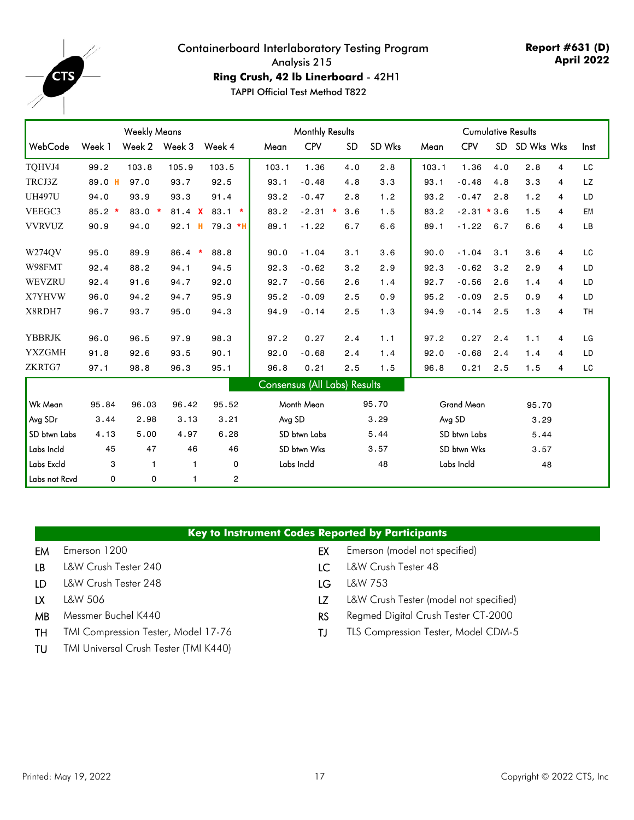

**Report #631 (D) April 2022**

**Ring Crush, 42 lb Linerboard** - 42H1 TAPPI Official Test Method T822

|               |                 | <b>Monthly Results</b> |                   |                |                              |              |               | <b>Cumulative Results</b> |       |                   |           |            |   |           |
|---------------|-----------------|------------------------|-------------------|----------------|------------------------------|--------------|---------------|---------------------------|-------|-------------------|-----------|------------|---|-----------|
| WebCode       | Week 1          | Week 2                 | Week 3            | Week 4         | Mean                         | <b>CPV</b>   | <b>SD</b>     | SD Wks                    | Mean  | <b>CPV</b>        | <b>SD</b> | SD Wks Wks |   | Inst      |
| TQHVJ4        | 99.2            | 103.8                  | 105.9             | 103.5          | 103.1                        | 1.36         | 4.0           | 2.8                       | 103.1 | 1.36              | 4.0       | 2.8        | 4 | LC        |
| TRCJ3Z        | 89.0 H          | 97.0                   | 93.7              | 92.5           | 93.1                         | $-0.48$      | 4.8           | 3.3                       | 93.1  | $-0.48$           | 4.8       | 3.3        | 4 | LZ        |
| <b>UH497U</b> | 94.0            | 93.9                   | 93.3              | 91.4           | 93.2                         | $-0.47$      | 2.8           | 1.2                       | 93.2  | $-0.47$           | 2.8       | 1.2        | 4 | LD        |
| VEEGC3        | 85.2<br>$\star$ | 83.0                   | $\star$<br>81.4 X | $83.1*$        | 83.2                         | $-2.31$      | 3.6<br>$\ast$ | 1.5                       | 83.2  | $-2.31 * 3.6$     |           | 1.5        | 4 | EM        |
| <b>VVRVUZ</b> | 90.9            | 94.0                   | 92.1              | н<br>$79.3$ *H | 89.1                         | $-1.22$      | 6.7           | 6.6                       | 89.1  | $-1.22$           | 6.7       | 6.6        | 4 | LB        |
| W274OV        | 95.0            | 89.9                   | 86.4              | 88.8<br>$\ast$ | 90.0                         | $-1.04$      | 3.1           | 3.6                       | 90.0  | $-1.04$           | 3.1       | 3.6        | 4 | LC        |
| W98FMT        | 92.4            | 88.2                   | 94.1              | 94.5           | 92.3                         | $-0.62$      | 3.2           | 2.9                       | 92.3  | $-0.62$           | 3.2       | 2.9        | 4 | LD        |
| WEVZRU        | 92.4            | 91.6                   | 94.7              | 92.0           | 92.7                         | $-0.56$      | 2.6           | 1.4                       | 92.7  | $-0.56$           | 2.6       | 1.4        | 4 | LD        |
| X7YHVW        | 96.0            | 94.2                   | 94.7              | 95.9           | 95.2                         | $-0.09$      | 2.5           | 0.9                       | 95.2  | $-0.09$           | 2.5       | 0.9        | 4 | LD        |
| X8RDH7        | 96.7            | 93.7                   | 95.0              | 94.3           | 94.9                         | $-0.14$      | 2.5           | 1.3                       | 94.9  | $-0.14$           | 2.5       | 1.3        | 4 | <b>TH</b> |
| <b>YBBRJK</b> | 96.0            | 96.5                   | 97.9              | 98.3           | 97.2                         | 0.27         | 2.4           | 1.1                       | 97.2  | 0.27              | 2.4       | 1.1        | 4 | LG        |
| <b>YXZGMH</b> | 91.8            | 92.6                   | 93.5              | 90.1           | 92.0                         | $-0.68$      | 2.4           | 1.4                       | 92.0  | $-0.68$           | 2.4       | 1.4        | 4 | LD        |
| ZKRTG7        | 97.1            | 98.8                   | 96.3              | 95.1           | 96.8                         | 0.21         | 2.5           | 1.5                       | 96.8  | 0.21              | 2.5       | 1.5        | 4 | LC        |
|               |                 |                        |                   |                | Consensus (All Labs) Results |              |               |                           |       |                   |           |            |   |           |
| Wk Mean       | 95.84           | 96.03                  | 96.42             | 95.52          |                              | Month Mean   |               | 95.70                     |       | <b>Grand Mean</b> |           | 95.70      |   |           |
| Avg SDr       | 3.44            | 2.98                   | 3.13              | 3.21           | Avg SD                       |              |               | 3.29                      |       | Avg SD            |           | 3.29       |   |           |
| SD btwn Labs  | 4.13            | 5.00                   | 4.97              | 6.28           |                              | SD btwn Labs |               | 5.44                      |       | SD btwn Labs      |           | 5.44       |   |           |
| Labs Incld    | 45              | 47                     | 46                | 46             |                              | SD btwn Wks  |               | 3.57                      |       | SD btwn Wks       |           | 3.57       |   |           |
| Labs Excld    | 3               | $\mathbf{1}$           | $\mathbf{1}$      | 0              |                              | Labs Incld   |               | 48                        |       | Labs Incld        |           | 48         |   |           |
| Labs not Rcvd | $\Omega$        | 0                      | 1                 | 2              |                              |              |               |                           |       |                   |           |            |   |           |

#### **Key to Instrument Codes Reported by Participants**

- 
- LB L&W Crush Tester 240 LC L&W Crush Tester 48
- LD L&W Crush Tester 248 LG L&W 753
- 
- 
- TH TMI Compression Tester, Model 17-76 TJ TLS Compression Tester, Model CDM-5
- TU TMI Universal Crush Tester (TMI K440)
- EM Emerson 1200 **EM** Emerson 1200 **EX** Emerson (model not specified)
	-
	-
- LX L&W 506 LZ L&W Crush Tester (model not specified)
- MB Messmer Buchel K440 **RS** Regmed Digital Crush Tester CT-2000
	-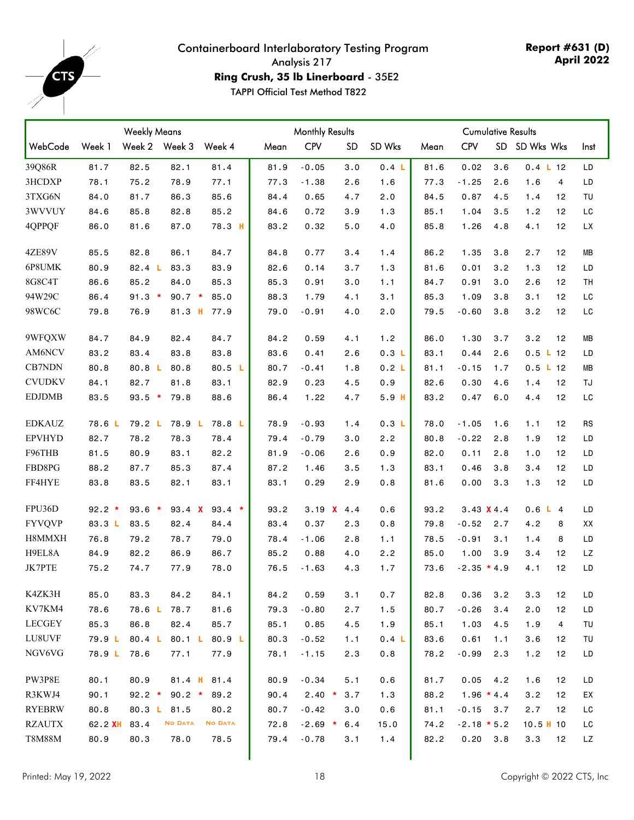<span id="page-17-0"></span>

**Report #631 (D) April 2022**

**Ring Crush, 35 lb Linerboard** - 35E2

|               |          | <b>Weekly Means</b> |                   |                |  | <b>Monthly Results</b> |            |              |                  | <b>Cumulative Results</b> |                   |     |                       |           |
|---------------|----------|---------------------|-------------------|----------------|--|------------------------|------------|--------------|------------------|---------------------------|-------------------|-----|-----------------------|-----------|
| WebCode       | Week 1   |                     | Week 2 Week 3     | Week 4         |  | Mean                   | <b>CPV</b> | <b>SD</b>    | SD Wks           | Mean                      | <b>CPV</b>        |     | SD SD Wks Wks         | Inst      |
| 39Q86R        | 81.7     | 82.5                | 82.1              | 81.4           |  | 81.9                   | $-0.05$    | 3.0          | 0.4 L            | 81.6                      | 0.02              | 3.6 | $0.4$ L 12            | LD        |
| 3HCDXP        | 78.1     | 75.2                | 78.9              | 77.1           |  | 77.3                   | $-1.38$    | 2.6          | 1.6              | 77.3                      | $-1.25$           | 2.6 | 1.6<br>4              | LD        |
| 3TXG6N        | 84.0     | 81.7                | 86.3              | 85.6           |  | 84.4                   | 0.65       | 4.7          | 2.0              | 84.5                      | 0.87              | 4.5 | 12<br>1.4             | TU        |
| 3WVVUY        | 84.6     | 85.8                | 82.8              | 85.2           |  | 84.6                   | 0.72       | 3.9          | 1.3              | 85.1                      | 1.04              | 3.5 | 1.2<br>12             | LC        |
| 4QPPQF        | 86.0     | 81.6                | 87.0              | 78.3 H         |  | 83.2                   | 0.32       | 5.0          | 4.0              | 85.8                      | 1.26              | 4.8 | 4.1<br>12             | LX        |
| <b>4ZE89V</b> | 85.5     | 82.8                | 86.1              | 84.7           |  | 84.8                   | 0.77       | 3.4          | 1.4              | 86.2                      | 1.35              | 3.8 | 2.7<br>12             | MВ        |
| 6P8UMK        | 80.9     | 82.4 L              | 83.3              | 83.9           |  | 82.6                   | 0.14       | 3.7          | 1.3              | 81.6                      | 0.01              | 3.2 | 1.3<br>12             | LD        |
| 8G8C4T        | 86.6     | 85.2                | 84.0              | 85.3           |  | 85.3                   | 0.91       | 3.0          | 1.1              | 84.7                      | 0.91              | 3.0 | 2.6<br>12             | TН        |
| 94W29C        | 86.4     | $91.3 *$            | $90.7 *$          | 85.0           |  | 88.3                   | 1.79       | 4.1          | 3.1              | 85.3                      | 1.09              | 3.8 | 3.1<br>12             | LC        |
| 98WC6C        | 79.8     | 76.9                |                   | 81.3 H 77.9    |  | 79.0                   | $-0.91$    | 4.0          | 2.0              | 79.5                      | $-0.60$           | 3.8 | 3.2<br>12             | LC        |
| 9WFQXW        | 84.7     | 84.9                | 82.4              | 84.7           |  | 84.2                   | 0.59       | 4.1          | 1.2              | 86.0                      | 1.30              | 3.7 | 3.2<br>12             | MВ        |
| AM6NCV        | 83.2     | 83.4                | 83.8              | 83.8           |  | 83.6                   | 0.41       | 2.6          | 0.3 L            | 83.1                      | 0.44              | 2.6 | 0.5 L 12              | LD        |
| CB7NDN        | 80.8     | 80.8 L              | 80.8              | 80.5 L         |  | 80.7                   | $-0.41$    | 1.8          | 0.2 L            | 81.1                      | $-0.15$           | 1.7 | 0.5 L 12              | MВ        |
| <b>CVUDKV</b> | 84.1     | 82.7                | 81.8              | 83.1           |  | 82.9                   | 0.23       | 4.5          | 0.9              | 82.6                      | 0.30              | 4.6 | 12<br>1.4             | TJ        |
| <b>EDJDMB</b> | 83.5     | $93.5 *$            | 79.8              | 88.6           |  | 86.4                   | 1.22       | 4.7          | 5.9 <sub>H</sub> | 83.2                      | 0.47              | 6.0 | 4.4<br>12             | LC        |
| <b>EDKAUZ</b> | 78.6 L   | 79.2 L              | 78.9 <sub>L</sub> | 78.8 L         |  | 78.9                   | $-0.93$    | 1.4          | 0.3 L            | 78.0                      | $-1.05$           | 1.6 | 1.1<br>12             | RS        |
| <b>EPVHYD</b> | 82.7     | 78.2                | 78.3              | 78.4           |  | 79.4                   | $-0.79$    | 3.0          | 2.2              | 80.8                      | $-0.22$           | 2.8 | 1.9<br>12             | LD        |
| F96THB        | 81.5     | 80.9                | 83.1              | 82.2           |  | 81.9                   | $-0.06$    | 2.6          | 0.9              | 82.0                      | 0.11              | 2.8 | 1.0<br>12             | LD        |
| FBD8PG        | 88.2     | 87.7                | 85.3              | 87.4           |  | 87.2                   | 1.46       | 3.5          | 1.3              | 83.1                      | 0.46              | 3.8 | 3.4<br>12             | LD        |
| FF4HYE        | 83.8     | 83.5                | 82.1              | 83.1           |  | 83.1                   | 0.29       | 2.9          | 0.8              | 81.6                      | 0.00              | 3.3 | 1.3<br>12             | LD        |
| FPU36D        | $92.2$ * | $93.6$ *            | 93.4 X            | $93.4 *$       |  | 93.2                   |            | 3.19 $X$ 4.4 | 0.6              | 93.2                      | $3.43 \times 4.4$ |     | 0.6 L 4               | LD        |
| <b>FYVQVP</b> | 83.3 L   | 83.5                | 82.4              | 84.4           |  | 83.4                   | 0.37       | 2.3          | 0.8              | 79.8                      | $-0.52$           | 2.7 | 4.2<br>8              | XX        |
| H8MMXH        | 76.8     | 79.2                | 78.7              | 79.0           |  | 78.4                   | $-1.06$    | 2.8          | 1.1              | 78.5                      | $-0.91$           | 3.1 | 8<br>1.4              | LD        |
| H9EL8A        | 84.9     | 82.2                | 86.9              | 86.7           |  | 85.2                   | 0.88       | 4.0          | 2.2              | 85.0                      | 1.00              | 3.9 | 12<br>3.4             | <b>LZ</b> |
| JK7PTE        | 75.2     | 74.7                | 77.9              | 78.0           |  | 76.5                   | $-1.63$    | 4.3          | 1.7              | 73.6                      | $-2.35 * 4.9$     |     | 4.1<br>12             | LD        |
| K4ZK3H        | 85.0     | 83.3                | 84.2              | 84.1           |  | 84.2                   | 0.59       | 3.1          | 0.7              | 82.8                      | 0.36              | 3.2 | 12<br>3.3             | LD        |
| KV7KM4        | 78.6     | 78.6 L              | 78.7              | 81.6           |  | 79.3                   | $-0.80$    | 2.7          | 1.5              | 80.7                      | $-0.26$           | 3.4 | 12<br>2.0             | LD        |
| <b>LECGEY</b> | 85.3     | 86.8                | 82.4              | 85.7           |  | 85.1                   | 0.85       | 4.5          | 1.9              | 85.1                      | 1.03              | 4.5 | $\overline{4}$<br>1.9 | TU        |
| LU8UVF        | 79.9 L   | 80.4 <sub>1</sub>   | 80.1 L            | 80.9 L         |  | 80.3                   | $-0.52$    | 1.1          | 0.4 L            | 83.6                      | 0.61              | 1.1 | 3.6<br>12             | TU        |
| NGV6VG        | 78.9 L   | 78.6                | 77.1              | 77.9           |  | 78.1                   | $-1.15$    | 2.3          | 0.8              | 78.2                      | $-0.99$           | 2.3 | 1.2<br>12             | LD        |
| PW3P8E        | 80.1     | 80.9                | 81.4 H            | 81.4           |  | 80.9                   | $-0.34$    | 5.1          | 0.6              | 81.7                      | $0.05$ 4.2        |     | 12<br>1.6             | LD        |
| R3KWJ4        | 90.1     | $92.2$ *            | $90.2 *$          | 89.2           |  | 90.4                   | $2.40*$    | 3.7          | 1.3              | 88.2                      | $1.96 * 4.4$      |     | 3.2<br>12             | EХ        |
| <b>RYEBRW</b> | 80.8     |                     | 80.3 L 81.5       | 80.2           |  | 80.7                   | $-0.42$    | 3.0          | 0.6              | 81.1                      | $-0.15$ 3.7       |     | 2.7<br>12             | LC        |
| <b>RZAUTX</b> | 62.2 XH  | 83.4                | <b>NO DATA</b>    | <b>NO DATA</b> |  | 72.8                   | $-2.69$ *  | 6.4          | 15.0             | 74.2                      | $-2.18 * 5.2$     |     | $10.5$ H $10$         | ГC        |
| <b>T8M88M</b> | 80.9     | 80.3                | 78.0              | 78.5           |  | 79.4                   | $-0.78$    | 3.1          | 1.4              | 82.2                      | 0.20 3.8          |     | 3.3<br>12             | LZ        |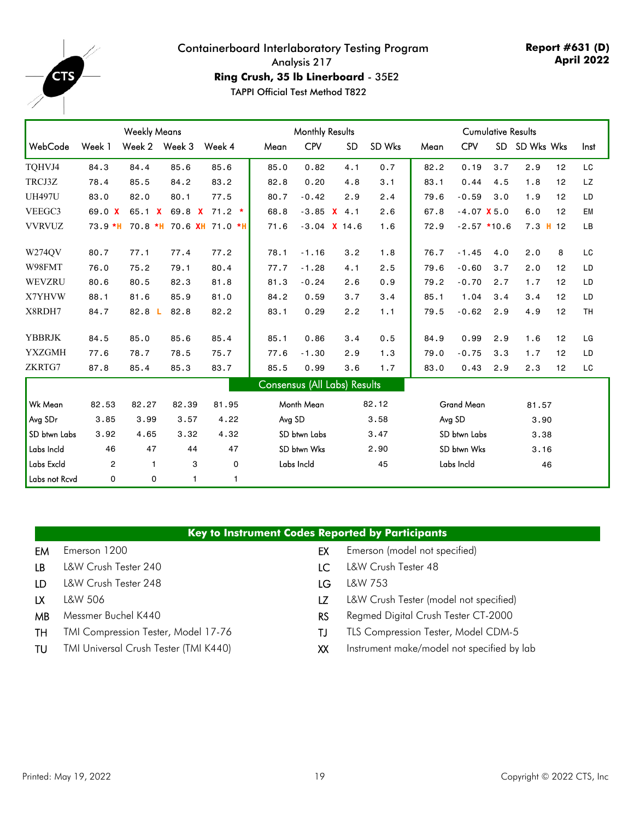

**Report #631 (D) April 2022**

**Ring Crush, 35 lb Linerboard** - 35E2

|               |                | <b>Weekly Means</b> |       |                         | <b>Monthly Results</b> |             |                                     |        | <b>Cumulative Results</b> |                   |           |            |    |      |
|---------------|----------------|---------------------|-------|-------------------------|------------------------|-------------|-------------------------------------|--------|---------------------------|-------------------|-----------|------------|----|------|
| WebCode       | Week 1         | Week 2 Week 3       |       | Week 4                  | Mean                   | <b>CPV</b>  | SD                                  | SD Wks | Mean                      | <b>CPV</b>        | <b>SD</b> | SD Wks Wks |    | Inst |
| TOHVJ4        | 84.3           | 84.4                | 85.6  | 85.6                    | 85.0                   | 0.82        | 4.1                                 | 0.7    | 82.2                      | 0.19              | 3.7       | 2.9        | 12 | LC   |
| TRCJ3Z        | 78.4           | 85.5                | 84.2  | 83.2                    | 82.8                   | 0.20        | 4.8                                 | 3.1    | 83.1                      | 0.44              | 4.5       | 1.8        | 12 | LZ   |
| <b>UH497U</b> | 83.0           | 82.0                | 80.1  | 77.5                    | 80.7                   | $-0.42$     | 2.9                                 | 2.4    | 79.6                      | $-0.59$           | 3.0       | 1.9        | 12 | LD   |
| VEEGC3        | 69.0 X         | 65.1 $X$            |       | 69.8 $\times$ 71.2 $*$  | 68.8                   | $-3.85$     | $X$ 4.1                             | 2.6    | 67.8                      | $-4.07$ X 5.0     |           | 6.0        | 12 | EM   |
| <b>VVRVUZ</b> | $73.9 * H$     |                     |       | 70.8 *H 70.6 XH 71.0 *H | 71.6                   |             | $-3.04$ <b>X</b> 14.6               | 1.6    | 72.9                      | $-2.57$ *10.6     |           | $7.3$ H 12 |    | LB   |
| W274QV        | 80.7           | 77.1                | 77.4  | 77.2                    | 78.1                   | $-1.16$     | 3.2                                 | 1.8    | 76.7                      | $-1.45$           | 4.0       | 2.0        | 8  | LC   |
| W98FMT        | 76.0           | 75.2                | 79.1  | 80.4                    | 77.7                   | $-1.28$     | 4.1                                 | 2.5    | 79.6                      | $-0.60$           | 3.7       | 2.0        | 12 | LD   |
| WEVZRU        | 80.6           | 80.5                | 82.3  | 81.8                    | 81.3                   | $-0.24$     | 2.6                                 | 0.9    | 79.2                      | $-0.70$           | 2.7       | 1.7        | 12 | LD   |
| X7YHVW        | 88.1           | 81.6                | 85.9  | 81.0                    | 84.2                   | 0.59        | 3.7                                 | 3.4    | 85.1                      | 1.04              | 3.4       | 3.4        | 12 | LD   |
| X8RDH7        | 84.7           | 82.8 <sub>L</sub>   | 82.8  | 82.2                    | 83.1                   | 0.29        | 2.2                                 | 1.1    | 79.5                      | $-0.62$           | 2.9       | 4.9        | 12 | TH   |
| <b>YBBRJK</b> | 84.5           | 85.0                | 85.6  | 85.4                    | 85.1                   | 0.86        | 3.4                                 | 0.5    | 84.9                      | 0.99              | 2.9       | 1.6        | 12 | LG   |
| <b>YXZGMH</b> | 77.6           | 78.7                | 78.5  | 75.7                    | 77.6                   | $-1.30$     | 2.9                                 | 1.3    | 79.0                      | $-0.75$           | 3.3       | 1.7        | 12 | LD   |
| ZKRTG7        | 87.8           | 85.4                | 85.3  | 83.7                    | 85.5                   | 0.99        | 3.6                                 | 1.7    | 83.0                      | 0.43              | 2.9       | 2.3        | 12 | LC   |
|               |                |                     |       |                         |                        |             | <b>Consensus (All Labs) Results</b> |        |                           |                   |           |            |    |      |
| Wk Mean       | 82.53          | 82.27               | 82.39 | 81.95                   |                        | Month Mean  |                                     | 82.12  |                           | <b>Grand Mean</b> |           | 81.57      |    |      |
| Avg SDr       | 3.85           | 3.99                | 3.57  | 4.22                    | Avg SD                 |             |                                     | 3.58   |                           | Avg SD            |           | 3,90       |    |      |
| SD btwn Labs  | 3.92           | 4.65                | 3.32  | 4.32                    | SD btwn Labs           |             |                                     | 3.47   |                           | SD btwn Labs      |           | 3.38       |    |      |
| Labs Incld    | 46             | 47                  | 44    | 47                      |                        | SD btwn Wks |                                     | 2.90   |                           | SD btwn Wks       |           | 3.16       |    |      |
| Labs Excld    | $\overline{2}$ | $\mathbf{1}$        | 3     | 0                       |                        | Labs Incld  |                                     | 45     |                           | Labs Incld        |           |            | 46 |      |
| Labs not Rcvd | $\Omega$       | 0                   |       | 1                       |                        |             |                                     |        |                           |                   |           |            |    |      |

|  | Key to Instrument Codes Reported by Participants |  |  |  |  |  |
|--|--------------------------------------------------|--|--|--|--|--|
|  |                                                  |  |  |  |  |  |

- 
- LB L&W Crush Tester 240 LC L&W Crush Tester 48
- LD L&W Crush Tester 248 LG L&W 753
- 
- 
- 
- 
- EM Emerson 1200 **EM** Emerson 1200 **EX** Emerson (model not specified)
	-
	-
- LX L&W 506 LZ L&W Crush Tester (model not specified)
- MB Messmer Buchel K440 **RS** Regmed Digital Crush Tester CT-2000
- TH TMI Compression Tester, Model 17-76 TJ TLS Compression Tester, Model CDM-5
- TU TMI Universal Crush Tester (TMI K440) XX Instrument make/model not specified by lab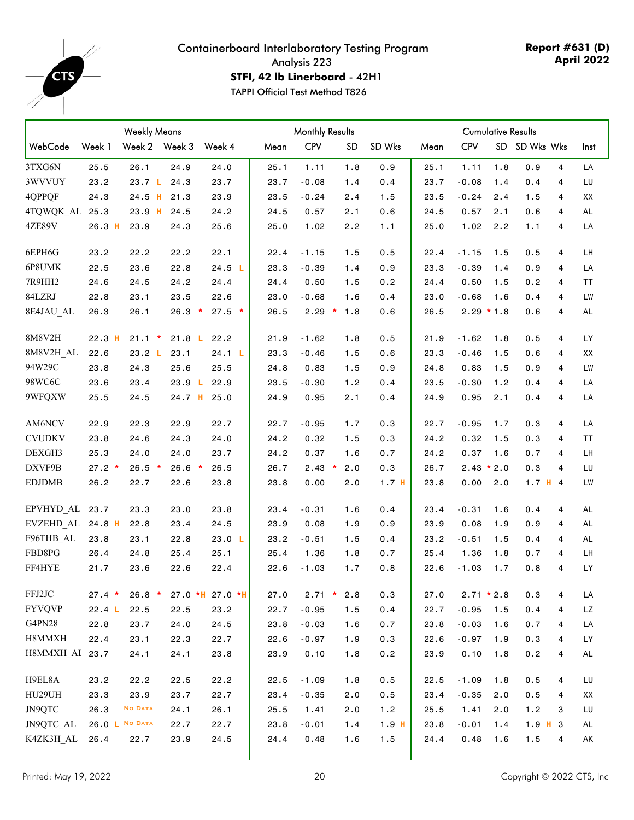<span id="page-19-0"></span>

**Report #631 (D) April 2022**

**STFI, 42 lb Linerboard** - 42H1

|                  |          | <b>Weekly Means</b> |         |                     |      | <b>Monthly Results</b> |           |                  |      |              | <b>Cumulative Results</b> |               |   |           |
|------------------|----------|---------------------|---------|---------------------|------|------------------------|-----------|------------------|------|--------------|---------------------------|---------------|---|-----------|
| WebCode          | Week 1   | Week 2 Week 3       |         | Week 4              | Mean | <b>CPV</b>             | <b>SD</b> | SD Wks           | Mean | <b>CPV</b>   |                           | SD SD Wks Wks |   | Inst      |
| 3TXG6N           | 25.5     | 26.1                | 24.9    | 24.0                | 25.1 | 1.11                   | 1.8       | 0.9              | 25.1 | 1.11         | 1.8                       | 0.9           | 4 | LA        |
| 3WVVUY           | 23.2     | 23.7 L 24.3         |         | 23.7                | 23.7 | $-0.08$                | 1.4       | 0.4              | 23.7 | $-0.08$      | 1.4                       | 0.4           | 4 | LU        |
| 4QPPQF           | 24.3     | $24.5$ H            | 21.3    | 23.9                | 23.5 | $-0.24$                | 2.4       | 1.5              | 23.5 | $-0.24$      | 2.4                       | 1.5           | 4 | XX        |
| 4TQWQK AL 25.3   |          | $23.9$ H            | 24.5    | 24.2                | 24.5 | 0.57                   | 2.1       | 0.6              | 24.5 | 0.57         | 2.1                       | 0.6           | 4 | AL        |
| 4ZE89V           | $26.3$ H | 23.9                | 24.3    | 25.6                | 25.0 | 1.02                   | 2.2       | 1.1              | 25.0 | 1.02         | 2.2                       | 1.1           | 4 | LA        |
| 6EPH6G           | 23.2     | 22.2                | 22.2    | 22.1                | 22.4 | $-1.15$                | 1.5       | 0.5              | 22.4 | $-1.15$      | 1.5                       | 0.5           | 4 | LH        |
| 6P8UMK           | 22.5     | 23.6                | 22.8    | 24.5 L              | 23.3 | $-0.39$                | 1.4       | 0.9              | 23.3 | $-0.39$      | 1.4                       | 0.9           | 4 | LA        |
| 7R9HH2           | 24.6     | 24.5                | 24.2    | 24.4                | 24.4 | 0.50                   | 1.5       | 0.2              | 24.4 | 0.50         | 1.5                       | 0.2           | 4 | TT        |
| 84LZRJ           | 22.8     | 23.1                | 23.5    | 22.6                | 23.0 | $-0.68$                | 1.6       | 0.4              | 23.0 | $-0.68$      | 1.6                       | 0.4           | 4 | LW        |
| 8E4JAU AL        | 26.3     | 26.1                | 26.3    | $\star$<br>$27.5$ * | 26.5 | $2.29$ *               | 1.8       | 0.6              | 26.5 | $2.29 * 1.8$ |                           | 0.6           | 4 | <b>AL</b> |
| 8M8V2H           | 22.3H    | $21.1 *$            |         | 21.8 L 22.2         | 21.9 | $-1.62$                | 1.8       | 0.5              | 21.9 | $-1.62$      | 1.8                       | 0.5           | 4 | LY        |
| 8M8V2H_AL        | 22.6     | 23.2 L              | 23.1    | 24.1 L              | 23.3 | $-0.46$                | 1.5       | 0.6              | 23.3 | $-0.46$      | 1.5                       | 0.6           | 4 | XX        |
| 94W29C           | 23.8     | 24.3                | 25.6    | 25.5                | 24.8 | 0.83                   | 1.5       | 0.9              | 24.8 | 0.83         | 1.5                       | 0.9           | 4 | LW        |
| 98WC6C           | 23.6     | 23.4                |         | 23.9 L 22.9         | 23.5 | $-0.30$                | 1.2       | 0.4              | 23.5 | $-0.30$      | 1.2                       | 0.4           | 4 | LA        |
| 9WFQXW           | 25.5     | 24.5                | 24.7 H  | 25.0                | 24.9 | 0.95                   | 2.1       | 0.4              | 24.9 | 0.95         | 2.1                       | 0.4           | 4 | LA        |
| AM6NCV           | 22.9     | 22.3                | 22.9    | 22.7                | 22.7 | $-0.95$                | 1.7       | 0.3              | 22.7 | $-0.95$      | 1.7                       | 0.3           | 4 | LA        |
| <b>CVUDKV</b>    | 23.8     | 24.6                | 24.3    | 24.0                | 24.2 | 0.32                   | 1.5       | 0.3              | 24.2 | 0.32         | 1.5                       | 0.3           | 4 | TT        |
| DEXGH3           | 25.3     | 24.0                | 24.0    | 23.7                | 24.2 | 0.37                   | 1.6       | 0.7              | 24.2 | 0.37         | 1.6                       | 0.7           | 4 | LH        |
| DXVF9B           | $27.2*$  | $26.5$ *            | $26.6*$ | 26.5                | 26.7 | $2.43$ *               | 2.0       | 0.3              | 26.7 | $2.43 * 2.0$ |                           | 0.3           | 4 | LU        |
| <b>EDJDMB</b>    | 26.2     | 22.7                | 22.6    | 23.8                | 23.8 | 0.00                   | 2.0       | 1.7 <sub>H</sub> | 23.8 | 0.00         | 2.0                       | $1.7$ H 4     |   | <b>LW</b> |
| EPVHYD AL        | 23.7     | 23.3                | 23.0    | 23.8                | 23.4 | $-0.31$                | 1.6       | 0.4              | 23.4 | $-0.31$      | 1.6                       | 0.4           | 4 | AL        |
| EVZEHD_AL 24.8 H |          | 22.8                | 23.4    | 24.5                | 23.9 | 0.08                   | 1.9       | 0.9              | 23.9 | 0.08         | 1.9                       | 0.9           | 4 | AL        |
| F96THB AL        | 23.8     | 23.1                | 22.8    | 23.0 L              | 23.2 | $-0.51$                | 1.5       | 0.4              | 23.2 | $-0.51$      | 1.5                       | 0.4           | 4 | AL        |
| FBD8PG           | 26.4     | 24.8                | 25.4    | 25.1                | 25.4 | 1.36                   | 1.8       | 0.7              | 25.4 | 1.36         | 1.8                       | 0.7           | 4 | LH        |
| FF4HYE           | 21.7     | 23.6                | 22.6    | 22.4                | 22.6 | $-1.03$                | 1.7       | 0.8              | 22.6 | $-1.03$      | 1.7                       | 0.8           | 4 | LY        |
| FFJ2JC           | $27.4$ * | $26.8 *$            |         | $27.0$ *H 27.0 *H   | 27.0 | $2.71$ *               | 2.8       | 0.3              | 27.0 | $2.71 * 2.8$ |                           | 0.3           | 4 | LA        |
| <b>FYVQVP</b>    | 22.4 L   | 22.5                | 22.5    | 23.2                | 22.7 | $-0.95$                | 1.5       | 0.4              | 22.7 | $-0.95$      | 1.5                       | 0.4           | 4 | LZ        |
| G4PN28           | 22.8     | 23.7                | 24.0    | 24.5                | 23.8 | $-0.03$                | 1.6       | 0.7              | 23.8 | $-0.03$      | 1.6                       | 0.7           | 4 | LA        |
| H8MMXH           | 22.4     | 23.1                | 22.3    | 22.7                | 22.6 | $-0.97$                | 1.9       | 0.3              | 22.6 | $-0.97$      | 1.9                       | 0.3           | 4 | LY        |
| H8MMXH AI 23.7   |          | 24.1                | 24.1    | 23.8                | 23.9 | 0.10                   | 1.8       | 0.2              | 23.9 | 0.10         | 1.8                       | 0.2           | 4 | AL        |
| H9EL8A           | 23.2     | 22.2                | 22.5    | 22.2                | 22.5 | $-1.09$                | 1.8       | 0.5              | 22.5 | $-1.09$      | 1.8                       | 0.5           | 4 | LU        |
| HU29UH           | 23.3     | 23.9                | 23.7    | 22.7                | 23.4 | $-0.35$                | 2.0       | 0.5              | 23.4 | $-0.35$      | 2.0                       | 0.5           | 4 | XX        |
| JN9QTC           | 26.3     | <b>NO DATA</b>      | 24.1    | 26.1                | 25.5 | 1.41                   | 2.0       | 1.2              | 25.5 | 1.41         | 2.0                       | 1.2           | 3 | LU        |
| JN9QTC AL        |          | 26.0 L NO DATA      | 22.7    | 22.7                | 23.8 | $-0.01$                | 1.4       | 1.9 <sub>H</sub> | 23.8 | $-0.01$      | 1.4                       | $1.9$ H $3$   |   | AL        |
| K4ZK3H AL        | 26.4     | 22.7                | 23.9    | 24.5                | 24.4 | 0.48                   | 1.6       | 1.5              | 24.4 | 0.48         | 1.6                       | 1.5           | 4 | AK        |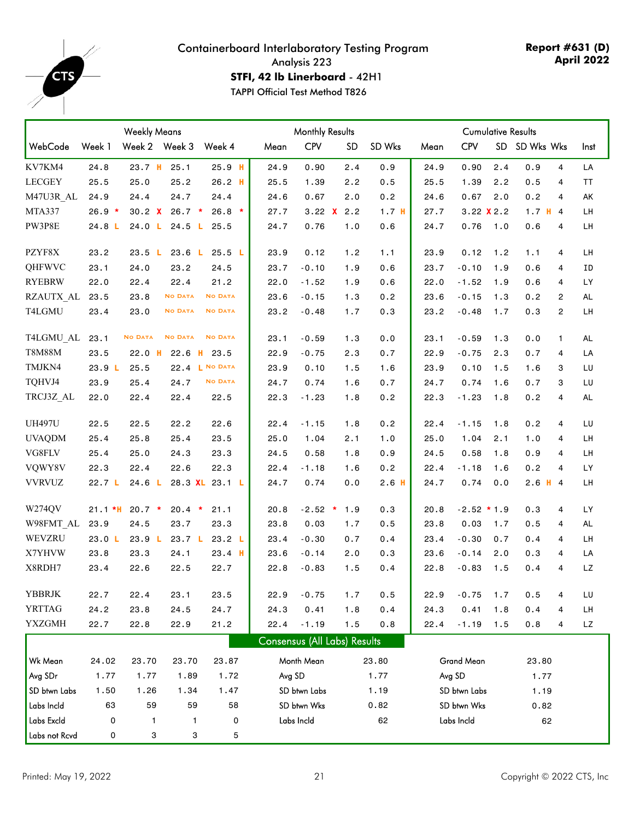

**Report #631 (D) April 2022**

**STFI, 42 lb Linerboard** - 42H1

|               |                   | <b>Weekly Means</b> |                   |                |        |                              | <b>Monthly Results</b> |                  |      | <b>Cumulative Results</b> |           |            |                |           |
|---------------|-------------------|---------------------|-------------------|----------------|--------|------------------------------|------------------------|------------------|------|---------------------------|-----------|------------|----------------|-----------|
| WebCode       | Week 1            | Week 2 Week 3       |                   | Week 4         | Mean   | <b>CPV</b>                   | <b>SD</b>              | SD Wks           | Mean | <b>CPV</b>                | <b>SD</b> | SD Wks Wks |                | Inst      |
| KV7KM4        | 24.8              | 23.7 H              | 25.1              | $25.9$ H       | 24.9   | 0.90                         | 2.4                    | 0.9              | 24.9 | 0.90                      | 2.4       | 0.9        | $\overline{4}$ | LA        |
| <b>LECGEY</b> | 25.5              | 25.0                | 25.2              | $26.2$ H       | 25.5   | 1.39                         | 2.2                    | 0.5              | 25.5 | 1.39                      | 2.2       | 0.5        | 4              | ΤT        |
| M47U3R AL     | 24.9              | 24.4                | 24.7              | 24.4           | 24.6   | 0.67                         | 2.0                    | 0.2              | 24.6 | 0.67                      | 2.0       | 0.2        | 4              | AK        |
| MTA337        | $26.9*$           | 30.2 X              | $26.7*$           | $26.8$ *       | 27.7   | 3.22 $X$ 2.2                 |                        | 1.7 <sub>H</sub> | 27.7 | $3.22$ X 2.2              |           | $1.7$ H 4  |                | LH        |
| PW3P8E        | 24.8 <sub>L</sub> | 24.0 L              | 24.5 L            | 25.5           | 24.7   | 0.76                         | 1.0                    | 0.6              | 24.7 | 0.76                      | 1.0       | 0.6        | 4              | LH        |
| PZYF8X        | 23.2              | 23.5 L              | 23.6 L            | 25.5 L         | 23.9   | 0.12                         | 1.2                    | 1.1              | 23.9 | 0.12                      | 1.2       | 1.1        | 4              | LH        |
| QHFWVC        | 23.1              | 24.0                | 23.2              | 24.5           | 23.7   | $-0.10$                      | 1.9                    | 0.6              | 23.7 | $-0.10$                   | 1.9       | 0.6        | 4              | ΙD        |
| <b>RYEBRW</b> | 22.0              | 22.4                | 22.4              | 21.2           | 22.0   | $-1.52$                      | 1.9                    | 0.6              | 22.0 | $-1.52$                   | 1.9       | 0.6        | 4              | LY        |
| RZAUTX AL     | 23.5              | 23.8                | <b>NO DATA</b>    | <b>NO DATA</b> | 23.6   | $-0.15$                      | 1.3                    | 0.2              | 23.6 | $-0.15$                   | 1.3       | 0.2        | $\overline{2}$ | AL        |
| T4LGMU        | 23.4              | 23.0                | <b>NO DATA</b>    | <b>NO DATA</b> | 23.2   | $-0.48$                      | 1.7                    | 0.3              | 23.2 | $-0.48$                   | 1.7       | 0.3        | $\overline{c}$ | LH        |
| T4LGMU AL     | 23.1              | <b>NO DATA</b>      | <b>NO DATA</b>    | <b>NO DATA</b> | 23.1   | $-0.59$                      | 1.3                    | 0.0              | 23.1 | $-0.59$                   | 1.3       | 0.0        | $\mathbf{1}$   | <b>AL</b> |
| <b>T8M88M</b> | 23.5              | $22.0$ H            | 22.6<br>H.        | 23.5           | 22.9   | $-0.75$                      | 2.3                    | 0.7              | 22.9 | $-0.75$                   | 2.3       | 0.7        | 4              | LA        |
| TMJKN4        | 23.9 L            | 25.5                |                   | 22.4 L NO DATA | 23.9   | 0.10                         | 1.5                    | 1.6              | 23.9 | 0.10                      | 1.5       | 1.6        | 3              | LU        |
| TQHVJ4        | 23.9              | 25.4                | 24.7              | <b>NO DATA</b> | 24.7   | 0.74                         | 1.6                    | 0.7              | 24.7 | 0.74                      | 1.6       | 0.7        | 3              | LU        |
| TRCJ3Z AL     | 22.0              | 22.4                | 22.4              | 22.5           | 22.3   | $-1.23$                      | 1.8                    | 0.2              | 22.3 | $-1.23$                   | 1.8       | 0.2        | 4              | AL        |
| <b>UH497U</b> | 22.5              | 22.5                | 22.2              | 22.6           | 22.4   | $-1.15$                      | 1.8                    | 0.2              | 22.4 | $-1.15$                   | 1.8       | 0.2        | 4              | LU        |
| <b>UVAQDM</b> | 25.4              | 25.8                | 25.4              | 23.5           | 25.0   | 1.04                         | 2.1                    | 1.0              | 25.0 | 1.04                      | 2.1       | 1.0        | 4              | LH        |
| VG8FLV        | 25.4              | 25.0                | 24.3              | 23.3           | 24.5   | 0.58                         | 1.8                    | 0.9              | 24.5 | 0.58                      | 1.8       | 0.9        | 4              | LH        |
| VQWY8V        | 22.3              | 22.4                | 22.6              | 22.3           | 22.4   | $-1.18$                      | 1.6                    | 0.2              | 22.4 | $-1.18$                   | 1.6       | 0.2        | 4              | LY        |
| <b>VVRVUZ</b> | 22.7 <sub>L</sub> | 24.6 <sub>L</sub>   |                   | 28.3 XL 23.1 L | 24.7   | 0.74                         | 0.0                    | 2.6 <sub>H</sub> | 24.7 | 0.74                      | 0.0       | $2.6$ H 4  |                | LH        |
| W274QV        | $21.1*H$          | $20.7 *$            | 20.4<br>$\star$   | 21.1           | 20.8   | $-2.52$ *                    | 1.9                    | 0.3              | 20.8 | $-2.52 * 1.9$             |           | 0.3        | 4              | LY        |
| W98FMT_AL     | 23.9              | 24.5                | 23.7              | 23.3           | 23.8   | 0.03                         | 1.7                    | 0.5              | 23.8 | 0.03                      | 1.7       | 0.5        | 4              | <b>AL</b> |
| WEVZRU        | 23.0 L            | 23.9 L              | 23.7 <sub>L</sub> | 23.2 L         | 23.4   | $-0.30$                      | 0.7                    | 0.4              | 23.4 | $-0.30$                   | 0.7       | 0.4        | $\overline{4}$ | LH        |
| X7YHVW        | 23.8              | 23.3                | 24.1              | $23.4$ H       | 23.6   | $-0.14$                      | 2.0                    | 0.3              | 23.6 | $-0.14$                   | 2.0       | 0.3        | 4              | LA        |
| X8RDH7        | 23.4              | 22.6                | 22.5              | 22.7           | 22.8   | $-0.83$                      | 1.5                    | 0.4              | 22.8 | $-0.83$                   | 1.5       | 0.4        | 4              | LZ        |
| YBBRJK        | 22.7              | 22.4                | 23.1              | 23.5           | 22.9   | $-0.75$                      | 1.7                    | 0.5              | 22.9 | $-0.75$                   | 1.7       | 0.5        | 4              | LU        |
| <b>YRTTAG</b> | 24.2              | 23.8                | 24.5              | 24.7           | 24.3   | 0.41                         | 1.8                    | 0.4              | 24.3 | 0.41                      | 1.8       | 0.4        | 4              | LН        |
| <b>YXZGMH</b> | 22.7              | 22.8                | 22.9              | 21.2           | 22.4   | $-1.19$                      | 1.5                    | 0.8              | 22.4 | $-1.19$                   | 1.5       | 0.8        | 4              | LZ        |
|               |                   |                     |                   |                |        | Consensus (All Labs) Results |                        |                  |      |                           |           |            |                |           |
| Wk Mean       | 24.02             | 23.70               | 23.70             | 23.87          |        | Month Mean                   |                        | 23.80            |      | Grand Mean                |           | 23.80      |                |           |
| Avg SDr       | 1.77              | 1.77                | 1.89              | 1.72           | Avg SD |                              |                        | 1.77             |      | Avg SD                    |           | 1.77       |                |           |
| SD btwn Labs  | 1.50              | 1.26                | 1.34              | 1.47           |        | SD btwn Labs                 |                        | 1.19             |      | SD btwn Labs              |           | 1.19       |                |           |
| Labs Incld    | 63                | 59                  | 59                | 58             |        | SD btwn Wks                  |                        | 0.82             |      | SD btwn Wks               |           | 0.82       |                |           |
| Labs Excld    | 0                 | 1                   | 1                 | 0              |        | Labs Incld                   |                        | 62               |      | Labs Incld                |           | 62         |                |           |
| Labs not Rcvd | 0                 | 3                   | 3                 | 5              |        |                              |                        |                  |      |                           |           |            |                |           |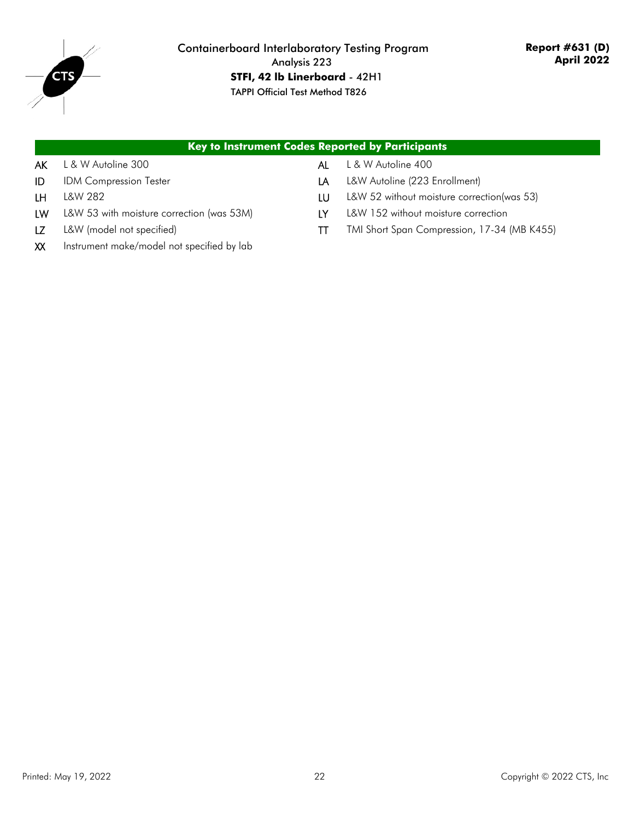

#### Containerboard Interlaboratory Testing Program Analysis 223 **STFI, 42 lb Linerboard** - 42H1 TAPPI Official Test Method T826

|    |                                            |    | <b>Key to Instrument Codes Reported by Participants</b> |
|----|--------------------------------------------|----|---------------------------------------------------------|
| AK | L & W Autoline 300                         | AL | L & W Autoline 400                                      |
| ID | <b>IDM Compression Tester</b>              | LA | L&W Autoline (223 Enrollment)                           |
| LΗ | L&W 282                                    | LU | L&W 52 without moisture correction(was 53)              |
| LW | L&W 53 with moisture correction (was 53M)  | IY | L&W 152 without moisture correction                     |
|    | L&W (model not specified)                  | П  | TMI Short Span Compression, 17-34 (MB K455)             |
| XX | Instrument make/model not specified by lab |    |                                                         |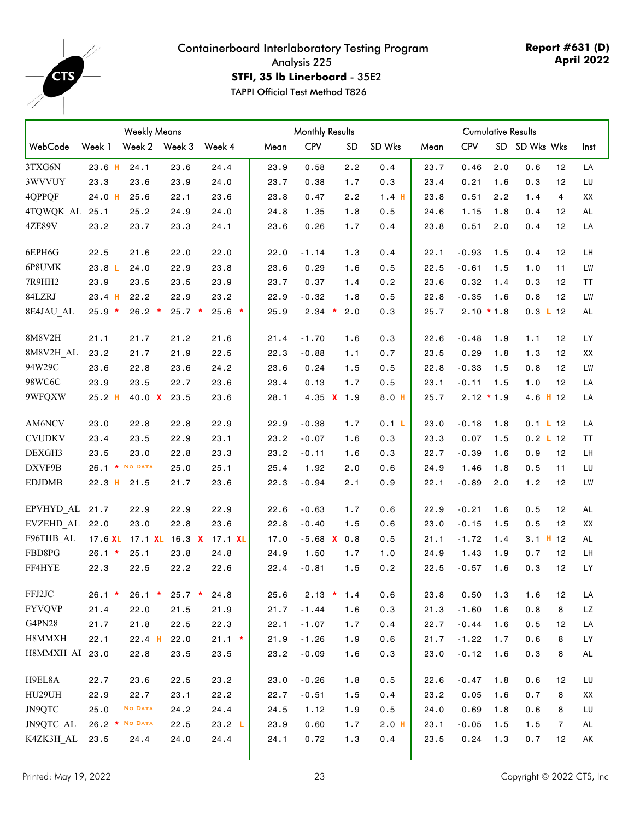<span id="page-22-0"></span>

**Report #631 (D) April 2022**

**STFI, 35 lb Linerboard** - 35E2

|                |                | <b>Weekly Means</b> |          |                        |      | <b>Monthly Results</b> |            |         |      |              | <b>Cumulative Results</b> |               |                |           |
|----------------|----------------|---------------------|----------|------------------------|------|------------------------|------------|---------|------|--------------|---------------------------|---------------|----------------|-----------|
| WebCode        | Week 1         | Week 2 Week 3       |          | Week 4                 | Mean | <b>CPV</b>             | SD         | SD Wks  | Mean | <b>CPV</b>   |                           | SD SD Wks Wks |                | Inst      |
| 3TXG6N         | $23.6$ H       | 24.1                | 23.6     | 24.4                   | 23.9 | 0.58                   | 2.2        | 0.4     | 23.7 | 0.46         | 2.0                       | 0.6           | 12             | LA        |
| 3WVVUY         | 23.3           | 23.6                | 23.9     | 24.0                   | 23.7 | 0.38                   | 1.7        | 0.3     | 23.4 | 0.21         | 1.6                       | 0.3           | 12             | LU        |
| 4QPPQF         | $24.0$ H       | 25.6                | 22.1     | 23.6                   | 23.8 | 0.47                   | 2.2        | 1.4H    | 23.8 | 0.51         | 2.2                       | 1.4           | 4              | XX        |
| 4TQWQK AL 25.1 |                | 25.2                | 24.9     | 24.0                   | 24.8 | 1.35                   | 1.8        | 0.5     | 24.6 | 1.15         | 1.8                       | 0.4           | 12             | AL        |
| 4ZE89V         | 23.2           | 23.7                | 23.3     | 24.1                   | 23.6 | 0.26                   | 1.7        | 0.4     | 23.8 | 0.51         | 2.0                       | 0.4           | 12             | LA        |
| 6EPH6G         | 22.5           | 21.6                | 22.0     | 22.0                   | 22.0 | $-1.14$                | 1.3        | 0.4     | 22.1 | $-0.93$      | 1.5                       | 0.4           | 12             | LH        |
| 6P8UMK         | 23.8 L         | 24.0                | 22.9     | 23.8                   | 23.6 | 0.29                   | 1.6        | 0.5     | 22.5 | $-0.61$      | 1.5                       | 1.0           | 11             | LW        |
| 7R9HH2         | 23.9           | 23.5                | 23.5     | 23.9                   | 23.7 | 0.37                   | 1.4        | 0.2     | 23.6 | 0.32         | 1.4                       | 0.3           | 12             | TT        |
| 84LZRJ         | $23.4$ H       | 22.2                | 22.9     | 23.2                   | 22.9 | $-0.32$                | 1.8        | 0.5     | 22.8 | $-0.35$      | 1.6                       | 0.8           | 12             | LW        |
| 8E4JAU AL      | $25.9*$        | $26.2$ *            | $25.7*$  | $25.6*$                | 25.9 | $2.34$ *               | 2.0        | 0.3     | 25.7 | $2.10 * 1.8$ |                           | 0.3 L 12      |                | <b>AL</b> |
| 8M8V2H         | 21.1           | 21.7                | 21.2     | 21.6                   | 21.4 | $-1.70$                | 1.6        | 0.3     | 22.6 | $-0.48$      | 1.9                       | 1.1           | 12             | LY        |
| 8M8V2H_AL      | 23.2           | 21.7                | 21.9     | 22.5                   | 22.3 | $-0.88$                | 1.1        | 0.7     | 23.5 | 0.29         | 1.8                       | 1.3           | 12             | XX        |
| 94W29C         | 23.6           | 22.8                | 23.6     | 24.2                   | 23.6 | 0.24                   | 1.5        | 0.5     | 22.8 | $-0.33$      | 1.5                       | 0.8           | 12             | LW        |
| 98WC6C         | 23.9           | 23.5                | 22.7     | 23.6                   | 23.4 | 0.13                   | 1.7        | 0.5     | 23.1 | $-0.11$      | 1.5                       | 1.0           | 12             | LA        |
| 9WFQXW         | $25.2$ H       | 40.0 $X$            | 23.5     | 23.6                   | 28.1 |                        | 4.35 X 1.9 | 8.0 H   | 25.7 | $2.12 * 1.9$ |                           | 4.6 H 12      |                | LA        |
| AM6NCV         | 23.0           | 22.8                | 22.8     | 22.9                   | 22.9 | $-0.38$                | 1.7        | 0.1 L   | 23.0 | $-0.18$      | 1.8                       | 0.1 L12       |                | LA        |
| <b>CVUDKV</b>  | 23.4           | 23.5                | 22.9     | 23.1                   | 23.2 | $-0.07$                | 1.6        | 0.3     | 23.3 | 0.07         | 1.5                       | $0.2$ L 12    |                | TT        |
| DEXGH3         | 23.5           | 23.0                | 22.8     | 23.3                   | 23.2 | $-0.11$                | 1.6        | 0.3     | 22.7 | $-0.39$      | 1.6                       | 0.9           | 12             | LH        |
| DXVF9B         | 26.1 * NO DATA |                     | 25.0     | 25.1                   | 25.4 | 1.92                   | 2.0        | 0.6     | 24.9 | 1.46         | 1.8                       | 0.5           | 11             | LU        |
| <b>EDJDMB</b>  | $22.3$ H       | 21.5                | 21.7     | 23.6                   | 22.3 | $-0.94$                | 2.1        | 0.9     | 22.1 | $-0.89$      | 2.0                       | 1.2           | 12             | <b>LW</b> |
| EPVHYD AL 21.7 |                | 22.9                | 22.9     | 22.9                   | 22.6 | $-0.63$                | 1.7        | 0.6     | 22.9 | $-0.21$      | 1.6                       | 0.5           | 12             | <b>AL</b> |
| EVZEHD_AL 22.0 |                | 23.0                | 22.8     | 23.6                   | 22.8 | $-0.40$                | 1.5        | 0.6     | 23.0 | $-0.15$      | 1.5                       | 0.5           | 12             | XX        |
| F96THB AL      | 17.6 XL        |                     |          | 17.1 XL 16.3 X 17.1 XL | 17.0 | $-5.68$ X 0.8          |            | 0.5     | 21.1 | $-1.72$      | 1.4                       | 3.1 H 12      |                | <b>AL</b> |
| FBD8PG         | $26.1 *$       | 25.1                | 23.8     | 24.8                   | 24.9 | 1.50                   | 1.7        | 1.0     | 24.9 | 1.43         | 1.9                       | 0.7           | 12             | LH        |
| FF4HYE         | 22.3           | 22.5                | 22.2     | 22.6                   | 22.4 | $-0.81$                | 1.5        | 0.2     | 22.5 | $-0.57$      | 1.6                       | 0.3           | 12             | LY        |
| FFJ2JC         | $26.1$ *       | $26.1$ *            | $25.7 *$ | 24.8                   | 25.6 | $2.13$ *               | 1.4        | 0.6     | 23.8 | 0.50         | 1.3                       | 1.6           | 12             | LA        |
| <b>FYVQVP</b>  | 21.4           | 22.0                | 21.5     | 21.9                   | 21.7 | $-1.44$                | 1.6        | 0.3     | 21.3 | $-1.60$      | 1.6                       | 0.8           | 8              | LZ        |
| G4PN28         | 21.7           | 21.8                | 22.5     | 22.3                   | 22.1 | $-1.07$                | 1.7        | 0.4     | 22.7 | $-0.44$      | 1.6                       | 0.5           | 12             | LA        |
| H8MMXH         | 22.1           | $22.4$ H            | 22.0     | $21.1 *$               | 21.9 | $-1.26$                | 1.9        | 0.6     | 21.7 | $-1.22$      | 1.7                       | 0.6           | 8              | LY        |
| H8MMXH AI 23.0 |                | 22.8                | 23.5     | 23.5                   | 23.2 | $-0.09$                | 1.6        | 0.3     | 23.0 | $-0.12$      | 1.6                       | 0.3           | 8              | AL        |
| H9EL8A         | 22.7           | 23.6                | 22.5     | 23.2                   | 23.0 | $-0.26$                | 1.8        | 0.5     | 22.6 | $-0.47$      | 1.8                       | 0.6           | 12             | LU        |
| HU29UH         | 22.9           | 22.7                | 23.1     | 22.2                   | 22.7 | $-0.51$                | 1.5        | 0.4     | 23.2 | 0.05         | 1.6                       | 0.7           | 8              | XX        |
| JN9QTC         | 25.0           | <b>NO DATA</b>      | 24.2     | 24.4                   | 24.5 | 1.12                   | 1.9        | 0.5     | 24.0 | 0.69         | 1.8                       | 0.6           | 8              | LU        |
| JN9QTC_AL      | 26.2 * NO DATA |                     | 22.5     | 23.2 L                 | 23.9 | 0.60                   | 1.7        | $2.0$ H | 23.1 | $-0.05$      | 1.5                       | 1.5           | $\overline{7}$ | AL        |
| K4ZK3H AL      | 23.5           | 24.4                | 24.0     | 24.4                   | 24.1 | 0.72                   | 1.3        | 0.4     | 23.5 | 0.24         | 1.3                       | 0.7           | 12             | AK        |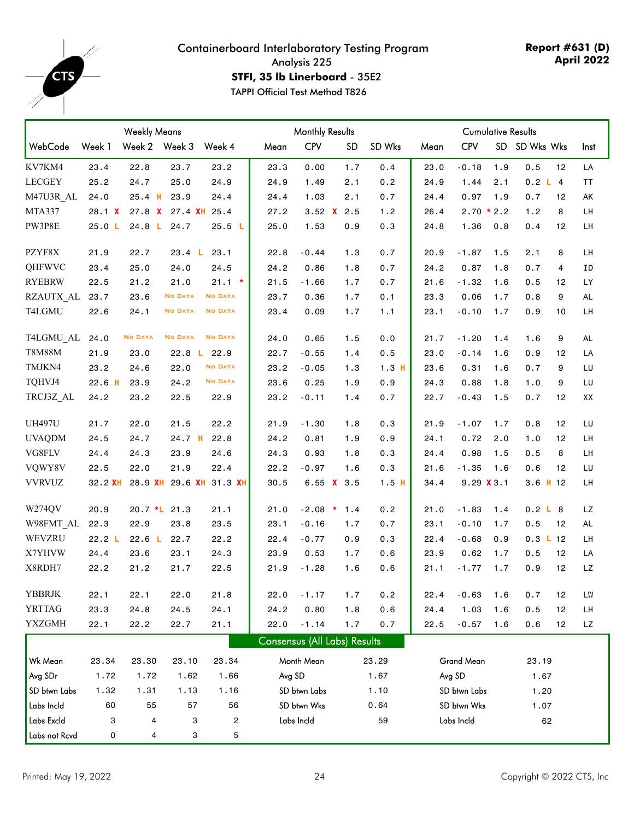

**Report #631 (D) April 2022**

**STFI, 35 lb Linerboard** - 35E2

|               |          | <b>Weekly Means</b> |                   |                         | <b>Monthly Results</b>              |              |              | <b>Cumulative Results</b> |      |              |     |                    |    |           |
|---------------|----------|---------------------|-------------------|-------------------------|-------------------------------------|--------------|--------------|---------------------------|------|--------------|-----|--------------------|----|-----------|
| WebCode       | Week 1   | Week 2 Week 3       |                   | Week 4                  | Mean                                | <b>CPV</b>   | <b>SD</b>    | SD Wks                    | Mean | <b>CPV</b>   |     | SD SD Wks Wks      |    | Inst      |
| KV7KM4        | 23.4     | 22.8                | 23.7              | 23.2                    | 23.3                                | 0.00         | 1.7          | 0.4                       | 23.0 | $-0.18$      | 1.9 | 0.5                | 12 | LA        |
| <b>LECGEY</b> | 25.2     | 24.7                | 25.0              | 24.9                    | 24.9                                | 1.49         | 2.1          | 0.2                       | 24.9 | 1.44         | 2.1 | 0.2 L 4            |    | TT        |
| M47U3R AL     | 24.0     | $25.4$ H            | 23.9              | 24.4                    | 24.4                                | 1.03         | 2.1          | 0.7                       | 24.4 | 0.97         | 1.9 | 0.7                | 12 | AK        |
| MTA337        | 28.1 X   | 27.8 X              | 27.4 XH           | 25.4                    | 27.2                                |              | 3.52 $X$ 2.5 | 1.2                       | 26.4 | $2.70 * 2.2$ |     | 1.2                | 8  | LH        |
| PW3P8E        | 25.0 L   | 24.8 L              | 24.7              | 25.5 L                  | 25.0                                | 1.53         | 0.9          | 0.3                       | 24.8 | 1.36         | 0.8 | 0.4                | 12 | LH        |
| PZYF8X        | 21.9     | 22.7                | 23.4 L            | 23.1                    | 22.8                                | $-0.44$      | 1.3          | 0.7                       | 20.9 | $-1.87$      | 1.5 | 2.1                | 8  | LH        |
| QHFWVC        | 23.4     | 25.0                | 24.0              | 24.5                    | 24.2                                | 0.86         | 1.8          | 0.7                       | 24.2 | 0.87         | 1.8 | 0.7                | 4  | ΙD        |
| <b>RYEBRW</b> | 22.5     | 21.2                | 21.0              | $21.1 *$                | 21.5                                | $-1.66$      | 1.7          | 0.7                       | 21.6 | $-1.32$      | 1.6 | 0.5                | 12 | LY.       |
| RZAUTX AL     | 23.7     | 23.6                | <b>NO DATA</b>    | <b>NO DATA</b>          | 23.7                                | 0.36         | 1.7          | 0.1                       | 23.3 | 0.06         | 1.7 | 0.8                | 9  | <b>AL</b> |
| T4LGMU        | 22.6     | 24.1                | <b>NO DATA</b>    | <b>NO DATA</b>          | 23.4                                | 0.09         | 1.7          | 1.1                       | 23.1 | $-0.10$      | 1.7 | 0.9                | 10 | LH        |
| T4LGMU AL     | 24.0     | <b>NO DATA</b>      | <b>NO DATA</b>    | <b>NO DATA</b>          | 24.0                                | 0.65         | 1.5          | 0.0                       | 21.7 | $-1.20$      | 1.4 | 1.6                | 9  | <b>AL</b> |
| <b>T8M88M</b> | 21.9     | 23.0                | 22.8 <sub>1</sub> | 22.9                    | 22.7                                | $-0.55$      | 1.4          | 0.5                       | 23.0 | $-0.14$      | 1.6 | 0.9                | 12 | LA        |
| TMJKN4        | 23.2     | 24.6                | 22.0              | <b>NO DATA</b>          | 23.2                                | $-0.05$      | 1.3          | 1.3H                      | 23.6 | 0.31         | 1.6 | 0.7                | 9  | LU        |
| TQHVJ4        | $22.6$ H | 23.9                | 24.2              | <b>NO DATA</b>          | 23.6                                | 0.25         | 1.9          | 0.9                       | 24.3 | 0.88         | 1.8 | 1.0                | 9  | LU        |
| TRCJ3Z_AL     | 24.2     | 23.2                | 22.5              | 22.9                    | 23.2                                | $-0.11$      | 1.4          | 0.7                       | 22.7 | $-0.43$      | 1.5 | 0.7                | 12 | XX        |
| <b>UH497U</b> | 21.7     | 22.0                | 21.5              | 22.2                    | 21.9                                | $-1.30$      | 1.8          | 0.3                       | 21.9 | $-1.07$      | 1.7 | 0.8                | 12 | LU        |
| <b>UVAQDM</b> | 24.5     | 24.7                | 24.7 H            | 22.8                    | 24.2                                | 0.81         | 1.9          | 0.9                       | 24.1 | 0.72         | 2.0 | 1.0                | 12 | LH        |
| VG8FLV        | 24.4     | 24.3                | 23.9              | 24.6                    | 24.3                                | 0.93         | 1.8          | 0.3                       | 24.4 | 0.98         | 1.5 | 0.5                | 8  | LH        |
| VQWY8V        | 22.5     | 22.0                | 21.9              | 22.4                    | 22.2                                | $-0.97$      | 1.6          | 0.3                       | 21.6 | $-1.35$      | 1.6 | 0.6                | 12 | LU        |
| <b>VVRVUZ</b> | 32.2 XH  |                     |                   | 28.9 XH 29.6 XH 31.3 XH | 30.5                                |              | 6.55 $X$ 3.5 | $1.5$ H                   | 34.4 | 9.29 X 3.1   |     | 3.6 H 12           |    | LH        |
| W274QV        | 20.9     | 20.7 *L 21.3        |                   | 21.1                    | 21.0                                | $-2.08$ *    | 1.4          | 0.2                       | 21.0 | $-1.83$      | 1.4 | 0.2 L B            |    | LZ        |
| W98FMT AL     | 22.3     | 22.9                | 23.8              | 23.5                    | 23.1                                | $-0.16$      | 1.7          | 0.7                       | 23.1 | $-0.10$      | 1.7 | 0.5                | 12 | <b>AL</b> |
| WEVZRU        | 22.2 L   | 22.6 <sub>L</sub>   | 22.7              | 22.2                    | 22.4                                | $-0.77$      | 0.9          | 0.3                       | 22.4 | $-0.68$      | 0.9 | $0.3 \text{ L}$ 12 |    | LН        |
| X7YHVW        | 24.4     | 23.6                | 23.1              | 24.3                    | 23.9                                | 0.53         | 1.7          | 0.6                       | 23.9 | 0.62         | 1.7 | 0.5                | 12 | LA        |
| X8RDH7        | 22.2     | 21.2                | 21.7              | 22.5                    | 21.9                                | $-1.28$      | 1.6          | 0.6                       | 21.1 | $-1.77$      | 1.7 | 0.9                | 12 | LZ        |
| YBBRJK        | 22.1     | 22.1                | 22.0              | 21.8                    | 22.0                                | $-1.17$      | 1.7          | 0.2                       | 22.4 | $-0.63$      | 1.6 | 0.7                | 12 | LW        |
| <b>YRTTAG</b> | 23.3     | 24.8                | 24.5              | 24.1                    | 24.2                                | 0.80         | 1.8          | 0.6                       | 24.4 | 1.03         | 1.6 | 0.5                | 12 | LH        |
| <b>YXZGMH</b> | 22.1     | 22.2                | 22.7              | 21.1                    | 22.0                                | $-1.14$      | 1.7          | 0.7                       | 22.5 | $-0.57$      | 1.6 | 0.6                | 12 | LZ        |
|               |          |                     |                   |                         | <b>Consensus (All Labs) Results</b> |              |              |                           |      |              |     |                    |    |           |
| Wk Mean       | 23.34    | 23.30               | 23.10             | 23.34                   |                                     | Month Mean   |              | 23.29                     |      | Grand Mean   |     | 23.19              |    |           |
| Avg SDr       | 1.72     | 1.72                | 1.62              | 1.66                    | Avg SD                              |              |              | 1.67                      |      | Avg SD       |     | 1.67               |    |           |
| SD btwn Labs  | 1.32     | 1.31                | 1.13              | 1.16                    |                                     | SD btwn Labs |              | 1.10                      |      | SD btwn Labs |     | 1.20               |    |           |
| Labs Incld    | 60       | 55                  | 57                | 56                      |                                     | SD btwn Wks  |              | 0.64                      |      | SD btwn Wks  |     | 1.07               |    |           |
| Labs Excld    | 3        | 4                   | 3                 | 2                       |                                     | Labs Incld   |              | 59                        |      | Labs Incld   |     | 62                 |    |           |
| Labs not Rcvd | 0        | 4                   | 3                 | 5                       |                                     |              |              |                           |      |              |     |                    |    |           |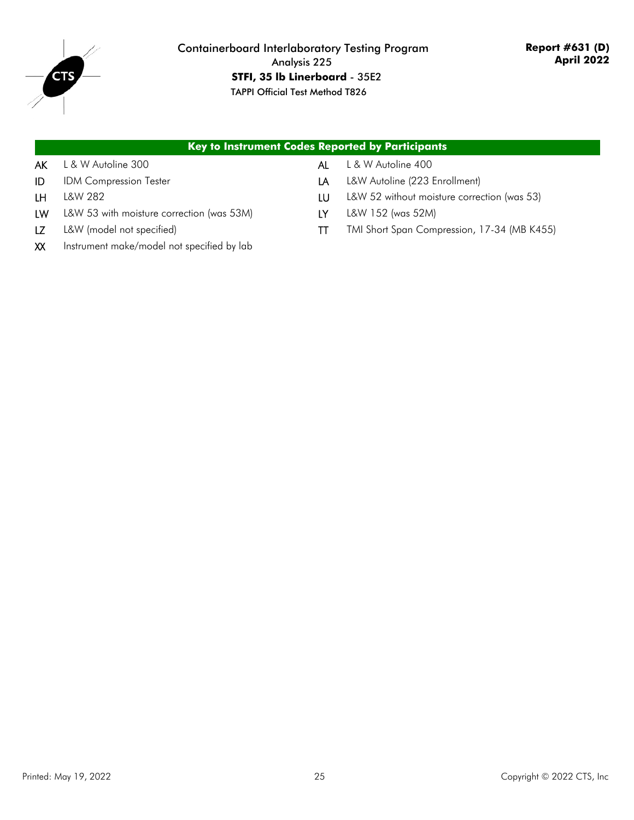

|    | Key to Instrument Codes Reported by Participants |    |                                             |
|----|--------------------------------------------------|----|---------------------------------------------|
| AK | L & W Autoline 300                               | AI | L & W Autoline 400                          |
| ID | <b>IDM Compression Tester</b>                    | LA | L&W Autoline (223 Enrollment)               |
| LΗ | L&W 282                                          | LU | L&W 52 without moisture correction (was 53) |
| LW | L&W 53 with moisture correction (was 53M)        | LY | L&W 152 (was 52M)                           |
|    | L&W (model not specified)                        |    | TMI Short Span Compression, 17-34 (MB K455) |

XX Instrument make/model not specified by lab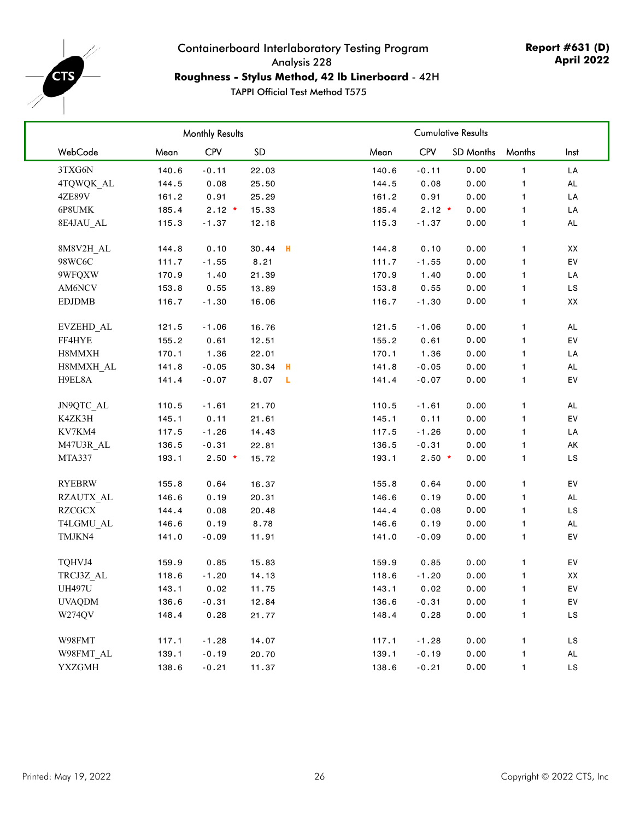<span id="page-25-0"></span>

## Containerboard Interlaboratory Testing Program Analysis 228 **Roughness - Stylus Method, 42 lb Linerboard** - 42H

|               |       | <b>Monthly Results</b> |         |     |       |            | <b>Cumulative Results</b> |              |               |
|---------------|-------|------------------------|---------|-----|-------|------------|---------------------------|--------------|---------------|
| WebCode       | Mean  | CPV                    | SD      |     | Mean  | <b>CPV</b> | SD Months                 | Months       | Inst          |
| 3TXG6N        | 140.6 | $-0.11$                | 22.03   |     | 140.6 | $-0.11$    | 0.00                      | $\mathbf{1}$ | LA            |
| 4TQWQK AL     | 144.5 | 0.08                   | 25.50   |     | 144.5 | 0.08       | 0.00                      | 1.           | <b>AL</b>     |
| 4ZE89V        | 161.2 | 0.91                   | 25.29   |     | 161.2 | 0.91       | 0.00                      | 1            | LA            |
| 6P8UMK        | 185.4 | $2.12 *$               | 15.33   |     | 185.4 | $2.12 *$   | 0.00                      | 1            | LA            |
| 8E4JAU AL     | 115.3 | $-1.37$                | 12.18   |     | 115.3 | $-1.37$    | 0.00                      | 1            | $\mathsf{AL}$ |
| 8M8V2H AL     | 144.8 | 0.10                   | 30.44 H |     | 144.8 | 0.10       | 0.00                      | $\mathbf{1}$ | XX            |
| 98WC6C        | 111.7 | $-1.55$                | 8.21    |     | 111.7 | $-1.55$    | 0.00                      | 1            | EV            |
| 9WFQXW        | 170.9 | 1.40                   | 21.39   |     | 170.9 | 1.40       | 0.00                      | 1.           | LA            |
| AM6NCV        | 153.8 | 0.55                   | 13.89   |     | 153.8 | 0.55       | 0.00                      | 1            | LS            |
| <b>EDJDMB</b> | 116.7 | $-1.30$                | 16.06   |     | 116.7 | $-1.30$    | 0.00                      | 1.           | XX            |
| EVZEHD_AL     | 121.5 | $-1.06$                | 16.76   |     | 121.5 | $-1.06$    | 0.00                      | 1            | $\mathsf{AL}$ |
| FF4HYE        | 155.2 | 0.61                   | 12.51   |     | 155.2 | 0.61       | 0.00                      | 1            | EV            |
| H8MMXH        | 170.1 | 1.36                   | 22.01   |     | 170.1 | 1.36       | 0.00                      | 1            | LA            |
| H8MMXH AL     | 141.8 | $-0.05$                | 30.34   | н   | 141.8 | $-0.05$    | 0.00                      | 1            | $\mathsf{AL}$ |
| H9EL8A        | 141.4 | $-0.07$                | 8.07    | - L | 141.4 | $-0.07$    | 0.00                      | 1            | EV            |
| JN9QTC_AL     | 110.5 | $-1.61$                | 21.70   |     | 110.5 | $-1.61$    | 0.00                      | 1.           | <b>AL</b>     |
| K4ZK3H        | 145.1 | 0.11                   | 21.61   |     | 145.1 | 0.11       | 0.00                      | 1            | EV            |
| KV7KM4        | 117.5 | $-1.26$                | 14.43   |     | 117.5 | $-1.26$    | 0.00                      | 1.           | LA            |
| M47U3R AL     | 136.5 | $-0.31$                | 22.81   |     | 136.5 | $-0.31$    | 0.00                      | 1            | AK            |
| MTA337        | 193.1 | $2.50*$                | 15.72   |     | 193.1 | $2.50*$    | 0.00                      | 1            | LS.           |
| <b>RYEBRW</b> | 155.8 | 0.64                   | 16.37   |     | 155.8 | 0.64       | 0.00                      | 1            | EV            |
| RZAUTX AL     | 146.6 | 0.19                   | 20.31   |     | 146.6 | 0.19       | 0.00                      | 1            | AL            |
| <b>RZCGCX</b> | 144.4 | 0.08                   | 20.48   |     | 144.4 | 0.08       | 0.00                      | 1            | LS            |
| T4LGMU_AL     | 146.6 | 0.19                   | 8.78    |     | 146.6 | 0.19       | 0.00                      | 1            | AL            |
| TMJKN4        | 141.0 | $-0.09$                | 11.91   |     | 141.0 | $-0.09$    | 0.00                      | 1.           | EV            |
| TQHVJ4        | 159.9 | 0.85                   | 15.83   |     | 159.9 | 0.85       | 0.00                      | 1.           | EV            |
| TRCJ3Z AL     | 118.6 | $-1.20$                | 14.13   |     | 118.6 | $-1.20$    | 0.00                      | 1            | XX            |
| <b>UH497U</b> | 143.1 | 0.02                   | 11.75   |     | 143.1 | 0.02       | 0.00                      | 1.           | EV            |
| <b>UVAQDM</b> | 136.6 | $-0.31$                | 12.84   |     | 136.6 | $-0.31$    | 0.00                      | 1            | EV            |
| W274QV        | 148.4 | 0.28                   | 21.77   |     | 148.4 | 0.28       | 0.00                      | 1            | LS            |
| W98FMT        | 117.1 | $-1.28$                | 14.07   |     | 117.1 | $-1.28$    | 0.00                      | 1            | LS            |
| W98FMT AL     | 139.1 | $-0.19$                | 20.70   |     | 139.1 | $-0.19$    | 0.00                      | 1            | AL            |
| <b>YXZGMH</b> | 138.6 | $-0.21$                | 11.37   |     | 138.6 | $-0.21$    | 0.00                      | 1            | $\mathsf{LS}$ |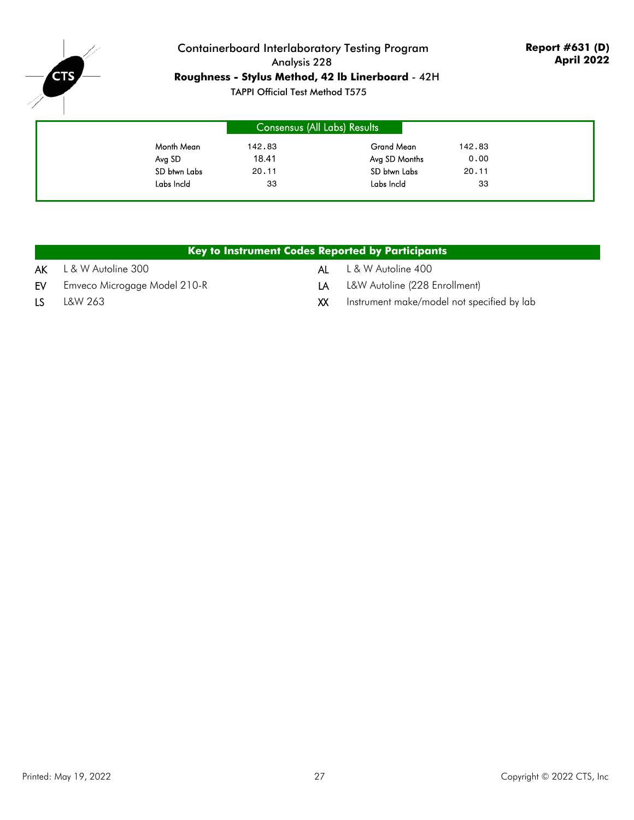

## Containerboard Interlaboratory Testing Program Analysis 228 **Roughness - Stylus Method, 42 lb Linerboard** - 42H

|              | Consensus (All Labs) Results |               |        |
|--------------|------------------------------|---------------|--------|
| Month Mean   | 142.83                       | Grand Mean    | 142.83 |
| Avg SD       | 18.41                        | Avg SD Months | 0.00   |
| SD btwn Labs | 20.11                        | SD btwn Labs  | 20.11  |
| Labs Incld   | 33                           | Labs Incld    | 33     |

|     |                              |     | Key to Instrument Codes Reported by Participants |
|-----|------------------------------|-----|--------------------------------------------------|
|     | $AK$ L & W Autoline 300      | AL  | L & W Autoline 400                               |
| EV  | Emveco Microgage Model 210-R | I A | L&W Autoline (228 Enrollment)                    |
| LS. | L&W 263                      | XX. | Instrument make/model not specified by lab       |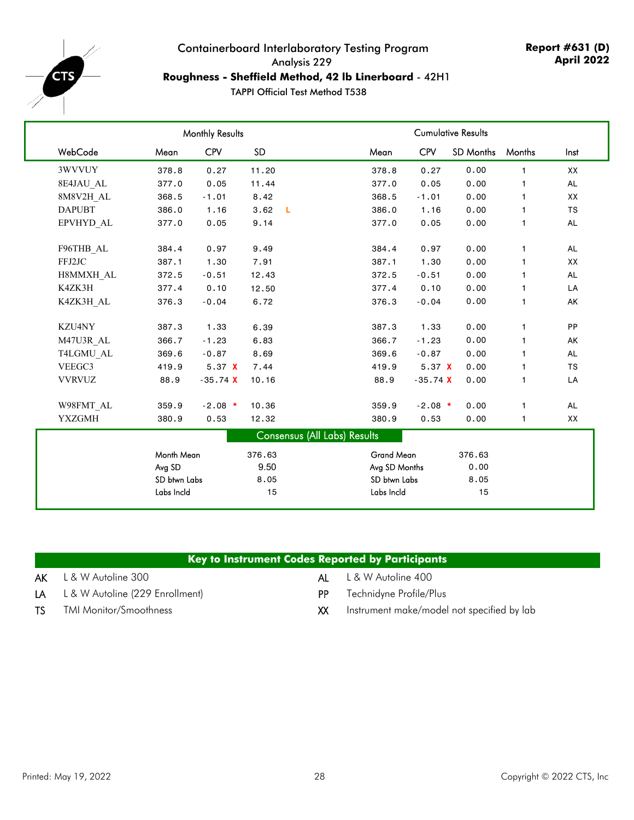<span id="page-27-0"></span>

## Containerboard Interlaboratory Testing Program Analysis 229 **Roughness - Sheffield Method, 42 lb Linerboard** - 42H1

|               | <b>Monthly Results</b> |            |           |                              |               |            | <b>Cumulative Results</b> |              |           |  |  |  |  |
|---------------|------------------------|------------|-----------|------------------------------|---------------|------------|---------------------------|--------------|-----------|--|--|--|--|
| WebCode       | Mean                   | <b>CPV</b> | <b>SD</b> |                              | Mean          | <b>CPV</b> | <b>SD Months</b>          | Months       | Inst      |  |  |  |  |
| 3WVVUY        | 378.8                  | 0.27       | 11.20     |                              | 378.8         | 0.27       | 0.00                      | $\mathbf{1}$ | XX        |  |  |  |  |
| 8E4JAU AL     | 377.0                  | 0.05       | 11.44     |                              | 377.0         | 0.05       | 0.00                      | $\mathbf{1}$ | AL        |  |  |  |  |
| 8M8V2H AL     | 368.5                  | $-1.01$    | 8.42      |                              | 368.5         | $-1.01$    | 0.00                      | $\mathbf{1}$ | XX        |  |  |  |  |
| <b>DAPUBT</b> | 386.0                  | 1.16       | 3.62      | - Li                         | 386.0         | 1.16       | 0.00                      | $\mathbf 1$  | <b>TS</b> |  |  |  |  |
| EPVHYD AL     | 377.0                  | 0.05       | 9.14      |                              | 377.0         | 0.05       | 0.00                      | $\mathbf{1}$ | AL        |  |  |  |  |
| F96THB AL     | 384.4                  | 0.97       | 9.49      |                              | 384.4         | 0.97       | 0.00                      | $\mathbf{1}$ | <b>AL</b> |  |  |  |  |
| FFJ2JC        | 387.1                  | 1.30       | 7.91      |                              | 387.1         | 1.30       | 0.00                      | $\mathbf{1}$ | XX        |  |  |  |  |
| H8MMXH AL     | 372.5                  | $-0.51$    | 12.43     |                              | 372.5         | $-0.51$    | 0.00                      | $\mathbf{1}$ | AL        |  |  |  |  |
| K4ZK3H        | 377.4                  | 0.10       | 12.50     |                              | 377.4         | 0.10       | 0.00                      | $\mathbf{1}$ | LA        |  |  |  |  |
| K4ZK3H AL     | 376.3                  | $-0.04$    | 6.72      |                              | 376.3         | $-0.04$    | 0.00                      | $\mathbf{1}$ | AK        |  |  |  |  |
| KZU4NY        | 387.3                  | 1.33       | 6.39      |                              | 387.3         | 1.33       | 0.00                      | $\mathbf{1}$ | PP        |  |  |  |  |
| M47U3R AL     | 366.7                  | $-1.23$    | 6.83      |                              | 366.7         | $-1.23$    | 0.00                      | $\mathbf{1}$ | AK        |  |  |  |  |
| T4LGMU AL     | 369.6                  | $-0.87$    | 8.69      |                              | 369.6         | $-0.87$    | 0.00                      | $\mathbf{1}$ | <b>AL</b> |  |  |  |  |
| VEEGC3        | 419.9                  | 5.37 X     | 7.44      |                              | 419.9         | 5.37 X     | 0.00                      | $\mathbf{1}$ | <b>TS</b> |  |  |  |  |
| <b>VVRVUZ</b> | 88.9                   | $-35.74$ X | 10.16     |                              | 88.9          | $-35.74$ X | 0.00                      | $\mathbf{1}$ | LA        |  |  |  |  |
| W98FMT AL     | 359.9                  | $-2.08$ *  | 10.36     |                              | 359.9         | $-2.08$ *  | 0.00                      | $\mathbf{1}$ | AL        |  |  |  |  |
| <b>YXZGMH</b> | 380.9                  | 0.53       | 12.32     |                              | 380.9         | 0.53       | 0.00                      | $\mathbf{1}$ | XX        |  |  |  |  |
|               |                        |            |           | Consensus (All Labs) Results |               |            |                           |              |           |  |  |  |  |
|               | Month Mean             |            | 376.63    |                              | Grand Mean    |            | 376.63                    |              |           |  |  |  |  |
|               | Avg SD                 |            | 9.50      |                              | Avg SD Months |            | 0.00                      |              |           |  |  |  |  |
|               | SD btwn Labs           |            | 8.05      |                              | SD btwn Labs  |            | 8.05                      |              |           |  |  |  |  |
|               | Labs Incld             |            | 15        |                              | Labs Incld    |            | 15                        |              |           |  |  |  |  |

|     | Key to Instrument Codes Reported by Participants |     |                                            |
|-----|--------------------------------------------------|-----|--------------------------------------------|
|     | $AK$ L & W Autoline 300                          |     | <b>AL</b> L & W Autoline 400               |
|     | $LA$ L & W Autoline (229 Enrollment)             | PP. | Technidyne Profile/Plus                    |
| TS. | <b>TMI Monitor/Smoothness</b>                    | XX  | Instrument make/model not specified by lab |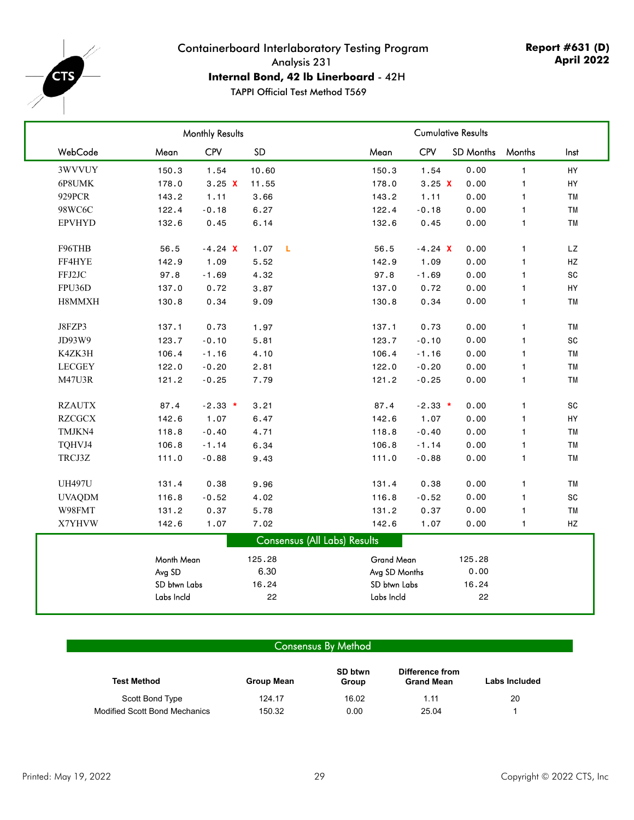<span id="page-28-0"></span>

## Containerboard Interlaboratory Testing Program Analysis 231 **Internal Bond, 42 lb Linerboard** - 42H

TAPPI Official Test Method T569

|               |              | Monthly Results |                      |                                     | <b>Cumulative Results</b> |                  |              |               |  |  |  |
|---------------|--------------|-----------------|----------------------|-------------------------------------|---------------------------|------------------|--------------|---------------|--|--|--|
| WebCode       | Mean         | CPV             | SD                   | Mean                                | <b>CPV</b>                | <b>SD Months</b> | Months       | Inst          |  |  |  |
| 3WVVUY        | 150.3        | 1.54            | 10.60                | 150.3                               | 1.54                      | 0.00             | $\mathbf{1}$ | HY            |  |  |  |
| 6P8UMK        | 178.0        | 3.25 X          | 11.55                | 178.0                               | 3.25 X                    | 0.00             | $\mathbf{1}$ | HY            |  |  |  |
| 929PCR        | 143.2        | 1.11            | 3.66                 | 143.2                               | 1.11                      | 0.00             | $\mathbf{1}$ | <b>TM</b>     |  |  |  |
| 98WC6C        | 122.4        | $-0.18$         | 6.27                 | 122.4                               | $-0.18$                   | 0.00             | 1            | <b>TM</b>     |  |  |  |
| <b>EPVHYD</b> | 132.6        | 0.45            | 6.14                 | 132.6                               | 0.45                      | 0.00             | $\mathbf{1}$ | <b>TM</b>     |  |  |  |
| F96THB        | 56.5         | $-4.24$ X       | $\mathbf{L}$<br>1.07 | 56.5                                | $-4.24$ X                 | 0.00             | 1            | LZ            |  |  |  |
| FF4HYE        | 142.9        | 1.09            | 5.52                 | 142.9                               | 1.09                      | 0.00             | $\mathbf{1}$ | $\mathsf{HZ}$ |  |  |  |
| FFJ2JC        | 97.8         | $-1.69$         | 4.32                 | 97.8                                | $-1.69$                   | 0.00             | $\mathbf{1}$ | SC            |  |  |  |
| FPU36D        | 137.0        | 0.72            | 3.87                 | 137.0                               | 0.72                      | 0.00             | $\mathbf{1}$ | HY            |  |  |  |
| H8MMXH        | 130.8        | 0.34            | 9.09                 | 130.8                               | 0.34                      | 0.00             | 1            | <b>TM</b>     |  |  |  |
| J8FZP3        | 137.1        | 0.73            | 1.97                 | 137.1                               | 0.73                      | 0.00             | $\mathbf{1}$ | TM            |  |  |  |
| JD93W9        | 123.7        | $-0.10$         | 5.81                 | 123.7                               | $-0.10$                   | 0.00             | $\mathbf{1}$ | SC            |  |  |  |
| K4ZK3H        | 106.4        | $-1.16$         | 4.10                 | 106.4                               | $-1.16$                   | 0.00             | $\mathbf{1}$ | <b>TM</b>     |  |  |  |
| <b>LECGEY</b> | 122.0        | $-0.20$         | 2.81                 | 122.0                               | $-0.20$                   | 0.00             | $\mathbf{1}$ | <b>TM</b>     |  |  |  |
| M47U3R        | 121.2        | $-0.25$         | 7.79                 | 121.2                               | $-0.25$                   | 0.00             | $\mathbf{1}$ | <b>TM</b>     |  |  |  |
| <b>RZAUTX</b> | 87.4         | $-2.33$ *       | 3.21                 | 87.4                                | $-2.33$ *                 | 0.00             | $\mathbf{1}$ | SC            |  |  |  |
| <b>RZCGCX</b> | 142.6        | 1.07            | 6.47                 | 142.6                               | 1.07                      | 0.00             | $\mathbf{1}$ | HY            |  |  |  |
| TMJKN4        | 118.8        | $-0.40$         | 4.71                 | 118.8                               | $-0.40$                   | 0.00             | $\mathbf{1}$ | <b>TM</b>     |  |  |  |
| TQHVJ4        | 106.8        | $-1.14$         | 6.34                 | 106.8                               | $-1.14$                   | 0.00             | $\mathbf{1}$ | <b>TM</b>     |  |  |  |
| TRCJ3Z        | 111.0        | $-0.88$         | 9.43                 | 111.0                               | $-0.88$                   | 0.00             | $\mathbf{1}$ | <b>TM</b>     |  |  |  |
| <b>UH497U</b> | 131.4        | 0.38            | 9.96                 | 131.4                               | 0.38                      | 0.00             | $\mathbf{1}$ | <b>TM</b>     |  |  |  |
| <b>UVAQDM</b> | 116.8        | $-0.52$         | 4.02                 | 116.8                               | $-0.52$                   | 0.00             | $\mathbf{1}$ | SC            |  |  |  |
| W98FMT        | 131.2        | 0.37            | 5.78                 | 131.2                               | 0.37                      | 0.00             | $\mathbf{1}$ | <b>TM</b>     |  |  |  |
| X7YHVW        | 142.6        | 1.07            | 7.02                 | 142.6                               | 1.07                      | 0.00             | 1            | HZ            |  |  |  |
|               |              |                 |                      | <b>Consensus (All Labs) Results</b> |                           |                  |              |               |  |  |  |
|               | Month Mean   |                 | 125.28               | Grand Mean                          |                           | 125.28           |              |               |  |  |  |
|               | Avg SD       |                 | 6.30                 | Avg SD Months                       |                           | 0.00             |              |               |  |  |  |
|               | SD btwn Labs |                 | 16.24                | SD btwn Labs                        |                           | 16.24            |              |               |  |  |  |
|               | Labs Incld   |                 | 22                   | Labs Incld                          |                           | 22               |              |               |  |  |  |

### Consensus By Method

| <b>Test Method</b>            | Group Mean | SD btwn<br>Group | Difference from<br><b>Grand Mean</b> | Labs Included |
|-------------------------------|------------|------------------|--------------------------------------|---------------|
| Scott Bond Type               | 124.17     | 16.02            | 1.11                                 | 20            |
| Modified Scott Bond Mechanics | 150.32     | 0.00             | 25.04                                |               |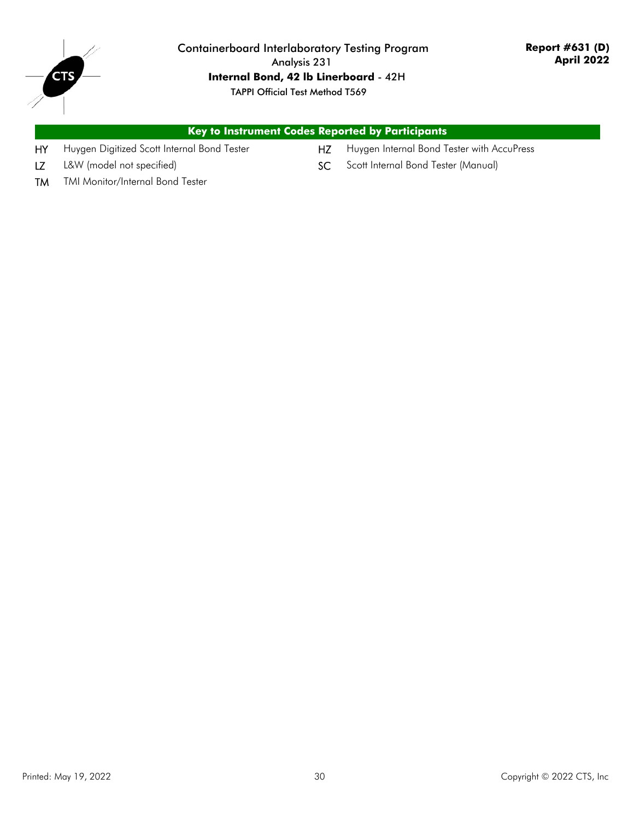

Containerboard Interlaboratory Testing Program Analysis 231 **Internal Bond, 42 lb Linerboard** - 42H TAPPI Official Test Method T569

## **Key to Instrument Codes Reported by Participants**

- 
- HY Huygen Digitized Scott Internal Bond Tester HZ Huygen Internal Bond Tester with AccuPress
- LZ L&W (model not specified) SC Scott Internal Bond Tester (Manual)
- 

TM TMI Monitor/Internal Bond Tester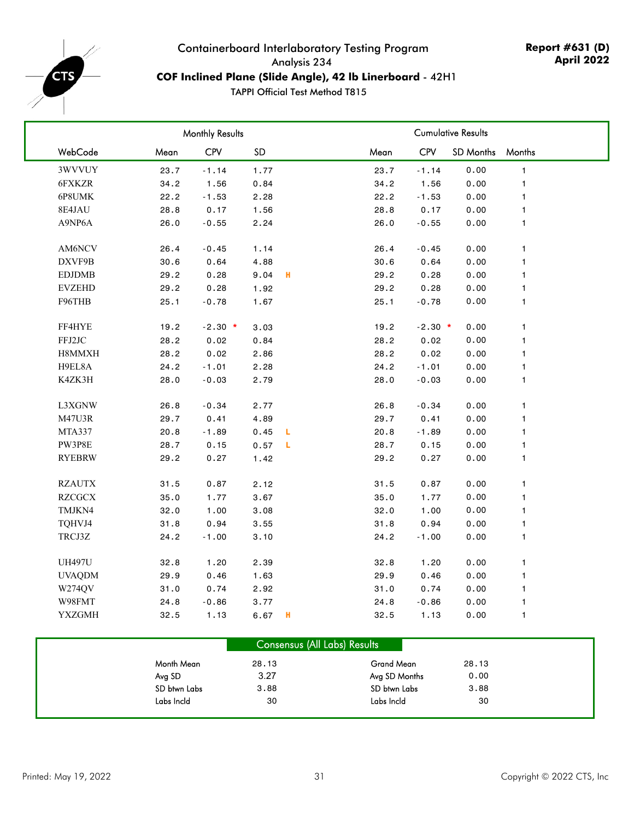<span id="page-30-0"></span>

## Containerboard Interlaboratory Testing Program Analysis 234 **COF Inclined Plane (Slide Angle), 42 lb Linerboard** - 42H1

|               |      | Monthly Results |      |   |      |            | <b>Cumulative Results</b> |              |
|---------------|------|-----------------|------|---|------|------------|---------------------------|--------------|
| WebCode       | Mean | <b>CPV</b>      | SD   |   | Mean | <b>CPV</b> | <b>SD Months</b>          | Months       |
| 3WVVUY        | 23.7 | $-1.14$         | 1.77 |   | 23.7 | $-1.14$    | 0.00                      | $\mathbf{1}$ |
| 6FXKZR        | 34.2 | 1.56            | 0.84 |   | 34.2 | 1.56       | 0.00                      | 1            |
| 6P8UMK        | 22.2 | $-1.53$         | 2.28 |   | 22.2 | $-1.53$    | 0.00                      | 1            |
| 8E4JAU        | 28.8 | 0.17            | 1.56 |   | 28.8 | 0.17       | 0.00                      | 1            |
| A9NP6A        | 26.0 | $-0.55$         | 2.24 |   | 26.0 | $-0.55$    | 0.00                      | $\mathbf{1}$ |
|               |      |                 |      |   |      |            |                           |              |
| AM6NCV        | 26.4 | $-0.45$         | 1.14 |   | 26.4 | $-0.45$    | 0.00                      | $\mathbf{1}$ |
| DXVF9B        | 30.6 | 0.64            | 4.88 |   | 30.6 | 0.64       | 0.00                      | 1            |
| <b>EDJDMB</b> | 29.2 | 0.28            | 9.04 | н | 29.2 | 0.28       | 0.00                      | 1            |
| <b>EVZEHD</b> | 29.2 | 0.28            | 1.92 |   | 29.2 | 0.28       | 0.00                      | 1            |
| F96THB        | 25.1 | $-0.78$         | 1.67 |   | 25.1 | $-0.78$    | 0.00                      | 1            |
|               |      |                 |      |   |      |            |                           |              |
| FF4HYE        | 19.2 | $-2.30$ *       | 3.03 |   | 19.2 | $-2.30$ *  | 0.00                      | 1            |
| FFJ2JC        | 28.2 | 0.02            | 0.84 |   | 28.2 | 0.02       | 0.00                      | 1            |
| H8MMXH        | 28.2 | 0.02            | 2.86 |   | 28.2 | 0.02       | 0.00                      | 1            |
| H9EL8A        | 24.2 | $-1.01$         | 2.28 |   | 24.2 | $-1.01$    | 0.00                      | 1            |
| K4ZK3H        | 28.0 | $-0.03$         | 2.79 |   | 28.0 | $-0.03$    | 0.00                      | 1            |
|               |      |                 |      |   |      |            |                           |              |
| L3XGNW        | 26.8 | $-0.34$         | 2.77 |   | 26.8 | $-0.34$    | 0.00                      | $\mathbf{1}$ |
| M47U3R        | 29.7 | 0.41            | 4.89 |   | 29.7 | 0.41       | 0.00                      | 1            |
| MTA337        | 20.8 | $-1.89$         | 0.45 | L | 20.8 | $-1.89$    | 0.00                      | $\mathbf{1}$ |
| PW3P8E        | 28.7 | 0.15            | 0.57 | L | 28.7 | 0.15       | 0.00                      | 1            |
| RYEBRW        | 29.2 | 0.27            | 1.42 |   | 29.2 | 0.27       | 0.00                      | $\mathbf{1}$ |
|               |      |                 |      |   |      |            |                           |              |
| <b>RZAUTX</b> | 31.5 | 0.87            | 2.12 |   | 31.5 | 0.87       | 0.00                      | $\mathbf{1}$ |
| <b>RZCGCX</b> | 35.0 | 1.77            | 3.67 |   | 35.0 | 1.77       | 0.00                      | 1            |
| TMJKN4        | 32.0 | 1.00            | 3.08 |   | 32.0 | 1.00       | 0.00                      | 1            |
| TQHVJ4        | 31.8 | 0.94            | 3.55 |   | 31.8 | 0.94       | 0.00                      | 1            |
| TRCJ3Z        | 24.2 | $-1.00$         | 3.10 |   | 24.2 | $-1.00$    | 0.00                      | 1            |
| <b>UH497U</b> | 32.8 | 1.20            | 2.39 |   | 32.8 | 1.20       | 0.00                      | 1            |
| <b>UVAQDM</b> | 29.9 | 0.46            | 1.63 |   | 29.9 | 0.46       | 0.00                      | 1            |
| W274QV        | 31.0 | 0.74            | 2.92 |   | 31.0 | 0.74       | 0.00                      | $\mathbf{1}$ |
| W98FMT        | 24.8 | $-0.86$         |      |   | 24.8 | $-0.86$    | 0.00                      |              |
| <b>YXZGMH</b> |      |                 | 3.77 | н |      |            |                           | $\mathbf{1}$ |
|               | 32.5 | 1.13            | 6.67 |   | 32.5 | 1.13       | 0.00                      | 1            |

|              | <b>Consensus (All Labs) Results</b> |               |       |  |
|--------------|-------------------------------------|---------------|-------|--|
| Month Mean   | 28.13                               | Grand Mean    | 28.13 |  |
| Avg SD       | 3.27                                | Avg SD Months | 0.00  |  |
| SD btwn Labs | 3.88                                | SD btwn Labs  | 3.88  |  |
| Labs Incld   | 30                                  | Labs Incld    | 30    |  |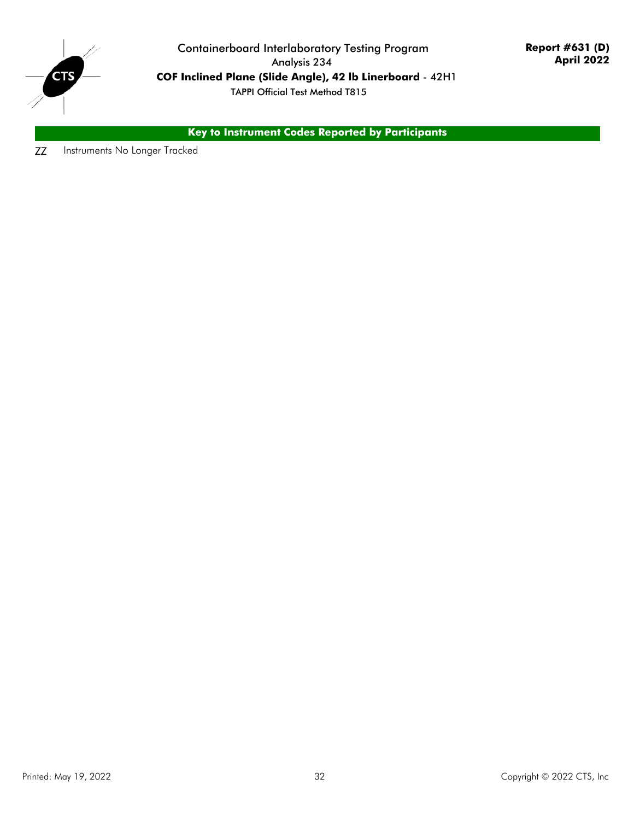

Containerboard Interlaboratory Testing Program Analysis 234 **COF Inclined Plane (Slide Angle), 42 lb Linerboard** - 42H1 TAPPI Official Test Method T815

**Key to Instrument Codes Reported by Participants**

**ZZ** Instruments No Longer Tracked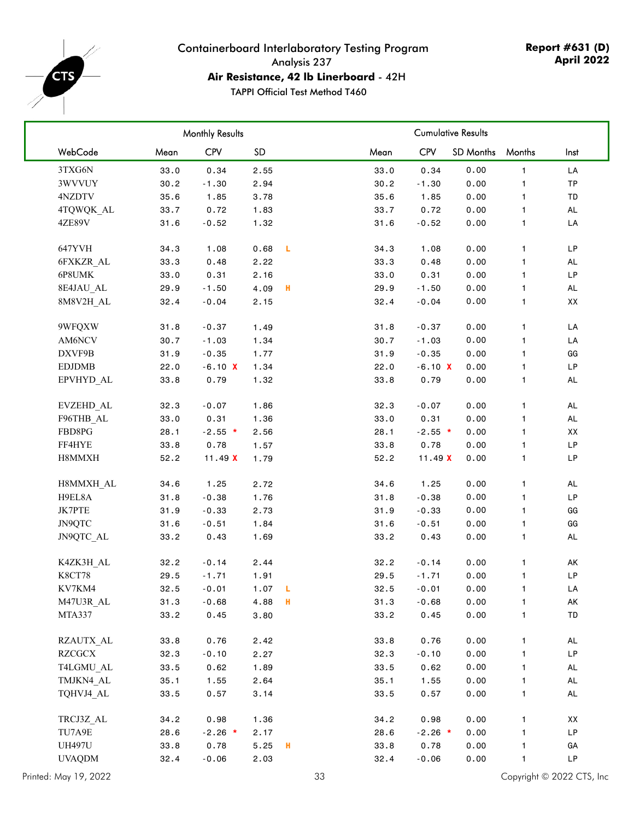<span id="page-32-0"></span>

## Containerboard Interlaboratory Testing Program Analysis 237 **Air Resistance, 42 lb Linerboard** - 42H

|               |      | <b>Cumulative Results</b> |                   |     |      |            |                  |              |               |
|---------------|------|---------------------------|-------------------|-----|------|------------|------------------|--------------|---------------|
| WebCode       | Mean | <b>CPV</b>                | SD                |     | Mean | <b>CPV</b> | <b>SD Months</b> | Months       | Inst          |
| 3TXG6N        | 33.0 | 0.34                      | 2.55              |     | 33.0 | 0.34       | 0.00             | $\mathbf{1}$ | LA            |
| 3WVVUY        | 30.2 | $-1.30$                   | 2.94              |     | 30.2 | $-1.30$    | 0.00             | $\mathbf{1}$ | TP            |
| 4NZDTV        | 35.6 | 1.85                      | 3.78              |     | 35.6 | 1.85       | 0.00             | 1            | TD            |
| 4TQWQK_AL     | 33.7 | 0.72                      | 1.83              |     | 33.7 | 0.72       | 0.00             | $\mathbf{1}$ | AL            |
| <b>4ZE89V</b> | 31.6 | $-0.52$                   | 1.32              |     | 31.6 | $-0.52$    | 0.00             | 1            | LA            |
| 647YVH        | 34.3 | 1.08                      | 0.68              | - L | 34.3 | 1.08       | 0.00             | $\mathbf{1}$ | LP            |
| 6FXKZR AL     | 33.3 | 0.48                      | 2.22              |     | 33.3 | 0.48       | 0.00             | $\mathbf{1}$ | AL            |
| 6P8UMK        | 33.0 | 0.31                      | 2.16              |     | 33.0 | 0.31       | 0.00             | $\mathbf{1}$ | LP            |
| 8E4JAU AL     | 29.9 | $-1.50$                   | 4.09              | H   | 29.9 | $-1.50$    | 0.00             | 1            | $\mathsf{AL}$ |
| 8M8V2H_AL     | 32.4 | $-0.04$                   | 2.15              |     | 32.4 | $-0.04$    | 0.00             | 1            | XX            |
| 9WFQXW        | 31.8 | $-0.37$                   | 1.49              |     | 31.8 | $-0.37$    | 0.00             | $\mathbf{1}$ | LA            |
| AM6NCV        | 30.7 | $-1.03$                   | 1.34              |     | 30.7 | $-1.03$    | 0.00             | 1            | LA            |
| DXVF9B        | 31.9 | $-0.35$                   | 1.77              |     | 31.9 | $-0.35$    | 0.00             | 1            | GG            |
| <b>EDJDMB</b> | 22.0 | $-6.10 X$                 | 1.34              |     | 22.0 | $-6.10 X$  | 0.00             | $\mathbf{1}$ | LP            |
| EPVHYD_AL     | 33.8 | 0.79                      | 1.32              |     | 33.8 | 0.79       | 0.00             | $\mathbf{1}$ | AL            |
| EVZEHD_AL     | 32.3 | $-0.07$                   | 1.86              |     | 32.3 | $-0.07$    | 0.00             | $\mathbf{1}$ | AL            |
| F96THB AL     | 33.0 | 0.31                      | 1.36              |     | 33.0 | 0.31       | 0.00             | 1            | $\mathsf{AL}$ |
| FBD8PG        | 28.1 | $-2.55$ *                 | 2.56              |     | 28.1 | $-2.55$ *  | 0.00             | 1            | XX            |
| FF4HYE        | 33.8 | 0.78                      | 1.57              |     | 33.8 | 0.78       | 0.00             | 1            | LP            |
| H8MMXH        | 52.2 | 11.49 $X$                 | 1.79              |     | 52.2 | 11.49 $X$  | 0.00             | $\mathbf{1}$ | LP            |
| H8MMXH_AL     | 34.6 | 1.25                      | 2.72              |     | 34.6 | 1.25       | 0.00             | 1            | AL            |
| H9EL8A        | 31.8 | $-0.38$                   | 1.76              |     | 31.8 | $-0.38$    | 0.00             | $\mathbf{1}$ | $\mathsf{LP}$ |
| JK7PTE        | 31.9 | $-0.33$                   | 2.73              |     | 31.9 | $-0.33$    | 0.00             | $\mathbf{1}$ | GG            |
| JN9QTC        | 31.6 | $-0.51$                   | 1.84              |     | 31.6 | $-0.51$    | 0.00             | 1            | GG            |
| JN9QTC AL     | 33.2 | 0.43                      | 1.69              |     | 33.2 | 0.43       | 0.00             | 1            | AL            |
| K4ZK3H_AL     | 32.2 | $-0.14$                   | 2.44              |     | 32.2 | $-0.14$    | 0.00             | $\mathbf{1}$ | AK            |
| <b>K8CT78</b> | 29.5 | $-1.71$                   | 1.91              |     | 29.5 | $-1.71$    | 0.00             | 1            | LP            |
| KV7KM4        | 32.5 | $-0.01$                   | 1.07 <sub>1</sub> |     | 32.5 | $-0.01$    | 0.00             | $\mathbf{1}$ | LA            |
| M47U3R_AL     | 31.3 | $-0.68$                   | $4.88$ H          |     | 31.3 | $-0.68$    | 0.00             | 1            | AK            |
| MTA337        | 33.2 | 0.45                      | 3.80              |     | 33.2 | 0.45       | 0.00             | $\mathbf{1}$ | TD            |
| RZAUTX AL     | 33.8 | 0.76                      | 2.42              |     | 33.8 | 0.76       | 0.00             | $\mathbf{1}$ | AL            |
| <b>RZCGCX</b> | 32.3 | $-0.10$                   | 2.27              |     | 32.3 | $-0.10$    | 0.00             | 1            | LP            |
| T4LGMU AL     | 33.5 | 0.62                      | 1.89              |     | 33.5 | 0.62       | 0.00             | 1            | AL            |
| TMJKN4_AL     | 35.1 | 1.55                      | 2.64              |     | 35.1 | 1.55       | 0.00             | 1            | AL            |
| TQHVJ4_AL     | 33.5 | 0.57                      | 3.14              |     | 33.5 | 0.57       | 0.00             | 1            | AL            |
| TRCJ3Z AL     | 34.2 | 0.98                      | 1.36              |     | 34.2 | 0.98       | 0.00             | 1            | XX            |
| TU7A9E        | 28.6 | $-2.26$ *                 | 2.17              |     | 28.6 | $-2.26$ *  | 0.00             | 1            | LP            |
| <b>UH497U</b> | 33.8 | 0.78                      | 5.25              | - H | 33.8 | 0.78       | 0.00             | 1            | GA            |
| <b>UVAQDM</b> | 32.4 | $-0.06$                   | 2.03              |     | 32.4 | $-0.06$    | 0.00             | 1            | LP            |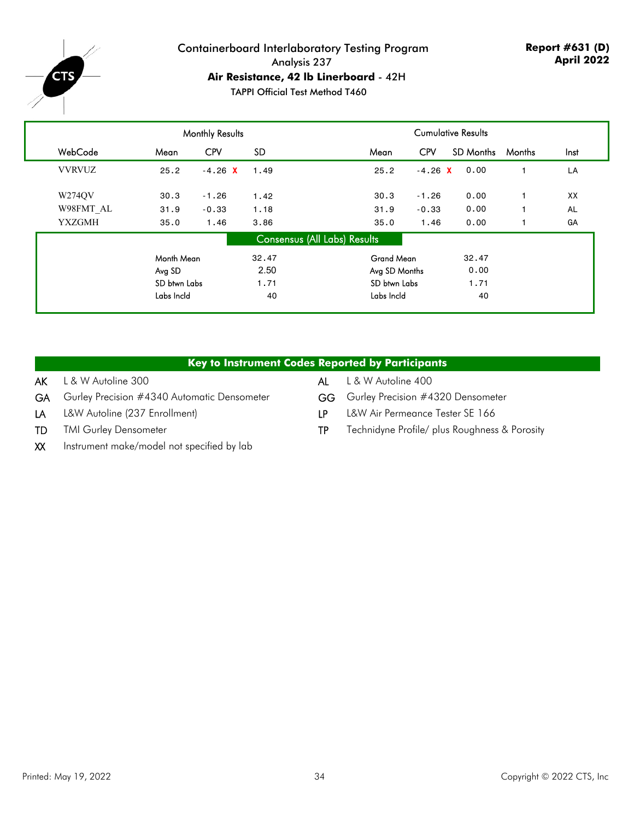

## Containerboard Interlaboratory Testing Program Analysis 237 **Air Resistance, 42 lb Linerboard** - 42H

TAPPI Official Test Method T460

|               |              | <b>Monthly Results</b> |                              |                   |            |           |        |      |
|---------------|--------------|------------------------|------------------------------|-------------------|------------|-----------|--------|------|
| WebCode       | Mean         | <b>CPV</b>             | SD.                          | Mean              | <b>CPV</b> | SD Months | Months | Inst |
| <b>VVRVUZ</b> | 25.2         | $-4.26$ X              | 1.49                         | 25.2              | $-4.26$ X  | 0.00      |        | LA   |
| W274QV        | 30.3         | $-1.26$                | 1.42                         | 30.3              | $-1.26$    | 0.00      |        | XX   |
| W98FMT AL     | 31.9         | $-0.33$                | 1.18                         | 31.9              | $-0.33$    | 0.00      |        | AL   |
| <b>YXZGMH</b> | 35.0         | 1.46                   | 3.86                         | 35.0              | 1.46       | 0.00      |        | GA   |
|               |              |                        | Consensus (All Labs) Results |                   |            |           |        |      |
|               | Month Mean   |                        | 32.47                        | <b>Grand Mean</b> |            | 32.47     |        |      |
|               | Avg SD       |                        | 2.50                         | Avg SD Months     |            | 0.00      |        |      |
|               | SD btwn Labs |                        | 1.71                         | SD btwn Labs      |            | 1.71      |        |      |
|               | Labs Incld   |                        | 40                           | Labs Incld        |            | 40        |        |      |
|               |              |                        |                              |                   |            |           |        |      |

#### **Key to Instrument Codes Reported by Participants**

- AK L & W Autoline 300 AL L & W Autoline 400
- GA Gurley Precision #4340 Automatic Densometer GG Gurley Precision #4320 Densometer
	-
- 
- 
- LA L&W Autoline (237 Enrollment) LP L&W Air Permeance Tester SE 166
- TD TMI Gurley Densometer TP Technidyne Profile/ plus Roughness & Porosity
- XX Instrument make/model not specified by lab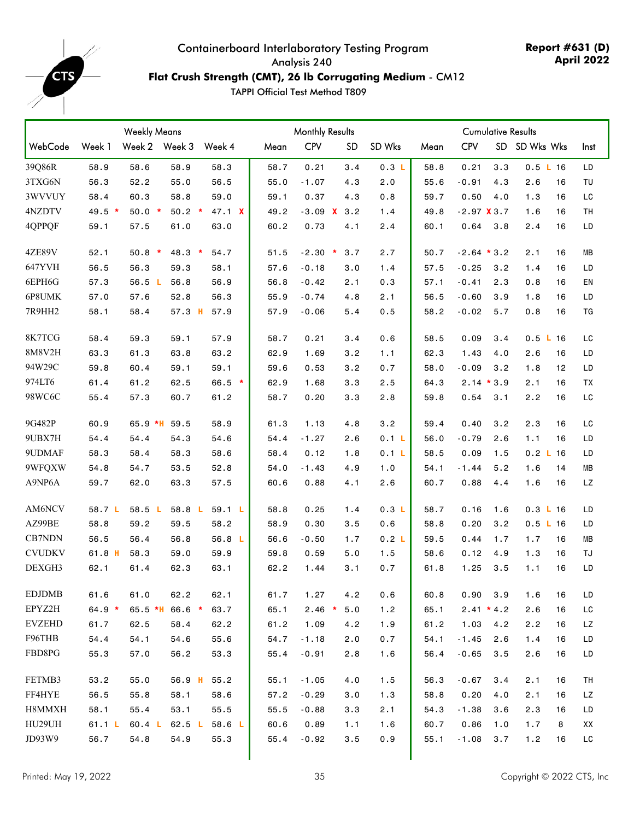<span id="page-34-0"></span>

### **Flat Crush Strength (CMT), 26 lb Corrugating Medium** - CM12

|               |          | <b>Weekly Means</b> |          |                   |      | <b>Monthly Results</b> |               |        |      |                | <b>Cumulative Results</b> |               |           |
|---------------|----------|---------------------|----------|-------------------|------|------------------------|---------------|--------|------|----------------|---------------------------|---------------|-----------|
| WebCode       | Week 1   | Week 2 Week 3       |          | Week 4            | Mean | <b>CPV</b>             | <b>SD</b>     | SD Wks | Mean | <b>CPV</b>     |                           | SD SD Wks Wks | Inst      |
| 39Q86R        | 58.9     | 58.6                | 58.9     | 58.3              | 58.7 | 0.21                   | 3.4           | 0.3 L  | 58.8 | 0.21           | 3.3                       | 0.5 L16       | LD        |
| 3TXG6N        | 56.3     | 52.2                | 55.0     | 56.5              | 55.0 | $-1.07$                | 4.3           | 2.0    | 55.6 | $-0.91$        | 4.3                       | 2.6<br>16     | TU        |
| 3WVVUY        | 58.4     | 60.3                | 58.8     | 59.0              | 59.1 | 0.37                   | 4.3           | 0.8    | 59.7 | 0.50           | 4.0                       | 1.3<br>16     | LC        |
| 4NZDTV        | $49.5*$  | $50.0*$             | $50.2$ * | 47.1 X            | 49.2 |                        | $-3.09$ X 3.2 | 1.4    | 49.8 | $-2.97$ $X3.7$ |                           | 1.6<br>16     | TН        |
| 4QPPQF        | 59.1     | 57.5                | 61.0     | 63.0              | 60.2 | 0.73                   | 4.1           | 2.4    | 60.1 | 0.64           | 3.8                       | 2.4<br>16     | LD        |
| <b>4ZE89V</b> | 52.1     | $50.8 *$            | $48.3*$  | 54.7              | 51.5 | $-2.30$ *              | 3.7           | 2.7    | 50.7 | $-2.64 * 3.2$  |                           | 2.1<br>16     | MВ        |
| 647YVH        | 56.5     | 56.3                | 59.3     | 58.1              | 57.6 | $-0.18$                | 3.0           | 1.4    | 57.5 | $-0.25$        | 3.2                       | 1.4<br>16     | LD        |
| 6EPH6G        | 57.3     | 56.5 $L$            | 56.8     | 56.9              | 56.8 | $-0.42$                | 2.1           | 0.3    | 57.1 | $-0.41$        | 2.3                       | 0.8<br>16     | EN        |
| 6P8UMK        | 57.0     | 57.6                | 52.8     | 56.3              | 55.9 | $-0.74$                | 4.8           | 2.1    | 56.5 | $-0.60$        | 3.9                       | 1.8<br>16     | LD        |
| 7R9HH2        | 58.1     | 58.4                | 57.3 H   | 57.9              | 57.9 | $-0.06$                | 5.4           | 0.5    | 58.2 | $-0.02$        | 5.7                       | 0.8<br>16     | TG        |
| 8K7TCG        | 58.4     | 59.3                | 59.1     | 57.9              | 58.7 | 0.21                   | 3.4           | 0.6    | 58.5 | 0.09           | 3.4                       | 0.5 L 16      | LC        |
| 8M8V2H        | 63.3     | 61.3                | 63.8     | 63.2              | 62.9 | 1.69                   | 3.2           | 1.1    | 62.3 | 1.43           | 4.0                       | 2.6<br>16     | LD        |
| 94W29C        | 59.8     | 60.4                | 59.1     | 59.1              | 59.6 | 0.53                   | 3.2           | 0.7    | 58.0 | $-0.09$        | 3.2                       | 1.8<br>12     | LD        |
| 974LT6        | 61.4     | 61.2                | 62.5     | $66.5 *$          | 62.9 | 1.68                   | 3.3           | 2.5    | 64.3 | $2.14 * 3.9$   |                           | 2.1<br>16     | TX        |
| 98WC6C        | 55.4     | 57.3                | 60.7     | 61.2              | 58.7 | 0.20                   | 3.3           | 2.8    | 59.8 | 0.54           | 3.1                       | 2.2<br>16     | LC        |
| 9G482P        | 60.9     | $65.9$ *H           | 59.5     | 58.9              | 61.3 | 1.13                   | 4.8           | 3.2    | 59.4 | 0.40           | 3.2                       | 2.3<br>16     | LC        |
| 9UBX7H        | 54.4     | 54.4                | 54.3     | 54.6              | 54.4 | $-1.27$                | 2.6           | 0.1 L  | 56.0 | $-0.79$        | 2.6                       | 1.1<br>16     | LD        |
| 9UDMAF        | 58.3     | 58.4                | 58.3     | 58.6              | 58.4 | 0.12                   | 1.8           | 0.1 L  | 58.5 | 0.09           | 1.5                       | 0.2 L 16      | LD        |
| 9WFQXW        | 54.8     | 54.7                | 53.5     | 52.8              | 54.0 | $-1.43$                | 4.9           | 1.0    | 54.1 | $-1.44$        | 5.2                       | 1.6<br>14     | ΜВ        |
| A9NP6A        | 59.7     | 62.0                | 63.3     | 57.5              | 60.6 | 0.88                   | 4.1           | 2.6    | 60.7 | 0.88           | 4.4                       | 1.6<br>16     | <b>LZ</b> |
| AM6NCV        | 58.7 L   | 58.5 L              | 58.8 L   | 59.1 L            | 58.8 | 0.25                   | 1.4           | 0.3 L  | 58.7 | 0.16           | 1.6                       | 0.3 L 16      | LD        |
| AZ99BE        | 58.8     | 59.2                | 59.5     | 58.2              | 58.9 | 0.30                   | 3.5           | 0.6    | 58.8 | 0.20           | 3.2                       | 0.5 L 16      | LD        |
| CB7NDN        | 56.5     | 56.4                | 56.8     | 56.8 L            | 56.6 | $-0.50$                | 1.7           | 0.2 L  | 59.5 | 0.44           | 1.7                       | 1.7<br>16     | MВ        |
| <b>CVUDKV</b> | 61.8 H   | 58.3                | 59.0     | 59.9              | 59.8 | 0.59                   | 5.0           | 1.5    | 58.6 | 0.12           | 4.9                       | 1.3<br>16     | TJ        |
| DEXGH3        | 62.1     | 61.4                | 62.3     | 63.1              | 62.2 | 1.44                   | 3.1           | 0.7    | 61.8 | 1.25           | 3.5                       | 1.1<br>16     | LD        |
| <b>EDJDMB</b> | 61.6     | 61.0                | 62.2     | 62.1              | 61.7 | 1.27                   | 4.2           | 0.6    | 60.8 | 0.90           | 3.9                       | 1.6<br>16     | LD        |
| EPYZ2H        | $64.9 *$ | $65.5$ *H           | $66.6*$  | 63.7              | 65.1 | $2.46$ *               | 5.0           | 1.2    | 65.1 | $2.41 * 4.2$   |                           | 2.6<br>16     | LC        |
| <b>EVZEHD</b> | 61.7     | 62.5                | 58.4     | 62.2              | 61.2 | 1.09                   | 4.2           | 1.9    | 61.2 | 1.03           | 4.2                       | 2.2<br>16     | LZ        |
| F96THB        | 54.4     | 54.1                | 54.6     | 55.6              | 54.7 | $-1.18$                | 2.0           | 0.7    | 54.1 | $-1.45$        | 2.6                       | 1.4<br>16     | LD        |
| FBD8PG        | 55.3     | 57.0                | 56.2     | 53.3              | 55.4 | $-0.91$                | 2.8           | 1.6    | 56.4 | $-0.65$        | 3.5                       | 2.6<br>16     | LD        |
| FETMB3        | 53.2     | 55.0                | $56.9$ H | 55.2              | 55.1 | $-1.05$                | 4.0           | 1.5    | 56.3 | $-0.67$        | 3.4                       | 2.1<br>16     | TH        |
| FF4HYE        | 56.5     | 55.8                | 58.1     | 58.6              | 57.2 | $-0.29$                | 3.0           | 1.3    | 58.8 | 0.20           | 4.0                       | 2.1<br>16     | LZ        |
| H8MMXH        | 58.1     | 55.4                | 53.1     | 55.5              | 55.5 | $-0.88$                | 3.3           | 2.1    | 54.3 | $-1.38$        | 3.6                       | 2.3<br>16     | LD        |
| HU29UH        | 61.1 L   | 60.4 <sub>L</sub>   | 62.5 $L$ | 58.6 <sub>L</sub> | 60.6 | 0.89                   | 1.1           | 1.6    | 60.7 | 0.86           | 1.0                       | 1.7<br>8      | XX        |
| JD93W9        | 56.7     | 54.8                | 54.9     | 55.3              | 55.4 | $-0.92$                | 3.5           | 0.9    | 55.1 | $-1.08$        | 3.7                       | 1.2<br>16     | LC        |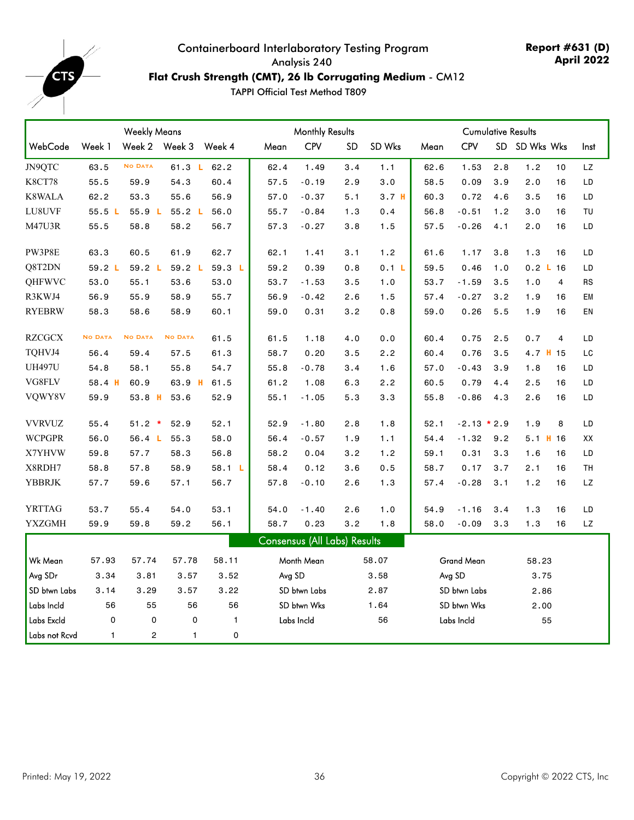

### **Flat Crush Strength (CMT), 26 lb Corrugating Medium** - CM12

|               |                | <b>Weekly Means</b> |                |              | <b>Monthly Results</b><br><b>Cumulative Results</b> |                              |     |                  |      |                   |           |            |                |                        |
|---------------|----------------|---------------------|----------------|--------------|-----------------------------------------------------|------------------------------|-----|------------------|------|-------------------|-----------|------------|----------------|------------------------|
| WebCode       | Week 1         | Week 2 Week 3       |                | Week 4       | Mean                                                | CPV                          | SD  | SD Wks           | Mean | <b>CPV</b>        | <b>SD</b> | SD Wks Wks |                | Inst                   |
| JN9QTC        | 63.5           | <b>NO DATA</b>      | 61.3 L         | 62.2         | 62.4                                                | 1.49                         | 3.4 | 1.1              | 62.6 | 1.53              | 2.8       | 1.2        | 10             | LZ.                    |
| <b>K8CT78</b> | 55.5           | 59.9                | 54.3           | 60.4         | 57.5                                                | $-0.19$                      | 2.9 | 3.0              | 58.5 | 0.09              | 3.9       | 2.0        | 16             | LD                     |
| K8WALA        | 62.2           | 53.3                | 55.6           | 56.9         | 57.0                                                | $-0.37$                      | 5.1 | 3.7 <sub>H</sub> | 60.3 | 0.72              | 4.6       | 3.5        | 16             | $\mathsf{L}\mathsf{D}$ |
| LU8UVF        | 55.5L          | 55.9 L              | 55.2 L         | 56.0         | 55.7                                                | $-0.84$                      | 1.3 | 0.4              | 56.8 | $-0.51$           | 1.2       | 3.0        | 16             | TU                     |
| <b>M47U3R</b> | 55.5           | 58.8                | 58.2           | 56.7         | 57.3                                                | $-0.27$                      | 3.8 | 1.5              | 57.5 | $-0.26$           | 4.1       | 2.0        | 16             | LD                     |
| PW3P8E        | 63.3           | 60.5                | 61.9           | 62.7         | 62.1                                                | 1.41                         | 3.1 | 1.2              | 61.6 | 1.17              | 3.8       | 1.3        | 16             | LD                     |
| Q8T2DN        | 59.2 L         | 59.2 L              | 59.2 L         | 59.3 L       | 59.2                                                | 0.39                         | 0.8 | 0.1 L            | 59.5 | 0.46              | 1.0       | $0.2$ L 16 |                | LD                     |
| QHFWVC        | 53.0           | 55.1                | 53.6           | 53.0         | 53.7                                                | $-1.53$                      | 3.5 | 1.0              | 53.7 | $-1.59$           | 3.5       | 1.0        | $\overline{4}$ | <b>RS</b>              |
| R3KWJ4        | 56.9           | 55.9                | 58.9           | 55.7         | 56.9                                                | $-0.42$                      | 2.6 | 1.5              | 57.4 | $-0.27$           | 3.2       | 1.9        | 16             | EM                     |
| <b>RYEBRW</b> | 58.3           | 58.6                | 58.9           | 60.1         | 59.0                                                | 0.31                         | 3.2 | 0.8              | 59.0 | 0.26              | 5.5       | 1.9        | 16             | EN                     |
| <b>RZCGCX</b> | <b>NO DATA</b> | <b>NO DATA</b>      | <b>NO DATA</b> | 61.5         | 61.5                                                | 1.18                         | 4.0 | 0.0              | 60.4 | 0.75              | 2.5       | 0.7        | 4              | LD                     |
| TQHVJ4        | 56.4           | 59.4                | 57.5           | 61.3         | 58.7                                                | 0.20                         | 3.5 | 2.2              | 60.4 | 0.76              | 3.5       | 4.7 H 15   |                | $\mathsf{L}\mathsf{C}$ |
| <b>UH497U</b> | 54.8           | 58.1                | 55.8           | 54.7         | 55.8                                                | $-0.78$                      | 3.4 | 1.6              | 57.0 | $-0.43$           | 3.9       | 1.8        | 16             | LD                     |
| VG8FLV        | 58.4 H         | 60.9                | 63.9 H         | 61.5         | 61.2                                                | 1.08                         | 6.3 | 2.2              | 60.5 | 0.79              | 4.4       | 2.5        | 16             | LD                     |
| VQWY8V        | 59.9           | $53.8$ H            | 53.6           | 52.9         | 55.1                                                | $-1.05$                      | 5.3 | 3.3              | 55.8 | $-0.86$           | 4.3       | 2.6        | 16             | LD                     |
| <b>VVRVUZ</b> | 55.4           | $51.2$ *            | 52.9           | 52.1         | 52.9                                                | $-1.80$                      | 2.8 | 1.8              | 52.1 | $-2.13 * 2.9$     |           | 1.9        | 8              | LD                     |
| <b>WCPGPR</b> | 56.0           | 56.4 <sub>L</sub>   | 55.3           | 58.0         | 56.4                                                | $-0.57$                      | 1.9 | 1.1              | 54.4 | $-1.32$           | 9.2       | $5.1$ H 16 |                | XX                     |
| X7YHVW        | 59.8           | 57.7                | 58.3           | 56.8         | 58.2                                                | 0.04                         | 3.2 | 1.2              | 59.1 | 0.31              | 3.3       | 1.6        | 16             | LD                     |
| X8RDH7        | 58.8           | 57.8                | 58.9           | 58.1 L       | 58.4                                                | 0.12                         | 3.6 | 0.5              | 58.7 | 0.17              | 3.7       | 2.1        | 16             | TH                     |
| <b>YBBRJK</b> | 57.7           | 59.6                | 57.1           | 56.7         | 57.8                                                | $-0.10$                      | 2.6 | 1.3              | 57.4 | $-0.28$           | 3.1       | 1.2        | 16             | <b>LZ</b>              |
| <b>YRTTAG</b> | 53.7           | 55.4                | 54.0           | 53.1         | 54.0                                                | $-1.40$                      | 2.6 | 1.0              | 54.9 | $-1.16$           | 3.4       | 1.3        | 16             | LD                     |
| YXZGMH        | 59.9           | 59.8                | 59.2           | 56.1         | 58.7                                                | 0.23                         | 3.2 | 1.8              | 58.0 | $-0.09$           | 3.3       | 1.3        | 16             | LZ                     |
|               |                |                     |                |              |                                                     | Consensus (All Labs) Results |     |                  |      |                   |           |            |                |                        |
| Wk Mean       | 57.93          | 57.74               | 57.78          | 58.11        |                                                     | Month Mean                   |     | 58.07            |      | <b>Grand Mean</b> |           | 58.23      |                |                        |
| Avg SDr       | 3.34           | 3.81                | 3.57           | 3.52         | Avg SD                                              |                              |     | 3.58             |      | Avg SD            |           | 3.75       |                |                        |
| SD btwn Labs  | 3.14           | 3.29                | 3.57           | 3.22         |                                                     | SD btwn Labs                 |     | 2.87             |      | SD btwn Labs      |           | 2.86       |                |                        |
| Labs Incld    | 56             | 55                  | 56             | 56           |                                                     | SD btwn Wks                  |     | 1.64             |      | SD btwn Wks       |           | 2.00       |                |                        |
| Labs Excld    | $\mathsf 0$    | 0                   | $\mathsf 0$    | $\mathbf{1}$ |                                                     | Labs Incld                   |     | 56               |      | Labs Incld        |           | 55         |                |                        |
| Labs not Rcvd | $\mathbf{1}$   | $\overline{c}$      | $\mathbf{1}$   | 0            |                                                     |                              |     |                  |      |                   |           |            |                |                        |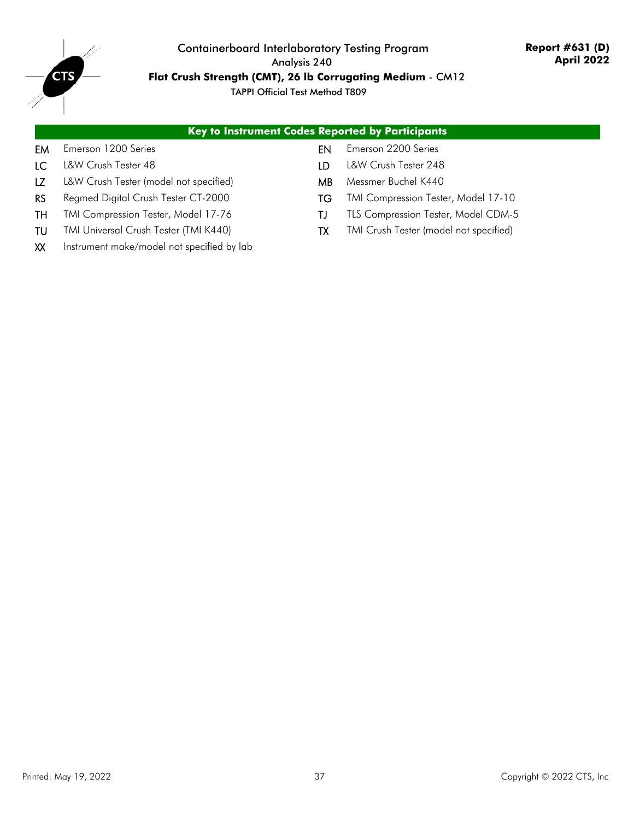

**Flat Crush Strength (CMT), 26 lb Corrugating Medium** - CM12

|                               | <b>Key to Instrument Codes Reported by Participants</b> |                               |
|-------------------------------|---------------------------------------------------------|-------------------------------|
| <b>EM</b> Emerson 1200 Series |                                                         | <b>EN</b> Emerson 2200 Series |
| <b>LC</b> L&W Crush Tester 48 | ID.                                                     | L&W Crush Tester 248          |

- 
- RS Regmed Digital Crush Tester CT-2000 TG TMI Compression Tester, Model 17-10
- TH TMI Compression Tester, Model 17-76 TJ TLS Compression Tester, Model CDM-5
- TU TMI Universal Crush Tester (TMI K440) TX TMI Crush Tester (model not specified)
- EM Emerson 1
- 
- LZ L&W Crush Tester (model not specified) MB Messmer Buchel K440
- 
- 
- 
- XX Instrument make/model not specified by lab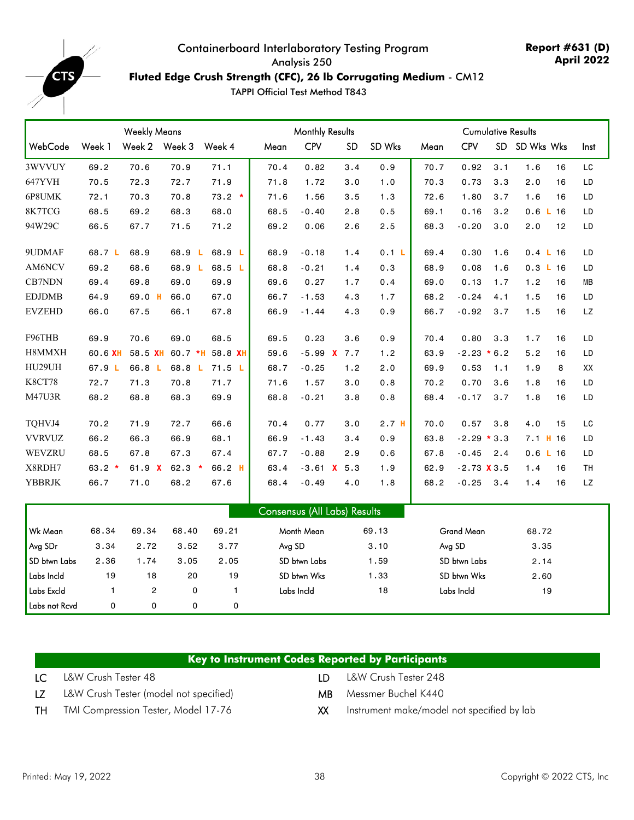<span id="page-37-0"></span>

**Report #631 (D) April 2022**

### **Fluted Edge Crush Strength (CFC), 26 lb Corrugating Medium** - CM12

|               |              |                | <b>Monthly Results</b> |                 |        |                                     | <b>Cumulative Results</b> |                  |      |                   |     |                    |      |
|---------------|--------------|----------------|------------------------|-----------------|--------|-------------------------------------|---------------------------|------------------|------|-------------------|-----|--------------------|------|
| WebCode       | Week 1       | Week 2 Week 3  |                        | Week 4          | Mean   | <b>CPV</b>                          | <b>SD</b>                 | SD Wks           | Mean | <b>CPV</b>        |     | SD SD Wks Wks      | Inst |
| 3WVVUY        | 69.2         | 70.6           | 70.9                   | 71.1            | 70.4   | 0.82                                | 3.4                       | 0.9              | 70.7 | 0.92              | 3.1 | 1.6<br>16          | LC   |
| 647YVH        | 70.5         | 72.3           | 72.7                   | 71.9            | 71.8   | 1.72                                | 3.0                       | 1.0              | 70.3 | 0.73              | 3.3 | 2.0<br>16          | LD   |
| 6P8UMK        | 72.1         | 70.3           | 70.8                   | $73.2 *$        | 71.6   | 1.56                                | 3.5                       | 1.3              | 72.6 | 1.80              | 3.7 | 1.6<br>16          | LD   |
| 8K7TCG        | 68.5         | 69.2           | 68.3                   | 68.0            | 68.5   | $-0.40$                             | 2.8                       | 0.5              | 69.1 | 0.16              | 3.2 | $0.6$ $L$ 16       | LD   |
| 94W29C        | 66.5         | 67.7           | 71.5                   | 71.2            | 69.2   | 0.06                                | 2.6                       | 2.5              | 68.3 | $-0.20$           | 3.0 | 2.0<br>12          | LD   |
| 9UDMAF        | 68.7 L       | 68.9           | 68.9 L                 | 68.9 L          | 68.9   | $-0.18$                             | 1.4                       | 0.1 L            | 69.4 | 0.30              | 1.6 | $0.4 \text{ L} 16$ | LD   |
| AM6NCV        | 69.2         | 68.6           | 68.9 L                 | 68.5 L          | 68.8   | $-0.21$                             | 1.4                       | 0.3              | 68.9 | 0.08              | 1.6 | 0.3 L 16           | LD   |
| CB7NDN        | 69.4         | 69.8           | 69.0                   | 69.9            | 69.6   | 0.27                                | 1.7                       | 0.4              | 69.0 | 0.13              | 1.7 | 1.2<br>16          | MВ   |
| <b>EDJDMB</b> | 64.9         | 69.0 H         | 66.0                   | 67.0            | 66.7   | $-1.53$                             | 4.3                       | 1.7              | 68.2 | $-0.24$           | 4.1 | 1.5<br>16          | LD   |
| <b>EVZEHD</b> | 66.0         | 67.5           | 66.1                   | 67.8            | 66.9   | $-1.44$                             | 4.3                       | 0.9              | 66.7 | $-0.92$           | 3.7 | 1.5<br>16          | LZ   |
| F96THB        | 69.9         | 70.6           | 69.0                   | 68.5            | 69.5   | 0.23                                | 3.6                       | 0.9              | 70.4 | 0.80              | 3.3 | 1.7<br>16          | LD   |
| H8MMXH        | 60.6 XH      | 58.5 XH        |                        | 60.7 *H 58.8 XH | 59.6   |                                     | $-5.99$ X 7.7             | 1.2              | 63.9 | $-2.23 * 6.2$     |     | 5.2<br>16          | LD   |
| HU29UH        | 67.9 L       | 66.8 L         |                        | 68.8 L 71.5 L   | 68.7   | $-0.25$                             | 1.2                       | 2.0              | 69.9 | 0.53              | 1.1 | 1.9<br>8           | XX   |
| <b>K8CT78</b> | 72.7         | 71.3           | 70.8                   | 71.7            | 71.6   | 1.57                                | 3.0                       | 0.8              | 70.2 | 0.70              | 3.6 | 1.8<br>16          | LD   |
| <b>M47U3R</b> | 68.2         | 68.8           | 68.3                   | 69.9            | 68.8   | $-0.21$                             | 3.8                       | 0.8              | 68.4 | $-0.17$           | 3.7 | 1.8<br>16          | LD   |
| TQHVJ4        | 70.2         | 71.9           | 72.7                   | 66.6            | 70.4   | 0.77                                | 3.0                       | 2.7 <sub>H</sub> | 70.0 | 0.57              | 3.8 | 4.0<br>15          | LC   |
| <b>VVRVUZ</b> | 66.2         | 66.3           | 66.9                   | 68.1            | 66.9   | $-1.43$                             | 3.4                       | 0.9              | 63.8 | $-2.29 * 3.3$     |     | $7.1$ H 16         | LD   |
| WEVZRU        | 68.5         | 67.8           | 67.3                   | 67.4            | 67.7   | $-0.88$                             | 2.9                       | 0.6              | 67.8 | $-0.45$           | 2.4 | 0.6 L 16           | LD   |
| X8RDH7        | $63.2 *$     | 61.9 $X$       | $62.3*$                | 66.2 H          | 63.4   |                                     | $-3.61$ X 5.3             | 1.9              | 62.9 | $-2.73$ $X3.5$    |     | 16<br>1.4          | TH   |
| <b>YBBRJK</b> | 66.7         | 71.0           | 68.2                   | 67.6            | 68.4   | $-0.49$                             | 4.0                       | 1.8              | 68.2 | $-0.25$           | 3.4 | 16<br>1.4          | LZ   |
|               |              |                |                        |                 |        | <b>Consensus (All Labs) Results</b> |                           |                  |      |                   |     |                    |      |
| Wk Mean       | 68.34        | 69.34          | 68.40                  | 69.21           |        | Month Mean                          |                           | 69.13            |      | <b>Grand Mean</b> |     | 68.72              |      |
| Avg SDr       | 3.34         | 2.72           | 3.52                   | 3.77            | Avg SD |                                     |                           | 3.10             |      | Avg SD            |     | 3.35               |      |
| SD btwn Labs  | 2.36         | 1.74           | 3.05                   | 2.05            |        | SD btwn Labs                        |                           | 1.59             |      | SD btwn Labs      |     | 2.14               |      |
| Labs Incld    | 19           | 18             | 20                     | 19              |        | SD btwn Wks                         |                           | 1.33             |      | SD btwn Wks       |     | 2.60               |      |
| Labs Excld    | $\mathbf{1}$ | $\overline{c}$ | 0                      | 1               |        | Labs Incld                          |                           | 18               |      | Labs Incld        |     | 19                 |      |
| Labs not Rcvd | 0            | 0              | 0                      | 0               |        |                                     |                           |                  |      |                   |     |                    |      |

|    | <b>Key to Instrument Codes Reported by Participants</b> |      |                               |
|----|---------------------------------------------------------|------|-------------------------------|
|    | <b>LC</b> L&W Crush Tester 48                           | – חו | L&W Crush Tester 248          |
| LZ | L&W Crush Tester (model not specified)                  |      | <b>MB</b> Messmer Buchel K440 |

- 
- TH TMI Compression Tester, Model 17-76 XX Instrument make/model not specified by lab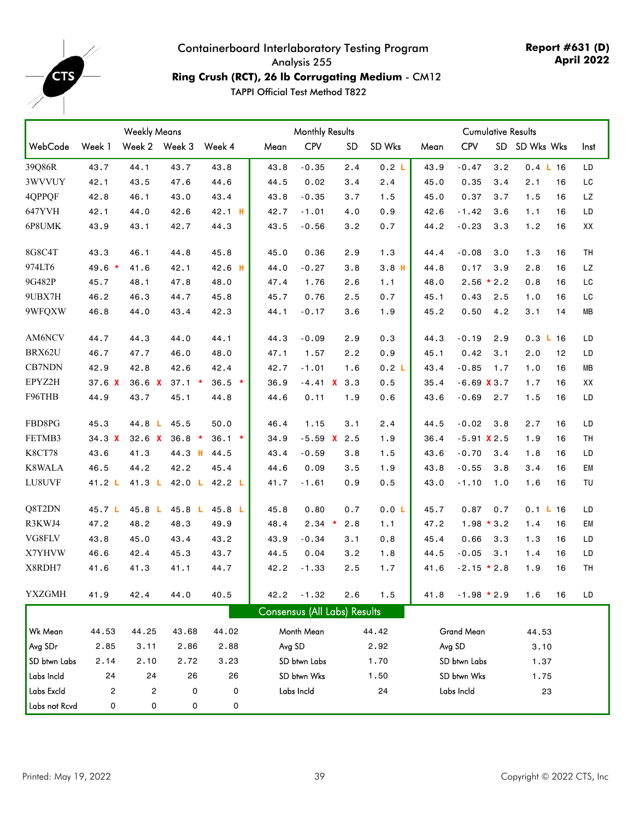<span id="page-38-0"></span>

#### Containerboard Interlaboratory Testing Program Analysis 255 **Ring Crush (RCT), 26 lb Corrugating Medium** - CM12

|               |         | <b>Weekly Means</b> |                   |          | <b>Monthly Results</b> |                              |           | <b>Cumulative Results</b> |      |                |     |                    |    |           |
|---------------|---------|---------------------|-------------------|----------|------------------------|------------------------------|-----------|---------------------------|------|----------------|-----|--------------------|----|-----------|
| WebCode       | Week 1  |                     | Week 2 Week 3     | Week 4   | Mean                   | <b>CPV</b>                   | <b>SD</b> | SD Wks                    | Mean | <b>CPV</b>     |     | SD SD Wks Wks      |    | Inst      |
| 39Q86R        | 43.7    | 44.1                | 43.7              | 43.8     | 43.8                   | $-0.35$                      | 2.4       | 0.2 L                     | 43.9 | $-0.47$        | 3.2 | $0.4 \text{ L} 16$ |    | LD        |
| 3WVVUY        | 42.1    | 43.5                | 47.6              | 44.6     | 44.5                   | 0.02                         | 3.4       | 2.4                       | 45.0 | 0.35           | 3.4 | 2.1                | 16 | LC        |
| 4QPPQF        | 42.8    | 46.1                | 43.0              | 43.4     | 43.8                   | $-0.35$                      | 3.7       | 1.5                       | 45.0 | 0.37           | 3.7 | 1.5                | 16 | LZ        |
| 647YVH        | 42.1    | 44.0                | 42.6              | $42.1$ H | 42.7                   | $-1.01$                      | 4.0       | 0.9                       | 42.6 | $-1.42$        | 3.6 | 1.1                | 16 | LD        |
| 6P8UMK        | 43.9    | 43.1                | 42.7              | 44.3     | 43.5                   | $-0.56$                      | 3.2       | 0.7                       | 44.2 | $-0.23$        | 3.3 | 1.2                | 16 | XX        |
| 8G8C4T        | 43.3    | 46.1                | 44.8              | 45.8     | 45.0                   | 0.36                         | 2.9       | 1.3                       | 44.4 | $-0.08$        | 3.0 | 1.3                | 16 | TH        |
| 974LT6        | $49.6*$ | 41.6                | 42.1              | 42.6 H   | 44.0                   | $-0.27$                      | 3.8       | $3.8$ H                   | 44.8 | 0.17           | 3.9 | 2.8                | 16 | LZ        |
| 9G482P        | 45.7    | 48.1                | 47.8              | 48.0     | 47.4                   | 1.76                         | 2.6       | 1.1                       | 48.0 | $2.56 * 2.2$   |     | 0.8                | 16 | LC        |
| 9UBX7H        | 46.2    | 46.3                | 44.7              | 45.8     | 45.7                   | 0.76                         | 2.5       | 0.7                       | 45.1 | 0.43           | 2.5 | 1.0                | 16 | LC        |
| 9WFQXW        | 46.8    | 44.0                | 43.4              | 42.3     | 44.1                   | $-0.17$                      | 3.6       | 1.9                       | 45.2 | 0.50           | 4.2 | 3.1                | 14 | MB        |
| AM6NCV        | 44.7    | 44.3                | 44.0              | 44.1     | 44.3                   | $-0.09$                      | 2.9       | 0.3                       | 44.3 | $-0.19$        | 2.9 | $0.3 \text{ L} 16$ |    | LD        |
| BRX62U        | 46.7    | 47.7                | 46.0              | 48.0     | 47.1                   | 1.57                         | 2.2       | 0.9                       | 45.1 | 0.42           | 3.1 | 2.0                | 12 | LD        |
| CB7NDN        | 42.9    | 42.8                | 42.6              | 42.4     | 42.7                   | $-1.01$                      | 1.6       | 0.2 L                     | 43.4 | $-0.85$        | 1.7 | 1.0                | 16 | MВ        |
| EPYZ2H        | 37.6 X  | 36.6 X              | $37.1*$           | $36.5*$  | 36.9                   | $-4.41$ X 3.3                |           | 0.5                       | 35.4 | $-6.69$ $X3.7$ |     | 1.7                | 16 | XX        |
| F96THB        | 44.9    | 43.7                | 45.1              | 44.8     | 44.6                   | 0.11                         | 1.9       | 0.6                       | 43.6 | $-0.69$        | 2.7 | 1.5                | 16 | LD        |
| FBD8PG        | 45.3    | 44.8 L              | 45.5              | 50.0     | 46.4                   | 1.15                         | 3.1       | 2.4                       | 44.5 | $-0.02$        | 3.8 | 2.7                | 16 | LD        |
| FETMB3        | 34.3 X  | 32.6 X              | $36.8*$           | $36.1 *$ | 34.9                   | $-5.59$ X 2.5                |           | 1.9                       | 36.4 | $-5.91$ X 2.5  |     | 1.9                | 16 | TH        |
| K8CT78        | 43.6    | 41.3                | 44.3 H            | 44.5     | 43.4                   | $-0.59$                      | 3.8       | 1.5                       | 43.6 | $-0.70$        | 3.4 | 1.8                | 16 | LD        |
| K8WALA        | 46.5    | 44.2                | 42.2              | 45.4     | 44.6                   | 0.09                         | 3.5       | 1.9                       | 43.8 | $-0.55$        | 3.8 | 3.4                | 16 | EM        |
| LU8UVF        | 41.2 L  | 41.3 <sub>L</sub>   | 42.0 L            | 42.2 L   | 41.7                   | $-1.61$                      | 0.9       | 0.5                       | 43.0 | $-1.10$        | 1.0 | 1.6                | 16 | TU        |
| Q8T2DN        | 45.7 L  | 45.8 L              | 45.8 <sub>L</sub> | $45.8$ L | 45.8                   | 0.80                         | 0.7       | 0.0 L                     | 45.7 | 0.87           | 0.7 | 0.1 L 16           |    | LD        |
| R3KWJ4        | 47.2    | 48.2                | 48.3              | 49.9     | 48.4                   | $2.34$ *                     | 2.8       | 1.1                       | 47.2 | $1.98 * 3.2$   |     | 1.4                | 16 | EM        |
| VG8FLV        | 43.8    | 45.0                | 43.4              | 43.2     | 43.9                   | $-0.34$                      | 3.1       | 0.8                       | 45.4 | 0.66           | 3.3 | 1.3                | 16 | LD        |
| X7YHVW        | 46.6    | 42.4                | 45.3              | 43.7     | 44.5                   | 0.04                         | 3.2       | 1.8                       | 44.5 | $-0.05$        | 3.1 | 1.4                | 16 | LD        |
| X8RDH7        | 41.6    | 41.3                | 41.1              | 44.7     | 42.2                   | $-1.33$                      | 2.5       | 1.7                       | 41.6 | $-2.15 * 2.8$  |     | 1.9                | 16 | <b>TH</b> |
| YXZGMH        | 41.9    | 42.4                | 44.0              | 40.5     | 42.2                   | $-1.32$                      | 2.6       | 1.5                       | 41.8 | $-1.98 * 2.9$  |     | 1.6                | 16 | LD        |
|               |         |                     |                   |          |                        | Consensus (All Labs) Results |           |                           |      |                |     |                    |    |           |
| Wk Mean       | 44.53   | 44.25               | 43.68             | 44.02    |                        | Month Mean                   |           | 44.42                     |      | Grand Mean     |     | 44.53              |    |           |
| Avg SDr       | 2.85    | 3.11                | 2.86              | 2.88     |                        | Avg SD                       |           | 2.92                      |      | Avg SD         |     | 3.10               |    |           |
| SD btwn Labs  | 2.14    | 2.10                | 2.72              | 3.23     |                        | SD btwn Labs                 |           | 1.70                      |      | SD btwn Labs   |     | 1.37               |    |           |
| Labs Incld    | 24      | 24                  | 26                | 26       |                        | SD btwn Wks                  |           | 1.50                      |      | SD btwn Wks    |     | 1.75               |    |           |
| Labs Excld    | 2       | 2                   | 0                 | 0        |                        | Labs Incld                   |           | 24                        |      | Labs Incld     |     | 23                 |    |           |
| Labs not Rcvd | 0       | 0                   | 0                 | 0        |                        |                              |           |                           |      |                |     |                    |    |           |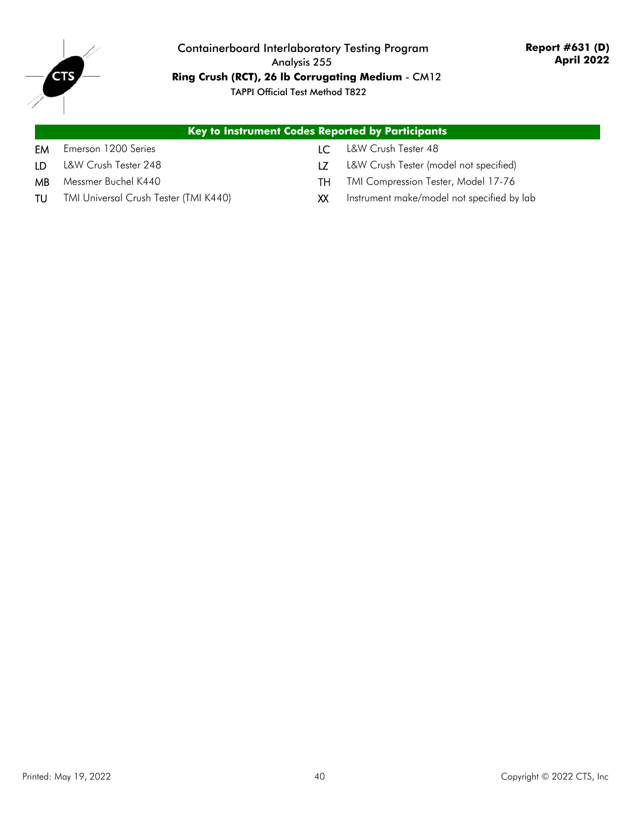

#### Containerboard Interlaboratory Testing Program Analysis 255 **Ring Crush (RCT), 26 lb Corrugating Medium** - CM12 TAPPI Official Test Method T822

## **Key to Instrument Codes Reported by Participants**

- EM Emerson 1200 Series **LC** L&W Crush Tester 48
- 
- 
- 
- 
- LD L&W Crush Tester 248 **LZ** L&W Crush Tester (model not specified)
- MB Messmer Buchel K440 TH TMI Compression Tester, Model 17-76
- TU TMI Universal Crush Tester (TMI K440) XX Instrument make/model not specified by lab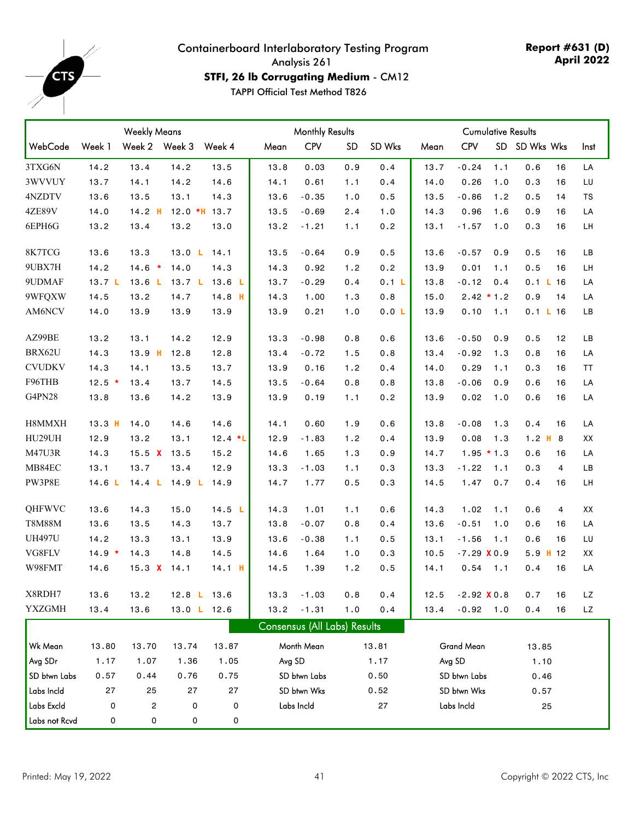<span id="page-40-0"></span>

**Report #631 (D) April 2022**

**STFI, 26 lb Corrugating Medium** - CM12

|               |          | <b>Weekly Means</b> |                   | <b>Monthly Results</b><br><b>Cumulative Results</b> |      |                              |           |        |      |               |     |               |      |
|---------------|----------|---------------------|-------------------|-----------------------------------------------------|------|------------------------------|-----------|--------|------|---------------|-----|---------------|------|
| WebCode       | Week 1   | Week 2 Week 3       |                   | Week 4                                              | Mean | <b>CPV</b>                   | <b>SD</b> | SD Wks | Mean | <b>CPV</b>    |     | SD SD Wks Wks | Inst |
| 3TXG6N        | 14.2     | 13.4                | 14.2              | 13.5                                                | 13.8 | 0.03                         | 0.9       | 0.4    | 13.7 | $-0.24$       | 1.1 | 0.6<br>16     | LA   |
| 3WVVUY        | 13.7     | 14.1                | 14.2              | 14.6                                                | 14.1 | 0.61                         | 1.1       | 0.4    | 14.0 | 0.26          | 1.0 | 0.3<br>16     | LU   |
| 4NZDTV        | 13.6     | 13.5                | 13.1              | 14.3                                                | 13.6 | $-0.35$                      | 1.0       | 0.5    | 13.5 | $-0.86$       | 1.2 | 0.5<br>14     | TS   |
| <b>4ZE89V</b> | 14.0     | $14.2$ H            |                   | $12.0$ *H $13.7$                                    | 13.5 | $-0.69$                      | 2.4       | 1.0    | 14.3 | 0.96          | 1.6 | 0.9<br>16     | LA   |
| 6EPH6G        | 13.2     | 13.4                | 13.2              | 13.0                                                | 13.2 | $-1.21$                      | 1.1       | 0.2    | 13.1 | $-1.57$       | 1.0 | 0.3<br>16     | LH   |
| 8K7TCG        | 13.6     | 13.3                | 13.0 L            | 14.1                                                | 13.5 | $-0.64$                      | 0.9       | 0.5    | 13.6 | $-0.57$       | 0.9 | 0.5<br>16     | LB   |
| 9UBX7H        | 14.2     | $14.6 *$            | 14.0              | 14.3                                                | 14.3 | 0.92                         | 1.2       | 0.2    | 13.9 | 0.01          | 1.1 | 0.5<br>16     | LH   |
| 9UDMAF        | 13.7 L   | 13.6 <sub>L</sub>   | 13.7 <sub>L</sub> | 13.6 <sub>L</sub>                                   | 13.7 | $-0.29$                      | 0.4       | 0.1 L  | 13.8 | $-0.12$       | 0.4 | 0.1 L 16      | LA   |
| 9WFQXW        | 14.5     | 13.2                | 14.7              | $14.8$ H                                            | 14.3 | 1.00                         | 1.3       | 0.8    | 15.0 | $2.42 * 1.2$  |     | 0.9<br>14     | LA   |
| AM6NCV        | 14.0     | 13.9                | 13.9              | 13.9                                                | 13.9 | 0.21                         | 1.0       | 0.0 L  | 13.9 | 0.10          | 1.1 | 0.1 L 16      | LB   |
| AZ99BE        | 13.2     | 13.1                | 14.2              | 12.9                                                | 13.3 | $-0.98$                      | 0.8       | 0.6    | 13.6 | $-0.50$       | 0.9 | 12<br>0.5     | LB   |
| BRX62U        | 14.3     | $13.9$ H            | 12.8              | 12.8                                                | 13.4 | $-0.72$                      | 1.5       | 0.8    | 13.4 | $-0.92$       | 1.3 | 0.8<br>16     | LA   |
| <b>CVUDKV</b> | 14.3     | 14.1                | 13.5              | 13.7                                                | 13.9 | 0.16                         | 1.2       | 0.4    | 14.0 | 0.29          | 1.1 | 0.3<br>16     | ΤT   |
| F96THB        | $12.5$ * | 13.4                | 13.7              | 14.5                                                | 13.5 | $-0.64$                      | 0.8       | 0.8    | 13.8 | $-0.06$       | 0.9 | 0.6<br>16     | LA   |
| G4PN28        | 13.8     | 13.6                | 14.2              | 13.9                                                | 13.9 | 0.19                         | 1.1       | 0.2    | 13.9 | 0.02          | 1.0 | 0.6<br>16     | LA   |
| H8MMXH        | $13.3$ H | 14.0                | 14.6              | 14.6                                                | 14.1 | 0.60                         | 1.9       | 0.6    | 13.8 | $-0.08$       | 1.3 | 0.4<br>16     | LA   |
| HU29UH        | 12.9     | 13.2                | 13.1              | $12.4 *L$                                           | 12.9 | $-1.83$                      | 1.2       | 0.4    | 13.9 | 0.08          | 1.3 | $1.2$ H $8$   | XX   |
| M47U3R        | 14.3     | 15.5 $X$            | 13.5              | 15.2                                                | 14.6 | 1.65                         | 1.3       | 0.9    | 14.7 | $1.95 * 1.3$  |     | 0.6<br>16     | LA   |
| MB84EC        | 13.1     | 13.7                | 13.4              | 12.9                                                | 13.3 | $-1.03$                      | 1.1       | 0.3    | 13.3 | $-1.22$       | 1.1 | 0.3<br>4      | LB   |
| PW3P8E        | 14.6L    | 14.4 L              | 14.9 $L$          | 14.9                                                | 14.7 | 1.77                         | 0.5       | 0.3    | 14.5 | 1.47          | 0.7 | 0.4<br>16     | LH   |
| QHFWVC        | 13.6     | 14.3                | 15.0              | 14.5 L                                              | 14.3 | 1.01                         | 1.1       | 0.6    | 14.3 | 1.02          | 1.1 | 0.6<br>4      | XX   |
| <b>T8M88M</b> | 13.6     | 13.5                | 14.3              | 13.7                                                | 13.8 | $-0.07$                      | 0.8       | 0.4    | 13.6 | $-0.51$       | 1.0 | 0.6<br>16     | LA   |
| <b>UH497U</b> | 14.2     | 13.3                | 13.1              | 13.9                                                | 13.6 | $-0.38$                      | 1.1       | 0.5    | 13.1 | $-1.56$       | 1.1 | 0.6<br>16     | LU   |
| VG8FLV        | $14.9 *$ | 14.3                | 14.8              | 14.5                                                | 14.6 | 1.64                         | 1.0       | 0.3    | 10.5 | $-7.29$ X 0.9 |     | $5.9$ H 12    | XX   |
| W98FMT        | 14.6     | 15.3 $X$            | 14.1              | $14.1$ H                                            | 14.5 | 1.39                         | 1.2       | 0.5    | 14.1 | 0.54          | 1.1 | 0.4<br>16     | LA   |
| X8RDH7        | 13.6     | 13.2                |                   | 12.8 L 13.6                                         | 13.3 | $-1.03$                      | 0.8       | 0.4    | 12.5 | $-2.92$ X 0.8 |     | 0.7<br>16     | LZ   |
| <b>YXZGMH</b> | 13.4     | 13.6                |                   | 13.0 L 12.6                                         | 13.2 | $-1.31$                      | 1.0       | 0.4    | 13.4 | $-0.92$ 1.0   |     | 16<br>0.4     | LZ   |
|               |          |                     |                   |                                                     |      | Consensus (All Labs) Results |           |        |      |               |     |               |      |
| Wk Mean       | 13.80    | 13.70               | 13.74             | 13.87                                               |      | Month Mean                   |           | 13.81  |      | Grand Mean    |     | 13.85         |      |
| Avg SDr       | 1.17     | 1.07                | 1.36              | 1.05                                                |      | Avg SD                       |           | 1.17   |      | Avg SD        |     | 1.10          |      |
| SD btwn Labs  | 0.57     | 0.44                | 0.76              | 0.75                                                |      | SD btwn Labs                 |           | 0.50   |      | SD btwn Labs  |     | 0.46          |      |
| Labs Incld    | 27       | 25                  | 27                | 27                                                  |      | SD btwn Wks                  |           | 0.52   |      | SD btwn Wks   |     | 0.57          |      |
| Labs Excld    | 0        | 2                   | 0                 | 0                                                   |      | Labs Incld                   |           | 27     |      | Labs Incld    |     | 25            |      |
| Labs not Rcvd | 0        | 0                   | 0                 | 0                                                   |      |                              |           |        |      |               |     |               |      |